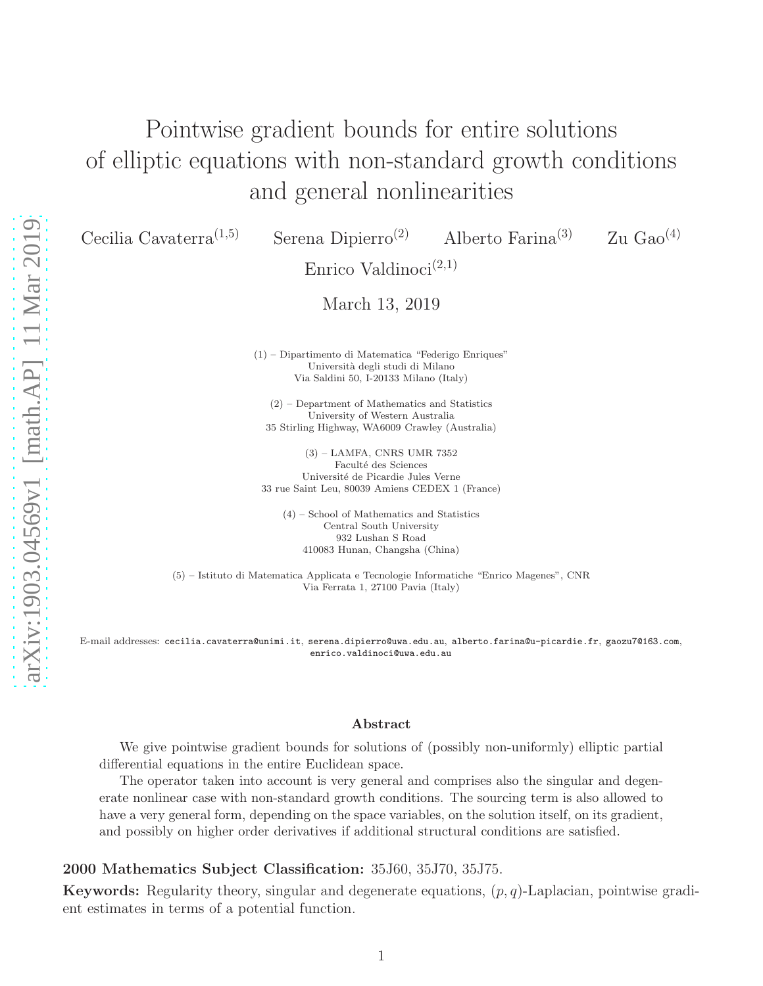# Pointwise gradient bounds for entire solutions of elliptic equations with non-standard growth conditions and general nonlinearities

Cecilia Cavaterra<sup>(1,5)</sup> Serena Dipierro<sup>(2)</sup> Alberto Farina<sup>(3)</sup> Zu Gao<sup>(4)</sup>

Enrico Valdinoci<sup>(2,1)</sup>

March 13, 2019

(1) – Dipartimento di Matematica "Federigo Enriques" Università degli studi di Milano Via Saldini 50, I-20133 Milano (Italy)

(2) – Department of Mathematics and Statistics University of Western Australia 35 Stirling Highway, WA6009 Crawley (Australia)

(3) – LAMFA, CNRS UMR 7352 Faculté des Sciences Université de Picardie Jules Verne 33 rue Saint Leu, 80039 Amiens CEDEX 1 (France)

(4) – School of Mathematics and Statistics Central South University 932 Lushan S Road 410083 Hunan, Changsha (China)

(5) – Istituto di Matematica Applicata e Tecnologie Informatiche "Enrico Magenes", CNR Via Ferrata 1, 27100 Pavia (Italy)

E-mail addresses: cecilia.cavaterra@unimi.it, serena.dipierro@uwa.edu.au, alberto.farina@u-picardie.fr, gaozu7@163.com, enrico.valdinoci@uwa.edu.au

#### Abstract

We give pointwise gradient bounds for solutions of (possibly non-uniformly) elliptic partial differential equations in the entire Euclidean space.

The operator taken into account is very general and comprises also the singular and degenerate nonlinear case with non-standard growth conditions. The sourcing term is also allowed to have a very general form, depending on the space variables, on the solution itself, on its gradient, and possibly on higher order derivatives if additional structural conditions are satisfied.

#### 2000 Mathematics Subject Classification: 35J60, 35J70, 35J75.

**Keywords:** Regularity theory, singular and degenerate equations,  $(p, q)$ -Laplacian, pointwise gradient estimates in terms of a potential function.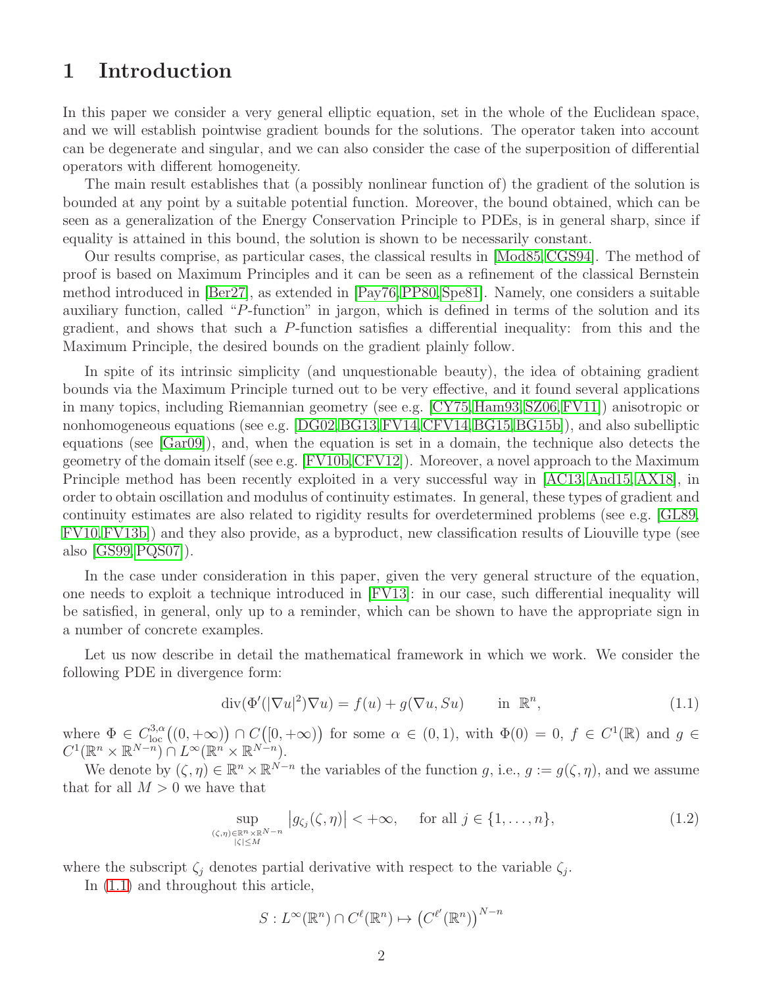### 1 Introduction

In this paper we consider a very general elliptic equation, set in the whole of the Euclidean space, and we will establish pointwise gradient bounds for the solutions. The operator taken into account can be degenerate and singular, and we can also consider the case of the superposition of differential operators with different homogeneity.

The main result establishes that (a possibly nonlinear function of) the gradient of the solution is bounded at any point by a suitable potential function. Moreover, the bound obtained, which can be seen as a generalization of the Energy Conservation Principle to PDEs, is in general sharp, since if equality is attained in this bound, the solution is shown to be necessarily constant.

Our results comprise, as particular cases, the classical results in [\[Mod85,](#page-33-0) [CGS94\]](#page-32-0). The method of proof is based on Maximum Principles and it can be seen as a refinement of the classical Bernstein method introduced in [\[Ber27\]](#page-32-1), as extended in [\[Pay76,](#page-33-1)[PP80,](#page-33-2) [Spe81\]](#page-33-3). Namely, one considers a suitable auxiliary function, called "P-function" in jargon, which is defined in terms of the solution and its gradient, and shows that such a P-function satisfies a differential inequality: from this and the Maximum Principle, the desired bounds on the gradient plainly follow.

In spite of its intrinsic simplicity (and unquestionable beauty), the idea of obtaining gradient bounds via the Maximum Principle turned out to be very effective, and it found several applications in many topics, including Riemannian geometry (see e.g. [\[CY75,](#page-32-2)[Ham93,](#page-33-4) [SZ06,](#page-33-5)[FV11\]](#page-33-6)) anisotropic or nonhomogeneous equations (see e.g. [\[DG02,](#page-33-7) [BG13,](#page-32-3) [FV14,](#page-33-8) [CFV14,](#page-32-4) [BG15,](#page-32-5) [BG15b\]](#page-32-6)), and also subelliptic equations (see [\[Gar09\]](#page-33-9)), and, when the equation is set in a domain, the technique also detects the geometry of the domain itself (see e.g. [\[FV10b,](#page-33-10)[CFV12\]](#page-32-7)). Moreover, a novel approach to the Maximum Principle method has been recently exploited in a very successful way in [\[AC13,](#page-32-8) [And15,](#page-32-9) [AX18\]](#page-32-10), in order to obtain oscillation and modulus of continuity estimates. In general, these types of gradient and continuity estimates are also related to rigidity results for overdetermined problems (see e.g. [\[GL89,](#page-33-11) [FV10,](#page-33-12)[FV13b\]](#page-33-13)) and they also provide, as a byproduct, new classification results of Liouville type (see also [\[GS99,](#page-33-14)[PQS07\]](#page-33-15)).

In the case under consideration in this paper, given the very general structure of the equation, one needs to exploit a technique introduced in [\[FV13\]](#page-33-16): in our case, such differential inequality will be satisfied, in general, only up to a reminder, which can be shown to have the appropriate sign in a number of concrete examples.

Let us now describe in detail the mathematical framework in which we work. We consider the following PDE in divergence form:

<span id="page-1-0"></span>
$$
\operatorname{div}(\Phi'(|\nabla u|^2)\nabla u) = f(u) + g(\nabla u, Su) \quad \text{in } \mathbb{R}^n,
$$
\n(1.1)

where  $\Phi \in C^{3,\alpha}_{loc}((0, +\infty)) \cap C([0, +\infty))$  for some  $\alpha \in (0, 1)$ , with  $\Phi(0) = 0$ ,  $f \in C^{1}(\mathbb{R})$  and  $g \in C^{1}(\mathbb{R})$  $C^1(\mathbb{R}^n\times\mathbb{R}^{N-n})\cap L^\infty(\mathbb{R}^n\times\mathbb{R}^{N-n})$ 

We denote by  $(\zeta, \eta) \in \mathbb{R}^n \times \mathbb{R}^{N-n}$  the variables of the function g, i.e.,  $g := g(\zeta, \eta)$ , and we assume that for all  $M > 0$  we have that

<span id="page-1-1"></span>
$$
\sup_{\substack{(\zeta,\eta)\in\mathbb{R}^n\times\mathbb{R}^{N-n} \\ |\zeta|\leq M}}\left|g_{\zeta_j}(\zeta,\eta)\right|<+\infty,\quad\text{ for all }j\in\{1,\ldots,n\},\tag{1.2}
$$

where the subscript  $\zeta_j$  denotes partial derivative with respect to the variable  $\zeta_j$ .

In [\(1.1\)](#page-1-0) and throughout this article,

$$
S: L^{\infty}(\mathbb{R}^n) \cap C^{\ell}(\mathbb{R}^n) \mapsto (C^{\ell'}(\mathbb{R}^n))^{N-n}
$$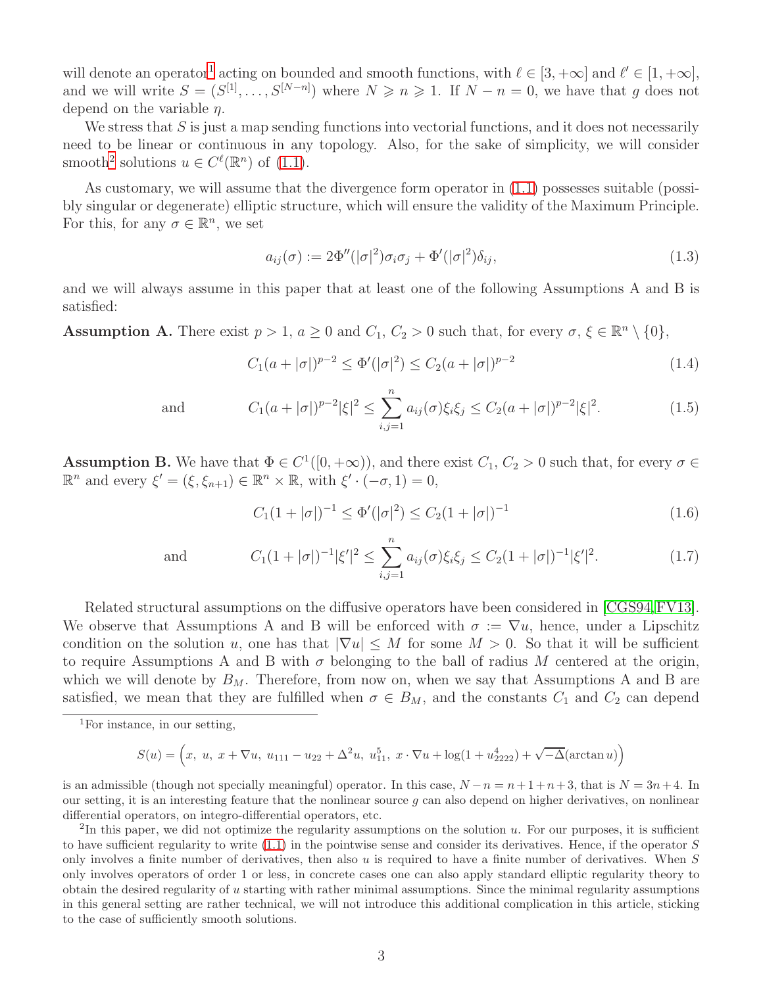will denote an operator<sup>[1](#page-2-0)</sup> acting on bounded and smooth functions, with  $\ell \in [3, +\infty]$  and  $\ell' \in [1, +\infty]$ , and we will write  $S = (S^{[1]}, \ldots, S^{[N-n]})$  where  $N \geq n \geq 1$ . If  $N - n = 0$ , we have that g does not depend on the variable  $\eta$ .

We stress that  $S$  is just a map sending functions into vectorial functions, and it does not necessarily need to be linear or continuous in any topology. Also, for the sake of simplicity, we will consider smooth<sup>[2](#page-2-1)</sup> solutions  $u \in C^{\ell}(\mathbb{R}^n)$  of  $(1.1)$ .

As customary, we will assume that the divergence form operator in [\(1.1\)](#page-1-0) possesses suitable (possibly singular or degenerate) elliptic structure, which will ensure the validity of the Maximum Principle. For this, for any  $\sigma \in \mathbb{R}^n$ , we set

<span id="page-2-2"></span>
$$
a_{ij}(\sigma) := 2\Phi''(|\sigma|^2)\sigma_i\sigma_j + \Phi'(|\sigma|^2)\delta_{ij},\tag{1.3}
$$

and we will always assume in this paper that at least one of the following Assumptions A and B is satisfied:

**Assumption A.** There exist  $p > 1$ ,  $a \ge 0$  and  $C_1$ ,  $C_2 > 0$  such that, for every  $\sigma$ ,  $\xi \in \mathbb{R}^n \setminus \{0\}$ ,

<span id="page-2-3"></span>
$$
C_1(a+|\sigma|)^{p-2} \le \Phi'(|\sigma|^2) \le C_2(a+|\sigma|)^{p-2}
$$
\n(1.4)

<span id="page-2-5"></span>

and 
$$
C_1(a+|\sigma|)^{p-2}|\xi|^2 \le \sum_{i,j=1}^n a_{ij}(\sigma)\xi_i\xi_j \le C_2(a+|\sigma|)^{p-2}|\xi|^2.
$$
 (1.5)

**Assumption B.** We have that  $\Phi \in C^1([0, +\infty))$ , and there exist  $C_1$ ,  $C_2 > 0$  such that, for every  $\sigma \in$  $\mathbb{R}^n$  and every  $\xi' = (\xi, \xi_{n+1}) \in \mathbb{R}^n \times \mathbb{R}$ , with  $\xi' \cdot (-\sigma, 1) = 0$ ,

<span id="page-2-4"></span>
$$
C_1(1+|\sigma|)^{-1} \le \Phi'(|\sigma|^2) \le C_2(1+|\sigma|)^{-1}
$$
\n(1.6)

<span id="page-2-6"></span>

and 
$$
C_1(1+|\sigma|)^{-1}|\xi'|^2 \le \sum_{i,j=1}^n a_{ij}(\sigma)\xi_i\xi_j \le C_2(1+|\sigma|)^{-1}|\xi'|^2.
$$
 (1.7)

Related structural assumptions on the diffusive operators have been considered in [\[CGS94,](#page-32-0)[FV13\]](#page-33-16). We observe that Assumptions A and B will be enforced with  $\sigma := \nabla u$ , hence, under a Lipschitz condition on the solution u, one has that  $|\nabla u| \leq M$  for some  $M > 0$ . So that it will be sufficient to require Assumptions A and B with  $\sigma$  belonging to the ball of radius M centered at the origin, which we will denote by  $B_M$ . Therefore, from now on, when we say that Assumptions A and B are satisfied, we mean that they are fulfilled when  $\sigma \in B_M$ , and the constants  $C_1$  and  $C_2$  can depend

$$
S(u) = \left(x, u, x + \nabla u, u_{111} - u_{22} + \Delta^2 u, u_{11}^5, x \cdot \nabla u + \log(1 + u_{2222}^4) + \sqrt{-\Delta}(\arctan u)\right)
$$

is an admissible (though not specially meaningful) operator. In this case,  $N - n = n + 1 + n + 3$ , that is  $N = 3n + 4$ . In our setting, it is an interesting feature that the nonlinear source  $q$  can also depend on higher derivatives, on nonlinear differential operators, on integro-differential operators, etc.

<span id="page-2-1"></span> ${}^{2}$ In this paper, we did not optimize the regularity assumptions on the solution u. For our purposes, it is sufficient to have sufficient regularity to write  $(1.1)$  in the pointwise sense and consider its derivatives. Hence, if the operator S only involves a finite number of derivatives, then also u is required to have a finite number of derivatives. When  $S$ only involves operators of order 1 or less, in concrete cases one can also apply standard elliptic regularity theory to obtain the desired regularity of  $u$  starting with rather minimal assumptions. Since the minimal regularity assumptions in this general setting are rather technical, we will not introduce this additional complication in this article, sticking to the case of sufficiently smooth solutions.

<span id="page-2-0"></span><sup>1</sup>For instance, in our setting,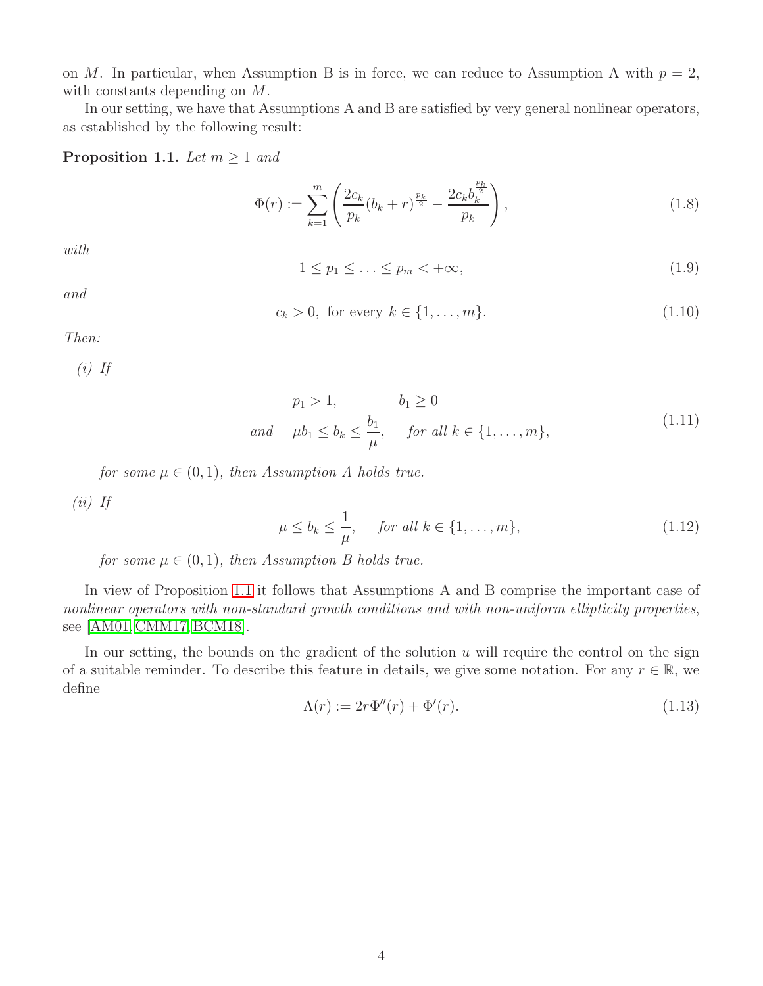on M. In particular, when Assumption B is in force, we can reduce to Assumption A with  $p = 2$ , with constants depending on M.

In our setting, we have that Assumptions A and B are satisfied by very general nonlinear operators, as established by the following result:

#### <span id="page-3-0"></span>**Proposition 1.1.** *Let*  $m \geq 1$  *and*

<span id="page-3-1"></span>
$$
\Phi(r) := \sum_{k=1}^{m} \left( \frac{2c_k}{p_k} (b_k + r)^{\frac{p_k}{2}} - \frac{2c_k b_k^{\frac{p_k}{2}}}{p_k} \right),\tag{1.8}
$$

*with*

<span id="page-3-2"></span>
$$
1 \le p_1 \le \ldots \le p_m < +\infty,\tag{1.9}
$$

*and*

<span id="page-3-3"></span>
$$
c_k > 0
$$
, for every  $k \in \{1, ..., m\}$ . (1.10)

*Then:*

*(i) If*

$$
p_1 > 1, \t b_1 \ge 0
$$
  
and  $\mu b_1 \le b_k \le \frac{b_1}{\mu}$ , for all  $k \in \{1, ..., m\}$ , (1.11)

<span id="page-3-5"></span>*for some*  $\mu \in (0,1)$ *, then Assumption A holds true.* 

*(ii) If*

<span id="page-3-6"></span>
$$
\mu \le b_k \le \frac{1}{\mu}, \quad \text{for all } k \in \{1, \dots, m\},\tag{1.12}
$$

*for some*  $\mu \in (0,1)$ *, then Assumption B holds true.* 

In view of Proposition [1.1](#page-3-0) it follows that Assumptions A and B comprise the important case of *nonlinear operators with non-standard growth conditions and with non-uniform ellipticity properties*, see [\[AM01,](#page-32-11) [CMM17,](#page-33-17) [BCM18\]](#page-32-12).

In our setting, the bounds on the gradient of the solution  $u$  will require the control on the sign of a suitable reminder. To describe this feature in details, we give some notation. For any  $r \in \mathbb{R}$ , we define

<span id="page-3-4"></span>
$$
\Lambda(r) := 2r\Phi''(r) + \Phi'(r). \tag{1.13}
$$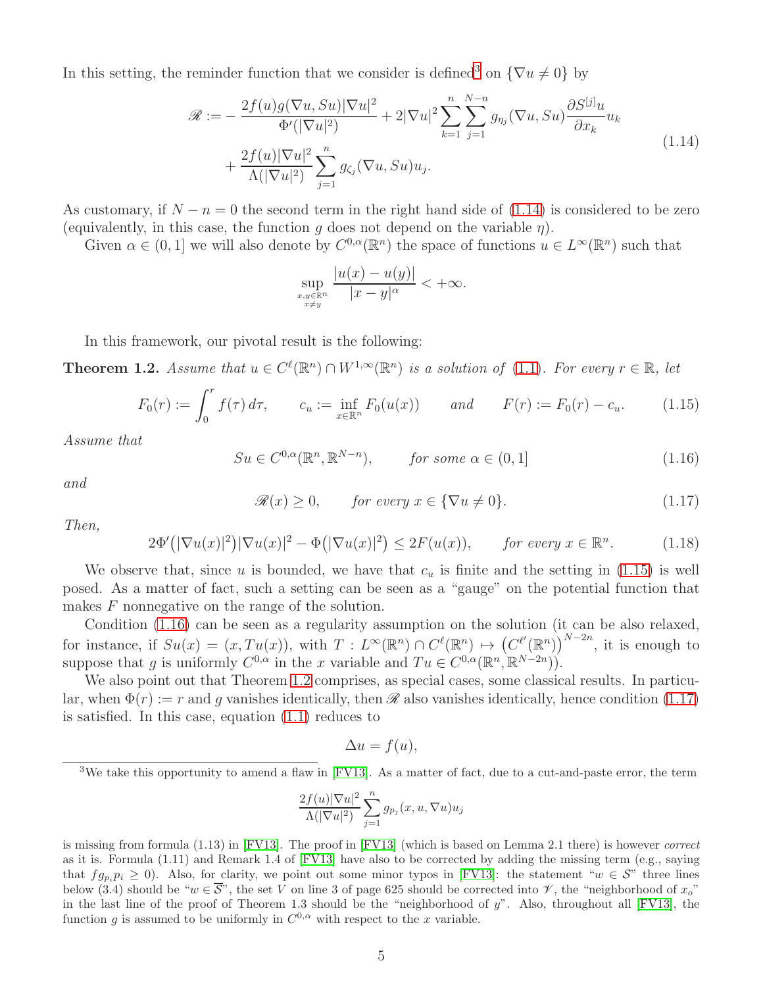In this setting, the reminder function that we consider is defined<sup>[3](#page-4-0)</sup> on  $\{\nabla u \neq 0\}$  by

<span id="page-4-1"></span>
$$
\mathcal{R} := -\frac{2f(u)g(\nabla u, Su)|\nabla u|^2}{\Phi'(|\nabla u|^2)} + 2|\nabla u|^2 \sum_{k=1}^n \sum_{j=1}^{N-n} g_{\eta_j}(\nabla u, Su) \frac{\partial S^{[j]} u}{\partial x_k} u_k
$$
  
+ 
$$
\frac{2f(u)|\nabla u|^2}{\Lambda(|\nabla u|^2)} \sum_{j=1}^n g_{\zeta_j}(\nabla u, Su) u_j.
$$
 (1.14)

As customary, if  $N - n = 0$  the second term in the right hand side of [\(1.14\)](#page-4-1) is considered to be zero (equivalently, in this case, the function q does not depend on the variable  $\eta$ ).

Given  $\alpha \in (0,1]$  we will also denote by  $C^{0,\alpha}(\mathbb{R}^n)$  the space of functions  $u \in L^{\infty}(\mathbb{R}^n)$  such that

$$
\sup_{\substack{x,y\in\mathbb{R}^n\\x\neq y}}\frac{|u(x)-u(y)|}{|x-y|^{\alpha}}<+\infty.
$$

In this framework, our pivotal result is the following:

<span id="page-4-4"></span>**Theorem 1.2.** Assume that  $u \in C^{\ell}(\mathbb{R}^n) \cap W^{1,\infty}(\mathbb{R}^n)$  is a solution of [\(1.1\)](#page-1-0). For every  $r \in \mathbb{R}$ , let

<span id="page-4-2"></span>
$$
F_0(r) := \int_0^r f(\tau) d\tau, \qquad c_u := \inf_{x \in \mathbb{R}^n} F_0(u(x)) \qquad and \qquad F(r) := F_0(r) - c_u. \tag{1.15}
$$

*Assume that*

<span id="page-4-3"></span>
$$
Su \in C^{0,\alpha}(\mathbb{R}^n, \mathbb{R}^{N-n}), \qquad \text{for some } \alpha \in (0,1]
$$
 (1.16)

*and*

<span id="page-4-5"></span>
$$
\mathcal{R}(x) \ge 0, \qquad \text{for every } x \in \{\nabla u \ne 0\}. \tag{1.17}
$$

*Then,*

<span id="page-4-6"></span>
$$
2\Phi'(|\nabla u(x)|^2)|\nabla u(x)|^2 - \Phi(|\nabla u(x)|^2) \le 2F(u(x)), \quad \text{for every } x \in \mathbb{R}^n. \tag{1.18}
$$

We observe that, since u is bounded, we have that  $c<sub>u</sub>$  is finite and the setting in [\(1.15\)](#page-4-2) is well posed. As a matter of fact, such a setting can be seen as a "gauge" on the potential function that makes F nonnegative on the range of the solution.

Condition [\(1.16\)](#page-4-3) can be seen as a regularity assumption on the solution (it can be also relaxed, for instance, if  $Su(x) = (x, Tu(x))$ , with  $T: L^{\infty}(\mathbb{R}^n) \cap C^{\ell}(\mathbb{R}^n) \mapsto (C^{\ell'}(\mathbb{R}^n))^{N-2n}$ , it is enough to suppose that g is uniformly  $C^{0,\alpha}$  in the x variable and  $Tu \in C^{0,\alpha}(\mathbb{R}^n, \mathbb{R}^{N-2n})$ .

We also point out that Theorem [1.2](#page-4-4) comprises, as special cases, some classical results. In particular, when  $\Phi(r) := r$  and q vanishes identically, then  $\mathcal R$  also vanishes identically, hence condition [\(1.17\)](#page-4-5) is satisfied. In this case, equation [\(1.1\)](#page-1-0) reduces to

$$
\Delta u = f(u),
$$

<span id="page-4-0"></span> $3$ We take this opportunity to amend a flaw in [\[FV13\]](#page-33-16). As a matter of fact, due to a cut-and-paste error, the term

$$
\frac{2f(u)|\nabla u|^2}{\Lambda(|\nabla u|^2)}\sum_{j=1}^ng_{p_j}(x,u,\nabla u)u_j
$$

is missing from formula (1.13) in [\[FV13\]](#page-33-16). The proof in [\[FV13\]](#page-33-16) (which is based on Lemma 2.1 there) is however correct as it is. Formula (1.11) and Remark 1.4 of [\[FV13\]](#page-33-16) have also to be corrected by adding the missing term (e.g., saying that  $fg_p, p_i \ge 0$ ). Also, for clarity, we point out some minor typos in [\[FV13\]](#page-33-16): the statement " $w \in S$ " three lines below (3.4) should be " $w \in \overline{S}$ ", the set V on line 3 of page 625 should be corrected into  $\mathscr V$ , the "neighborhood of  $x_o$ " in the last line of the proof of Theorem 1.3 should be the "neighborhood of  $y$ ". Also, throughout all [\[FV13\]](#page-33-16), the function g is assumed to be uniformly in  $C^{0,\alpha}$  with respect to the x variable.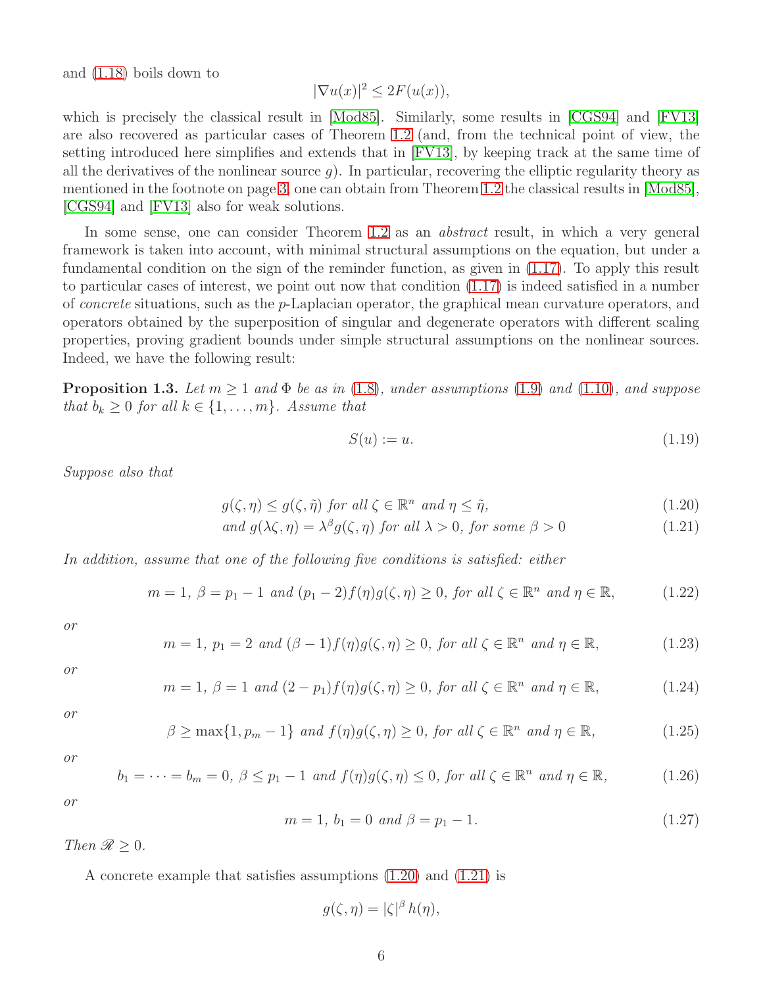and [\(1.18\)](#page-4-6) boils down to

$$
|\nabla u(x)|^2 \le 2F(u(x)),
$$

which is precisely the classical result in [\[Mod85\]](#page-33-0). Similarly, some results in [\[CGS94\]](#page-32-0) and [\[FV13\]](#page-33-16) are also recovered as particular cases of Theorem [1.2](#page-4-4) (and, from the technical point of view, the setting introduced here simplifies and extends that in [\[FV13\]](#page-33-16), by keeping track at the same time of all the derivatives of the nonlinear source  $q$ ). In particular, recovering the elliptic regularity theory as mentioned in the footnote on page [3,](#page-2-1) one can obtain from Theorem [1.2](#page-4-4) the classical results in [\[Mod85\]](#page-33-0), [\[CGS94\]](#page-32-0) and [\[FV13\]](#page-33-16) also for weak solutions.

In some sense, one can consider Theorem [1.2](#page-4-4) as an *abstract* result, in which a very general framework is taken into account, with minimal structural assumptions on the equation, but under a fundamental condition on the sign of the reminder function, as given in [\(1.17\)](#page-4-5). To apply this result to particular cases of interest, we point out now that condition [\(1.17\)](#page-4-5) is indeed satisfied in a number of *concrete* situations, such as the p-Laplacian operator, the graphical mean curvature operators, and operators obtained by the superposition of singular and degenerate operators with different scaling properties, proving gradient bounds under simple structural assumptions on the nonlinear sources. Indeed, we have the following result:

<span id="page-5-1"></span>**Proposition 1.3.** Let  $m > 1$  and  $\Phi$  be as in [\(1.8\)](#page-3-1), under assumptions [\(1.9\)](#page-3-2) and [\(1.10\)](#page-3-3), and suppose *that*  $b_k \geq 0$  *for all*  $k \in \{1, \ldots, m\}$ *. Assume that* 

<span id="page-5-2"></span>
$$
S(u) := u.\t\t(1.19)
$$

*Suppose also that*

<span id="page-5-0"></span>
$$
g(\zeta, \eta) \le g(\zeta, \tilde{\eta}) \text{ for all } \zeta \in \mathbb{R}^n \text{ and } \eta \le \tilde{\eta}, \tag{1.20}
$$

and 
$$
g(\lambda \zeta, \eta) = \lambda^{\beta} g(\zeta, \eta)
$$
 for all  $\lambda > 0$ , for some  $\beta > 0$  (1.21)

*In addition, assume that one of the following five conditions is satisfied: either*

<span id="page-5-3"></span>
$$
m = 1, \ \beta = p_1 - 1 \ \text{and} \ (p_1 - 2)f(\eta)g(\zeta, \eta) \ge 0, \ \text{for all } \zeta \in \mathbb{R}^n \ \text{and } \eta \in \mathbb{R}, \tag{1.22}
$$

*or*

<span id="page-5-5"></span>
$$
m = 1, p_1 = 2 \text{ and } (\beta - 1)f(\eta)g(\zeta, \eta) \ge 0, \text{ for all } \zeta \in \mathbb{R}^n \text{ and } \eta \in \mathbb{R},
$$
 (1.23)

*or*

<span id="page-5-6"></span>
$$
m = 1, \ \beta = 1 \ \text{and} \ (2 - p_1)f(\eta)g(\zeta, \eta) \ge 0, \ \text{for all } \zeta \in \mathbb{R}^n \ \text{and } \eta \in \mathbb{R}, \tag{1.24}
$$

*or*

<span id="page-5-7"></span>
$$
\beta \ge \max\{1, p_m - 1\} \text{ and } f(\eta)g(\zeta, \eta) \ge 0, \text{ for all } \zeta \in \mathbb{R}^n \text{ and } \eta \in \mathbb{R}, \tag{1.25}
$$

*or*

<span id="page-5-8"></span>
$$
b_1 = \dots = b_m = 0, \ \beta \le p_1 - 1 \ \text{and} \ f(\eta)g(\zeta, \eta) \le 0, \ \text{for all} \ \zeta \in \mathbb{R}^n \ \text{and} \ \eta \in \mathbb{R}, \tag{1.26}
$$

*or*

<span id="page-5-4"></span>
$$
m = 1, b_1 = 0 \text{ and } \beta = p_1 - 1. \tag{1.27}
$$

*Then*  $\Re \geq 0$ *.* 

A concrete example that satisfies assumptions [\(1.20\)](#page-5-0) and [\(1.21\)](#page-5-0) is

$$
g(\zeta,\eta)=|\zeta|^{\beta}h(\eta),
$$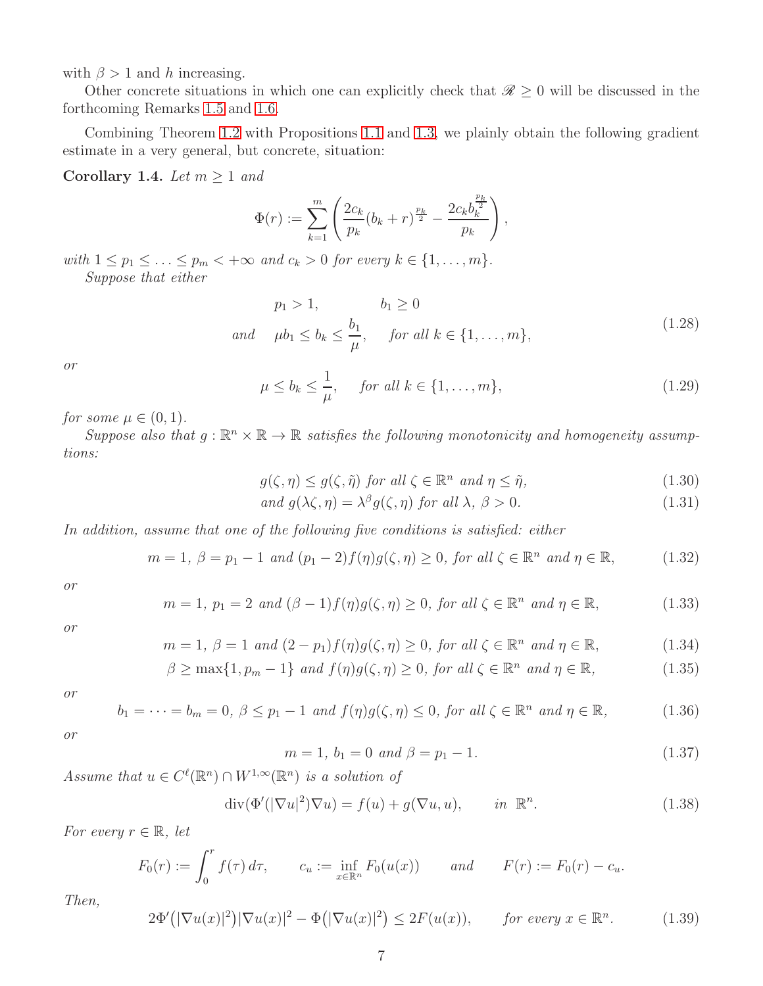with  $\beta > 1$  and h increasing.

Other concrete situations in which one can explicitly check that  $\mathcal{R} \geq 0$  will be discussed in the forthcoming Remarks [1.5](#page-7-0) and [1.6.](#page-9-0)

Combining Theorem [1.2](#page-4-4) with Propositions [1.1](#page-3-0) and [1.3,](#page-5-1) we plainly obtain the following gradient estimate in a very general, but concrete, situation:

<span id="page-6-0"></span>Corollary 1.4. *Let*  $m \geq 1$  *and* 

$$
\Phi(r) := \sum_{k=1}^{m} \left( \frac{2c_k}{p_k} (b_k + r)^{\frac{p_k}{2}} - \frac{2c_k b_k^{\frac{p_k}{2}}}{p_k} \right),
$$

*with*  $1 \leq p_1 \leq \ldots \leq p_m < +\infty$  *and*  $c_k > 0$  *for every*  $k \in \{1, \ldots, m\}$ *. Suppose that either*

$$
p_1 > 1, \t b_1 \ge 0
$$
  
and  $\mu b_1 \le b_k \le \frac{b_1}{\mu}, \t \text{ for all } k \in \{1, ..., m\},$  (1.28)

<span id="page-6-1"></span>*or*

<span id="page-6-2"></span>
$$
\mu \le b_k \le \frac{1}{\mu}, \quad \text{for all } k \in \{1, \dots, m\},\tag{1.29}
$$

*for some*  $\mu \in (0, 1)$ *.* 

 $Suppose\ also\ that\ g:\mathbb{R}^n\times\mathbb{R}\to\mathbb{R}\ satisfies\ the\ following\ monotonicity\ and\ homogeneity\ assumption.$ *tions:*

<span id="page-6-3"></span>
$$
g(\zeta, \eta) \le g(\zeta, \tilde{\eta}) \text{ for all } \zeta \in \mathbb{R}^n \text{ and } \eta \le \tilde{\eta}, \tag{1.30}
$$

$$
and g(\lambda\zeta, \eta) = \lambda^{\beta} g(\zeta, \eta) \text{ for all } \lambda, \beta > 0.
$$
 (1.31)

*In addition, assume that one of the following five conditions is satisfied: either*

<span id="page-6-4"></span>
$$
m = 1, \ \beta = p_1 - 1 \ \text{and} \ (p_1 - 2)f(\eta)g(\zeta, \eta) \ge 0, \ \text{for all} \ \zeta \in \mathbb{R}^n \ \text{and} \ \eta \in \mathbb{R}, \tag{1.32}
$$

*or*

$$
m = 1, p_1 = 2 \text{ and } (\beta - 1)f(\eta)g(\zeta, \eta) \ge 0, \text{ for all } \zeta \in \mathbb{R}^n \text{ and } \eta \in \mathbb{R}, \tag{1.33}
$$

*or*

$$
m = 1, \ \beta = 1 \ and \ (2 - p_1)f(\eta)g(\zeta, \eta) \ge 0, \text{ for all } \zeta \in \mathbb{R}^n \text{ and } \eta \in \mathbb{R}, \tag{1.34}
$$

$$
\beta \ge \max\{1, p_m - 1\} \text{ and } f(\eta)g(\zeta, \eta) \ge 0, \text{ for all } \zeta \in \mathbb{R}^n \text{ and } \eta \in \mathbb{R}, \tag{1.35}
$$

*or*

$$
b_1 = \dots = b_m = 0, \ \beta \le p_1 - 1 \ \text{and} \ f(\eta)g(\zeta, \eta) \le 0, \ \text{for all} \ \zeta \in \mathbb{R}^n \ \text{and} \ \eta \in \mathbb{R}, \tag{1.36}
$$

*or*

<span id="page-6-5"></span>
$$
m = 1, b_1 = 0 \text{ and } \beta = p_1 - 1. \tag{1.37}
$$

Assume that  $u \in C^{\ell}(\mathbb{R}^n) \cap W^{1,\infty}(\mathbb{R}^n)$  *is a solution of* 

<span id="page-6-6"></span>
$$
\operatorname{div}(\Phi'(|\nabla u|^2)\nabla u) = f(u) + g(\nabla u, u), \qquad \text{in } \mathbb{R}^n. \tag{1.38}
$$

*For every*  $r \in \mathbb{R}$ *, let* 

$$
F_0(r) := \int_0^r f(\tau) d\tau, \qquad c_u := \inf_{x \in \mathbb{R}^n} F_0(u(x)) \qquad and \qquad F(r) := F_0(r) - c_u.
$$

*Then,*

<span id="page-6-7"></span>
$$
2\Phi'(|\nabla u(x)|^2)|\nabla u(x)|^2 - \Phi(|\nabla u(x)|^2) \le 2F(u(x)), \quad \text{for every } x \in \mathbb{R}^n. \tag{1.39}
$$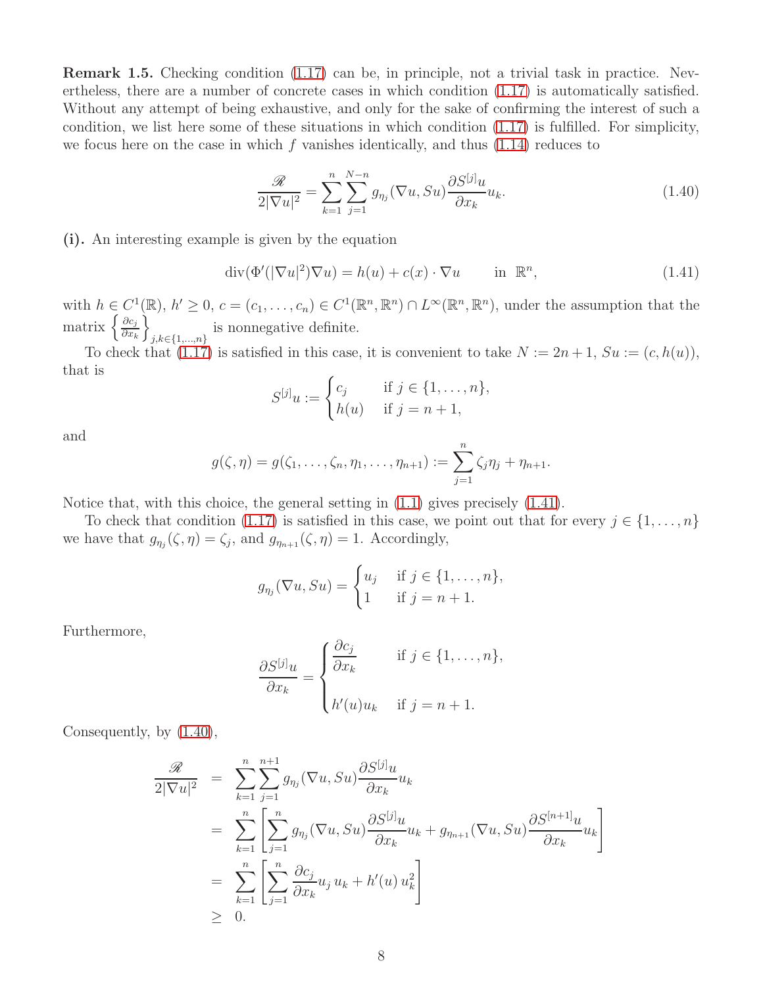<span id="page-7-0"></span>Remark 1.5. Checking condition [\(1.17\)](#page-4-5) can be, in principle, not a trivial task in practice. Nevertheless, there are a number of concrete cases in which condition [\(1.17\)](#page-4-5) is automatically satisfied. Without any attempt of being exhaustive, and only for the sake of confirming the interest of such a condition, we list here some of these situations in which condition [\(1.17\)](#page-4-5) is fulfilled. For simplicity, we focus here on the case in which  $f$  vanishes identically, and thus  $(1.14)$  reduces to

<span id="page-7-2"></span>
$$
\frac{\mathcal{R}}{2|\nabla u|^2} = \sum_{k=1}^n \sum_{j=1}^{N-n} g_{\eta_j}(\nabla u, Su) \frac{\partial S^{[j]} u}{\partial x_k} u_k.
$$
\n(1.40)

(i). An interesting example is given by the equation

<span id="page-7-1"></span>
$$
\operatorname{div}(\Phi'(|\nabla u|^2)\nabla u) = h(u) + c(x) \cdot \nabla u \qquad \text{in } \mathbb{R}^n,
$$
\n(1.41)

with  $h \in C^1(\mathbb{R})$ ,  $h' \geq 0$ ,  $c = (c_1, \ldots, c_n) \in C^1(\mathbb{R}^n, \mathbb{R}^n) \cap L^{\infty}(\mathbb{R}^n, \mathbb{R}^n)$ , under the assumption that the matrix  $\left\{\frac{\partial c_j}{\partial x_i}\right\}$  $\partial x_k$ o is nonnegative definite.<br>  $j, k \in \{1, ..., n\}$ 

To check that  $(1.17)$  is satisfied in this case, it is convenient to take  $N := 2n + 1$ ,  $Su := (c, h(u))$ , that is

$$
S^{[j]}u := \begin{cases} c_j & \text{if } j \in \{1, \dots, n\}, \\ h(u) & \text{if } j = n+1, \end{cases}
$$

and

$$
g(\zeta, \eta) = g(\zeta_1, ..., \zeta_n, \eta_1, ..., \eta_{n+1}) := \sum_{j=1}^n \zeta_j \eta_j + \eta_{n+1}.
$$

Notice that, with this choice, the general setting in [\(1.1\)](#page-1-0) gives precisely [\(1.41\)](#page-7-1).

To check that condition [\(1.17\)](#page-4-5) is satisfied in this case, we point out that for every  $j \in \{1, \ldots, n\}$ we have that  $g_{\eta_j}(\zeta,\eta) = \zeta_j$ , and  $g_{\eta_{n+1}}(\zeta,\eta) = 1$ . Accordingly,

$$
g_{\eta_j}(\nabla u, Su) = \begin{cases} u_j & \text{if } j \in \{1, \dots, n\}, \\ 1 & \text{if } j = n+1. \end{cases}
$$

Furthermore,

$$
\frac{\partial S^{[j]}u}{\partial x_k} = \begin{cases} \frac{\partial c_j}{\partial x_k} & \text{if } j \in \{1, \dots, n\}, \\ h'(u)u_k & \text{if } j = n+1. \end{cases}
$$

Consequently, by [\(1.40\)](#page-7-2),

$$
\frac{\mathcal{R}}{2|\nabla u|^2} = \sum_{k=1}^n \sum_{j=1}^{n+1} g_{\eta_j}(\nabla u, Su) \frac{\partial S^{[j]} u}{\partial x_k} u_k
$$
  
\n
$$
= \sum_{k=1}^n \left[ \sum_{j=1}^n g_{\eta_j}(\nabla u, Su) \frac{\partial S^{[j]} u}{\partial x_k} u_k + g_{\eta_{n+1}}(\nabla u, Su) \frac{\partial S^{[n+1]} u}{\partial x_k} u_k \right]
$$
  
\n
$$
= \sum_{k=1}^n \left[ \sum_{j=1}^n \frac{\partial c_j}{\partial x_k} u_j u_k + h'(u) u_k^2 \right]
$$
  
\n
$$
\geq 0.
$$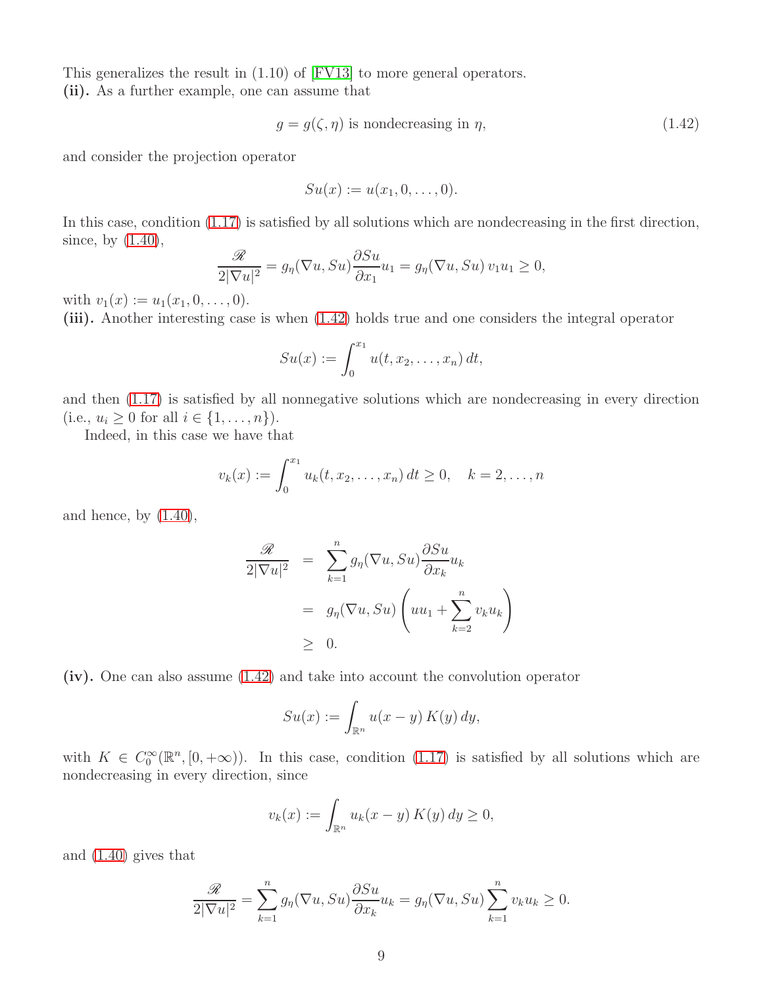This generalizes the result in (1.10) of [\[FV13\]](#page-33-16) to more general operators. (ii). As a further example, one can assume that

<span id="page-8-0"></span>
$$
g = g(\zeta, \eta) \text{ is nondecreasing in } \eta,
$$
\n(1.42)

and consider the projection operator

$$
Su(x) := u(x_1,0,\ldots,0).
$$

In this case, condition [\(1.17\)](#page-4-5) is satisfied by all solutions which are nondecreasing in the first direction, since, by  $(1.40)$ ,

$$
\frac{\mathscr{R}}{2|\nabla u|^2} = g_{\eta}(\nabla u, Su) \frac{\partial Su}{\partial x_1} u_1 = g_{\eta}(\nabla u, Su) v_1 u_1 \ge 0,
$$

with  $v_1(x) := u_1(x_1, 0, \ldots, 0)$ .

(iii). Another interesting case is when [\(1.42\)](#page-8-0) holds true and one considers the integral operator

$$
Su(x) := \int_0^{x_1} u(t, x_2, \dots, x_n) dt,
$$

and then [\(1.17\)](#page-4-5) is satisfied by all nonnegative solutions which are nondecreasing in every direction (i.e.,  $u_i \geq 0$  for all  $i \in \{1, ..., n\}$ ).

Indeed, in this case we have that

$$
v_k(x) := \int_0^{x_1} u_k(t, x_2, \dots, x_n) dt \ge 0, \quad k = 2, \dots, n
$$

and hence, by  $(1.40)$ ,

$$
\frac{\mathcal{R}}{2|\nabla u|^2} = \sum_{k=1}^n g_\eta(\nabla u, Su) \frac{\partial Su}{\partial x_k} u_k
$$
  
=  $g_\eta(\nabla u, Su) \left( uu_1 + \sum_{k=2}^n v_k u_k \right)$   
 $\geq 0.$ 

(iv). One can also assume [\(1.42\)](#page-8-0) and take into account the convolution operator

$$
Su(x) := \int_{\mathbb{R}^n} u(x - y) K(y) dy,
$$

with  $K \in C_0^{\infty}(\mathbb{R}^n, [0, +\infty))$ . In this case, condition [\(1.17\)](#page-4-5) is satisfied by all solutions which are nondecreasing in every direction, since

$$
v_k(x) := \int_{\mathbb{R}^n} u_k(x - y) K(y) dy \ge 0,
$$

and [\(1.40\)](#page-7-2) gives that

$$
\frac{\mathcal{R}}{2|\nabla u|^2} = \sum_{k=1}^n g_\eta(\nabla u, Su) \frac{\partial Su}{\partial x_k} u_k = g_\eta(\nabla u, Su) \sum_{k=1}^n v_k u_k \ge 0.
$$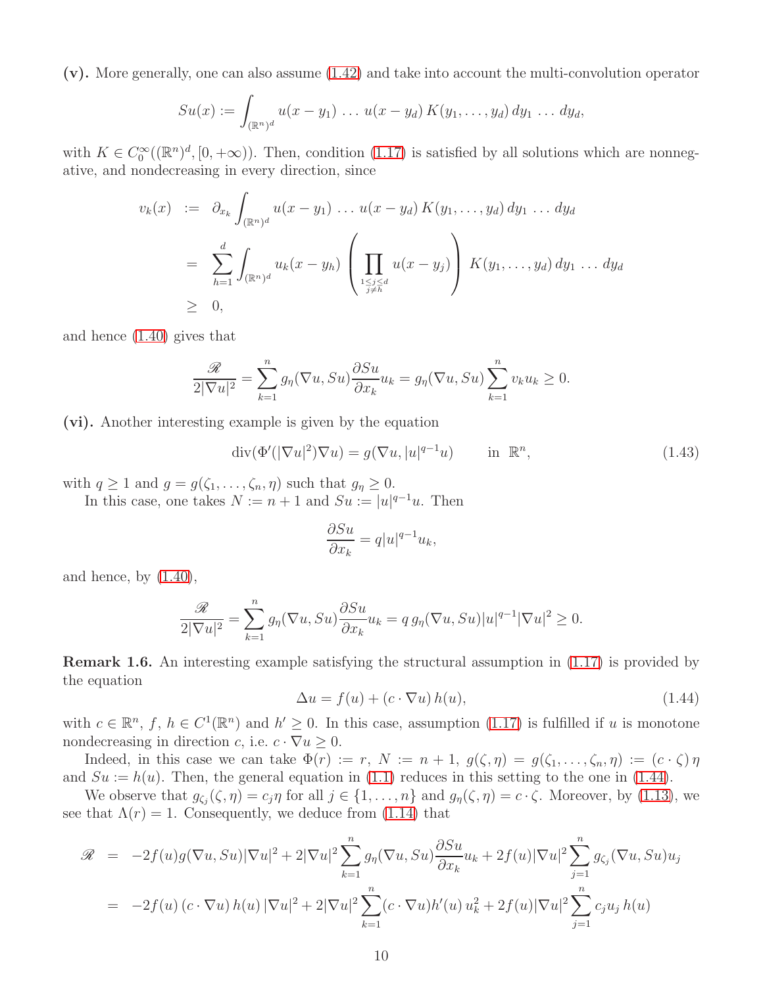(v). More generally, one can also assume [\(1.42\)](#page-8-0) and take into account the multi-convolution operator

$$
Su(x) := \int_{(\mathbb{R}^n)^d} u(x - y_1) \, \dots \, u(x - y_d) \, K(y_1, \dots, y_d) \, dy_1 \, \dots \, dy_d,
$$

with  $K \in C_0^{\infty}((\mathbb{R}^n)^d, [0, +\infty))$ . Then, condition [\(1.17\)](#page-4-5) is satisfied by all solutions which are nonnegative, and nondecreasing in every direction, since

$$
v_k(x) := \partial_{x_k} \int_{(\mathbb{R}^n)^d} u(x - y_1) \dots u(x - y_d) K(y_1, \dots, y_d) dy_1 \dots dy_d
$$
  
= 
$$
\sum_{h=1}^d \int_{(\mathbb{R}^n)^d} u_k(x - y_h) \left( \prod_{\substack{1 \le j \le d \\ j \ne h}} u(x - y_j) \right) K(y_1, \dots, y_d) dy_1 \dots dy_d
$$
  

$$
\geq 0,
$$

and hence [\(1.40\)](#page-7-2) gives that

$$
\frac{\mathcal{R}}{2|\nabla u|^2} = \sum_{k=1}^n g_\eta(\nabla u, Su) \frac{\partial Su}{\partial x_k} u_k = g_\eta(\nabla u, Su) \sum_{k=1}^n v_k u_k \ge 0.
$$

(vi). Another interesting example is given by the equation

$$
\operatorname{div}(\Phi'(|\nabla u|^2)\nabla u) = g(\nabla u, |u|^{q-1}u) \quad \text{in } \mathbb{R}^n,
$$
\n(1.43)

with  $q \ge 1$  and  $g = g(\zeta_1, \ldots, \zeta_n, \eta)$  such that  $g_\eta \ge 0$ .

In this case, one takes  $N := n + 1$  and  $Su := |u|^{q-1}u$ . Then

$$
\frac{\partial S u}{\partial x_k} = q |u|^{q-1} u_k,
$$

and hence, by  $(1.40)$ ,

$$
\frac{\mathcal{R}}{2|\nabla u|^2} = \sum_{k=1}^n g_\eta(\nabla u, Su) \frac{\partial Su}{\partial x_k} u_k = q g_\eta(\nabla u, Su)|u|^{q-1} |\nabla u|^2 \ge 0.
$$

<span id="page-9-0"></span>Remark 1.6. An interesting example satisfying the structural assumption in [\(1.17\)](#page-4-5) is provided by the equation

<span id="page-9-1"></span>
$$
\Delta u = f(u) + (c \cdot \nabla u) h(u), \qquad (1.44)
$$

with  $c \in \mathbb{R}^n$ ,  $f, h \in C^1(\mathbb{R}^n)$  and  $h' \geq 0$ . In this case, assumption [\(1.17\)](#page-4-5) is fulfilled if u is monotone nondecreasing in direction c, i.e.  $c \cdot \nabla u \geq 0$ .

Indeed, in this case we can take  $\Phi(r) := r, N := n + 1, g(\zeta, \eta) = g(\zeta_1, \ldots, \zeta_n, \eta) := (c \cdot \zeta) \eta$ and  $Su := h(u)$ . Then, the general equation in [\(1.1\)](#page-1-0) reduces in this setting to the one in [\(1.44\)](#page-9-1).

We observe that  $g_{\zeta_j}(\zeta, \eta) = c_j \eta$  for all  $j \in \{1, \ldots, n\}$  and  $g_{\eta}(\zeta, \eta) = c \cdot \zeta$ . Moreover, by [\(1.13\)](#page-3-4), we see that  $\Lambda(r) = 1$ . Consequently, we deduce from [\(1.14\)](#page-4-1) that

$$
\mathcal{R} = -2f(u)g(\nabla u, Su)|\nabla u|^2 + 2|\nabla u|^2 \sum_{k=1}^n g_\eta(\nabla u, Su) \frac{\partial Su}{\partial x_k} u_k + 2f(u)|\nabla u|^2 \sum_{j=1}^n g_{\zeta_j}(\nabla u, Su) u_j
$$
  
= 
$$
-2f(u)(c \cdot \nabla u) h(u) |\nabla u|^2 + 2|\nabla u|^2 \sum_{k=1}^n (c \cdot \nabla u) h'(u) u_k^2 + 2f(u)|\nabla u|^2 \sum_{j=1}^n c_j u_j h(u)
$$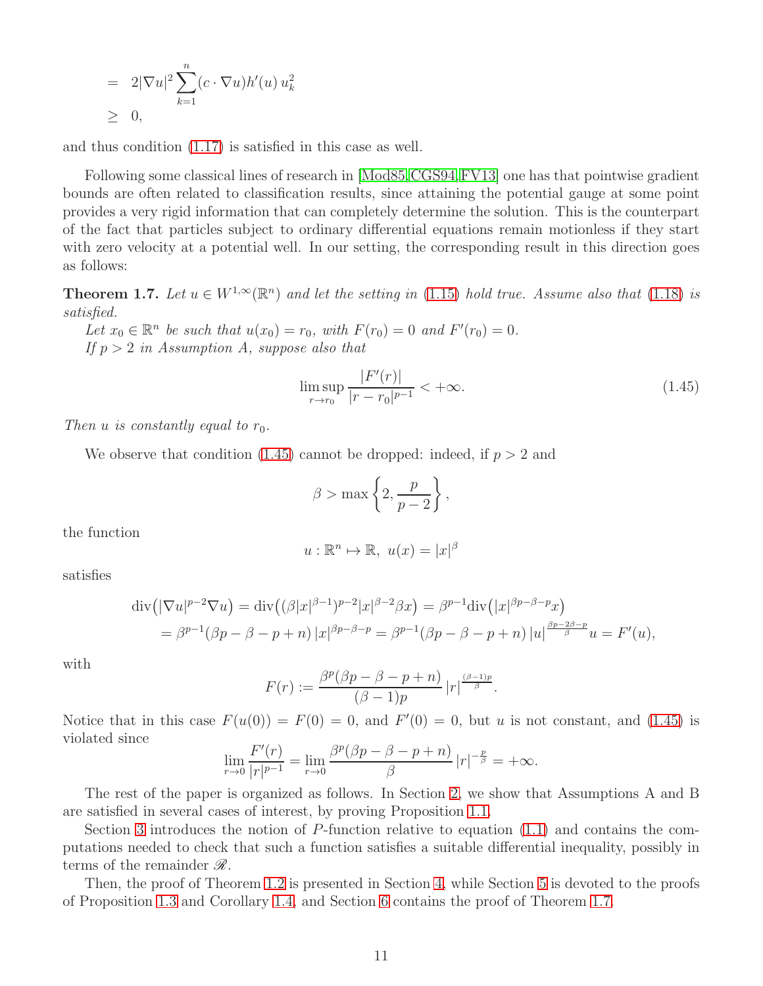$$
= 2|\nabla u|^2 \sum_{k=1}^n (c \cdot \nabla u) h'(u) u_k^2
$$
  

$$
\geq 0,
$$

and thus condition [\(1.17\)](#page-4-5) is satisfied in this case as well.

Following some classical lines of research in [\[Mod85,](#page-33-0)[CGS94,](#page-32-0)[FV13\]](#page-33-16) one has that pointwise gradient bounds are often related to classification results, since attaining the potential gauge at some point provides a very rigid information that can completely determine the solution. This is the counterpart of the fact that particles subject to ordinary differential equations remain motionless if they start with zero velocity at a potential well. In our setting, the corresponding result in this direction goes as follows:

<span id="page-10-1"></span>**Theorem 1.7.** Let  $u \in W^{1,\infty}(\mathbb{R}^n)$  and let the setting in [\(1.15\)](#page-4-2) hold true. Assume also that [\(1.18\)](#page-4-6) is *satisfied.*

*Let*  $x_0 \in \mathbb{R}^n$  *be such that*  $u(x_0) = r_0$ *, with*  $F(r_0) = 0$  *and*  $F'(r_0) = 0$ *. If* p > 2 *in Assumption A, suppose also that*

<span id="page-10-0"></span>
$$
\limsup_{r \to r_0} \frac{|F'(r)|}{|r - r_0|^{p-1}} < +\infty.
$$
\n(1.45)

*Then* u *is constantly equal to*  $r_0$ *.* 

We observe that condition  $(1.45)$  cannot be dropped: indeed, if  $p > 2$  and

$$
\beta > \max\left\{2, \frac{p}{p-2}\right\},\,
$$

the function

$$
u: \mathbb{R}^n \mapsto \mathbb{R}, \ u(x) = |x|^\beta
$$

satisfies

$$
\operatorname{div} \left( |\nabla u|^{p-2} \nabla u \right) = \operatorname{div} \left( (\beta |x|^{\beta-1})^{p-2} |x|^{\beta-2} \beta x \right) = \beta^{p-1} \operatorname{div} \left( |x|^{\beta p - \beta - p} x \right)
$$
  
=  $\beta^{p-1} (\beta p - \beta - p + n) |x|^{\beta p - \beta - p} = \beta^{p-1} (\beta p - \beta - p + n) |u|^{\frac{\beta p - 2\beta - p}{\beta}} u = F'(u),$ 

with

$$
F(r) := \frac{\beta^p(\beta p - \beta - p + n)}{(\beta - 1)p} |r|^{\frac{(\beta - 1)p}{\beta}}.
$$

Notice that in this case  $F(u(0)) = F(0) = 0$ , and  $F'(0) = 0$ , but u is not constant, and [\(1.45\)](#page-10-0) is violated since

$$
\lim_{r \to 0} \frac{F'(r)}{|r|^{p-1}} = \lim_{r \to 0} \frac{\beta^p(\beta p - \beta - p + n)}{\beta} |r|^{-\frac{p}{\beta}} = +\infty.
$$

The rest of the paper is organized as follows. In Section [2,](#page-11-0) we show that Assumptions A and B are satisfied in several cases of interest, by proving Proposition [1.1.](#page-3-0)

Section [3](#page-17-0) introduces the notion of P-function relative to equation [\(1.1\)](#page-1-0) and contains the computations needed to check that such a function satisfies a suitable differential inequality, possibly in terms of the remainder  $\mathscr{R}$ .

Then, the proof of Theorem [1.2](#page-4-4) is presented in Section [4,](#page-23-0) while Section [5](#page-28-0) is devoted to the proofs of Proposition [1.3](#page-5-1) and Corollary [1.4,](#page-6-0) and Section [6](#page-30-0) contains the proof of Theorem [1.7.](#page-10-1)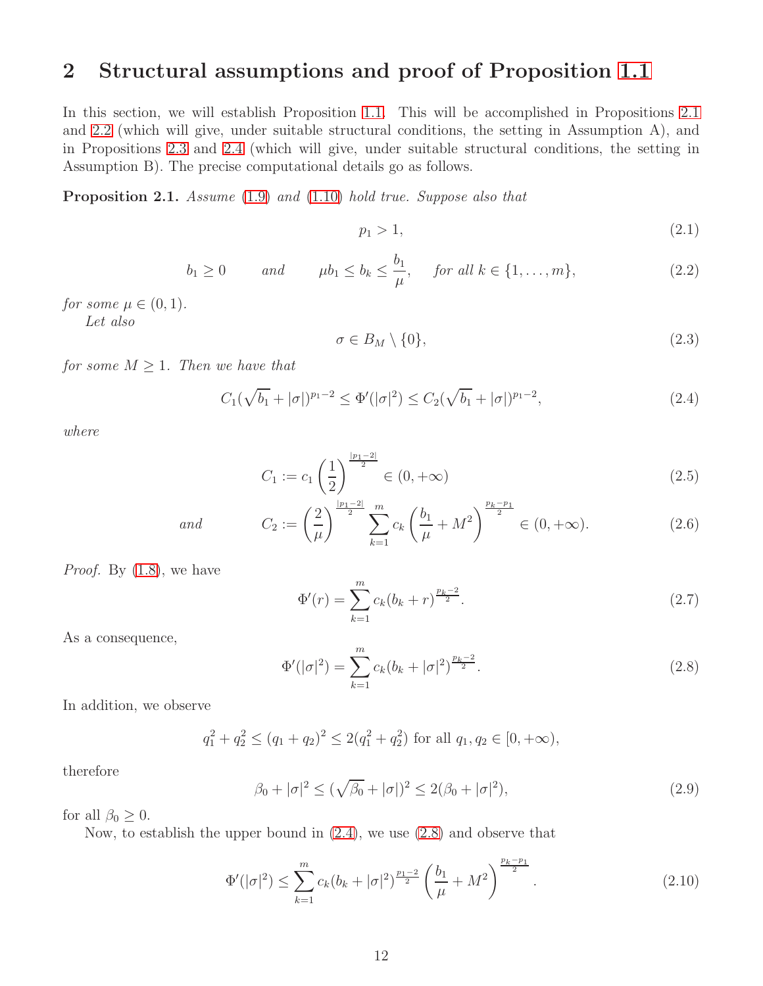### <span id="page-11-0"></span>2 Structural assumptions and proof of Proposition [1.1](#page-3-0)

In this section, we will establish Proposition [1.1.](#page-3-0) This will be accomplished in Propositions [2.1](#page-11-1) and [2.2](#page-12-0) (which will give, under suitable structural conditions, the setting in Assumption A), and in Propositions [2.3](#page-14-0) and [2.4](#page-15-0) (which will give, under suitable structural conditions, the setting in Assumption B). The precise computational details go as follows.

<span id="page-11-1"></span>Proposition 2.1. *Assume* [\(1.9\)](#page-3-2) *and* [\(1.10\)](#page-3-3) *hold true. Suppose also that*

<span id="page-11-8"></span>
$$
p_1 > 1,\tag{2.1}
$$

<span id="page-11-4"></span>
$$
b_1 \ge 0 \qquad \text{and} \qquad \mu b_1 \le b_k \le \frac{b_1}{\mu}, \quad \text{for all } k \in \{1, \dots, m\}, \tag{2.2}
$$

*for some*  $\mu \in (0, 1)$ *.* 

*Let also*

<span id="page-11-9"></span>
$$
\sigma \in B_M \setminus \{0\},\tag{2.3}
$$

*for some*  $M \geq 1$ *. Then we have that* 

<span id="page-11-2"></span>
$$
C_1(\sqrt{b_1} + |\sigma|)^{p_1 - 2} \le \Phi'(|\sigma|^2) \le C_2(\sqrt{b_1} + |\sigma|)^{p_1 - 2},\tag{2.4}
$$

*where*

<span id="page-11-7"></span>
$$
C_1 := c_1 \left(\frac{1}{2}\right)^{\frac{|p_1 - 2|}{2}} \in (0, +\infty)
$$
\n(2.5)

and 
$$
C_2 := \left(\frac{2}{\mu}\right)^{\frac{|p_1-2|}{2}} \sum_{k=1}^m c_k \left(\frac{b_1}{\mu} + M^2\right)^{\frac{p_k-p_1}{2}} \in (0, +\infty).
$$
 (2.6)

*Proof.* By [\(1.8\)](#page-3-1), we have

<span id="page-11-10"></span>
$$
\Phi'(r) = \sum_{k=1}^{m} c_k (b_k + r)^{\frac{p_k - 2}{2}}.
$$
\n(2.7)

As a consequence,

<span id="page-11-3"></span>
$$
\Phi'(|\sigma|^2) = \sum_{k=1}^{m} c_k (b_k + |\sigma|^2)^{\frac{p_k - 2}{2}}.
$$
\n(2.8)

In addition, we observe

$$
q_1^2 + q_2^2 \le (q_1 + q_2)^2 \le 2(q_1^2 + q_2^2)
$$
 for all  $q_1, q_2 \in [0, +\infty)$ ,

therefore

<span id="page-11-6"></span>
$$
\beta_0 + |\sigma|^2 \le (\sqrt{\beta_0} + |\sigma|)^2 \le 2(\beta_0 + |\sigma|^2),\tag{2.9}
$$

for all  $\beta_0 \geq 0$ .

Now, to establish the upper bound in [\(2.4\)](#page-11-2), we use [\(2.8\)](#page-11-3) and observe that

<span id="page-11-5"></span>
$$
\Phi'(|\sigma|^2) \le \sum_{k=1}^m c_k (b_k + |\sigma|^2)^{\frac{p_1-2}{2}} \left(\frac{b_1}{\mu} + M^2\right)^{\frac{p_k-p_1}{2}}.
$$
\n(2.10)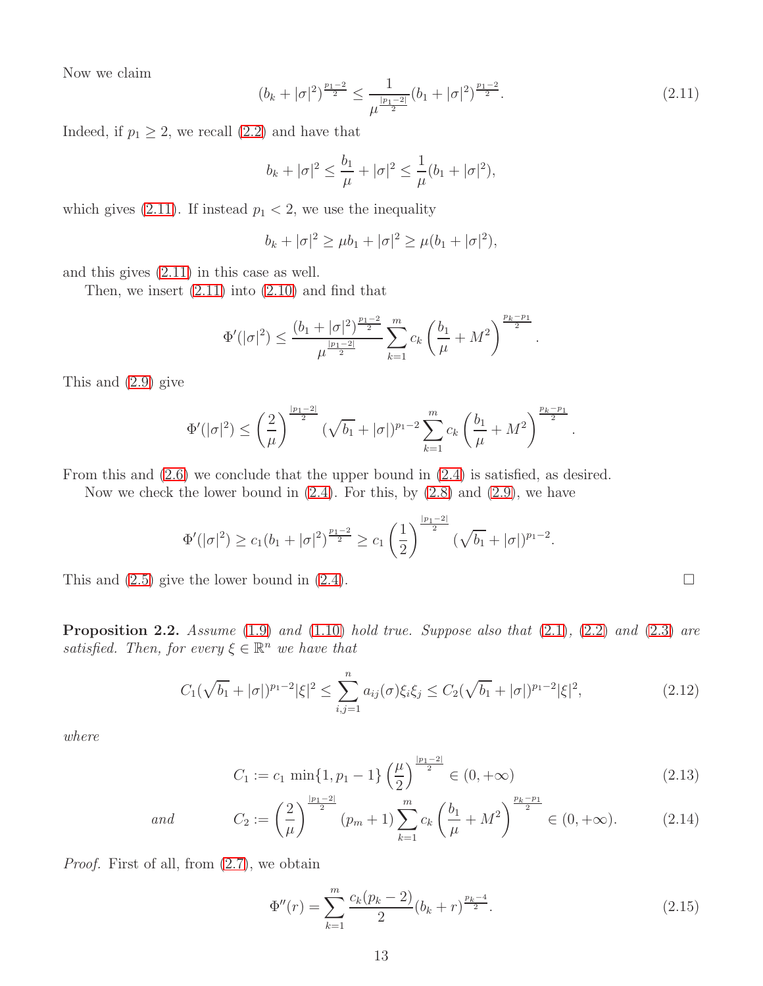Now we claim

<span id="page-12-1"></span>
$$
(b_k + |\sigma|^2)^{\frac{p_1 - 2}{2}} \le \frac{1}{\mu^{\frac{|p_1 - 2|}{2}}} (b_1 + |\sigma|^2)^{\frac{p_1 - 2}{2}}.
$$
\n(2.11)

.

Indeed, if  $p_1 \geq 2$ , we recall  $(2.2)$  and have that

$$
b_k + |\sigma|^2 \leq \frac{b_1}{\mu} + |\sigma|^2 \leq \frac{1}{\mu}(b_1 + |\sigma|^2),
$$

which gives [\(2.11\)](#page-12-1). If instead  $p_1 < 2$ , we use the inequality

$$
b_k + |\sigma|^2 \ge \mu b_1 + |\sigma|^2 \ge \mu (b_1 + |\sigma|^2),
$$

and this gives [\(2.11\)](#page-12-1) in this case as well.

Then, we insert  $(2.11)$  into  $(2.10)$  and find that

$$
\Phi'(|\sigma|^2) \le \frac{(b_1 + |\sigma|^2)^{\frac{p_1-2}{2}}}{\mu^{\frac{|p_1-2|}{2}}} \sum_{k=1}^m c_k \left(\frac{b_1}{\mu} + M^2\right)^{\frac{p_k-p_1}{2}}.
$$

This and [\(2.9\)](#page-11-6) give

$$
\Phi'(|\sigma|^2) \le \left(\frac{2}{\mu}\right)^{\frac{|p_1-2|}{2}} (\sqrt{b_1} + |\sigma|)^{p_1-2} \sum_{k=1}^m c_k \left(\frac{b_1}{\mu} + M^2\right)^{\frac{p_k-p_1}{2}}
$$

From this and [\(2.6\)](#page-11-7) we conclude that the upper bound in [\(2.4\)](#page-11-2) is satisfied, as desired.

Now we check the lower bound in  $(2.4)$ . For this, by  $(2.8)$  and  $(2.9)$ , we have

$$
\Phi'(|\sigma|^2) \ge c_1(b_1+|\sigma|^2)^{\frac{p_1-2}{2}} \ge c_1\left(\frac{1}{2}\right)^{\frac{|p_1-2|}{2}}(\sqrt{b_1}+|\sigma|)^{p_1-2}.
$$

This and  $(2.5)$  give the lower bound in  $(2.4)$ .

<span id="page-12-0"></span>Proposition 2.2. *Assume* [\(1.9\)](#page-3-2) *and* [\(1.10\)](#page-3-3) *hold true. Suppose also that* [\(2.1\)](#page-11-8)*,* [\(2.2\)](#page-11-4) *and* [\(2.3\)](#page-11-9) *are satisfied. Then, for every*  $\xi \in \mathbb{R}^n$  *we have that* 

<span id="page-12-2"></span>
$$
C_1(\sqrt{b_1}+|\sigma|)^{p_1-2}|\xi|^2 \le \sum_{i,j=1}^n a_{ij}(\sigma)\xi_i\xi_j \le C_2(\sqrt{b_1}+|\sigma|)^{p_1-2}|\xi|^2,
$$
\n(2.12)

*where*

<span id="page-12-3"></span>
$$
C_1 := c_1 \min\{1, p_1 - 1\} \left(\frac{\mu}{2}\right)^{\frac{|p_1 - 2|}{2}} \in (0, +\infty)
$$
\n(2.13)

and 
$$
C_2 := \left(\frac{2}{\mu}\right)^{\frac{|p_1-2|}{2}} (p_m+1) \sum_{k=1}^m c_k \left(\frac{b_1}{\mu} + M^2\right)^{\frac{p_k-p_1}{2}} \in (0, +\infty).
$$
 (2.14)

*Proof.* First of all, from [\(2.7\)](#page-11-10), we obtain

<span id="page-12-4"></span>
$$
\Phi''(r) = \sum_{k=1}^{m} \frac{c_k (p_k - 2)}{2} (b_k + r)^{\frac{p_k - 4}{2}}.
$$
\n(2.15)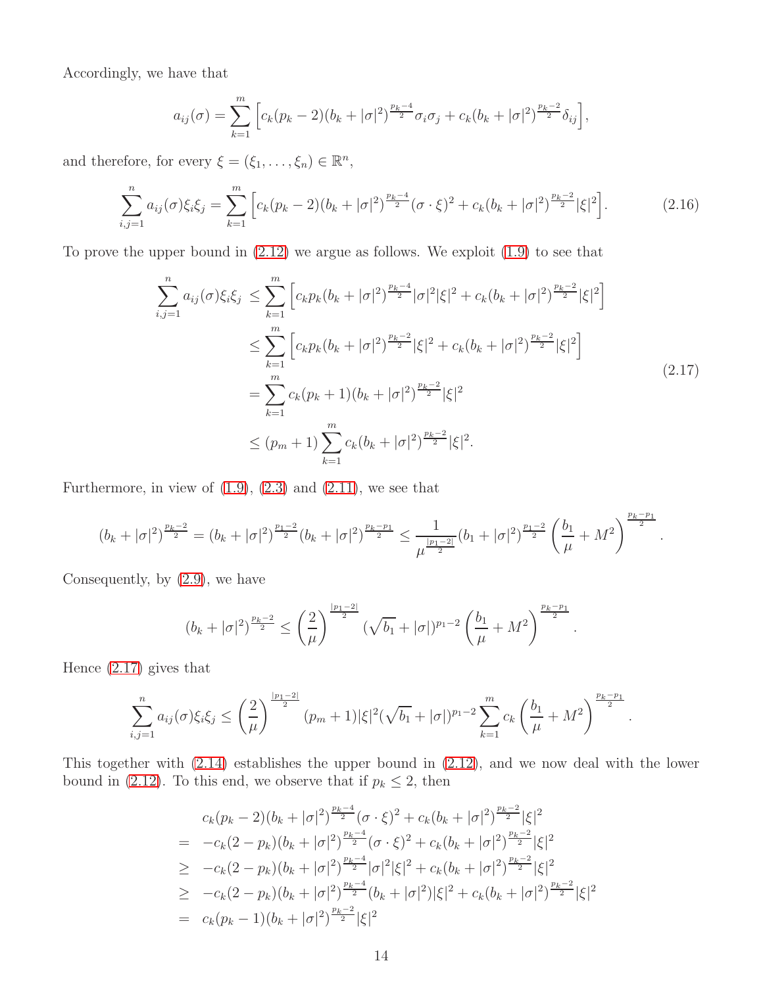Accordingly, we have that

$$
a_{ij}(\sigma) = \sum_{k=1}^{m} \left[ c_k (p_k - 2)(b_k + |\sigma|^2)^{\frac{p_k - 4}{2}} \sigma_i \sigma_j + c_k (b_k + |\sigma|^2)^{\frac{p_k - 2}{2}} \delta_{ij} \right],
$$

and therefore, for every  $\xi = (\xi_1, \dots, \xi_n) \in \mathbb{R}^n$ ,

<span id="page-13-1"></span>
$$
\sum_{i,j=1}^{n} a_{ij}(\sigma) \xi_i \xi_j = \sum_{k=1}^{m} \left[ c_k (p_k - 2)(b_k + |\sigma|^2)^{\frac{p_k - 4}{2}} (\sigma \cdot \xi)^2 + c_k (b_k + |\sigma|^2)^{\frac{p_k - 2}{2}} |\xi|^2 \right].
$$
 (2.16)

<span id="page-13-0"></span>To prove the upper bound in [\(2.12\)](#page-12-2) we argue as follows. We exploit [\(1.9\)](#page-3-2) to see that

$$
\sum_{i,j=1}^{n} a_{ij}(\sigma) \xi_i \xi_j \leq \sum_{k=1}^{m} \left[ c_k p_k (b_k + |\sigma|^2)^{\frac{p_k - 4}{2}} |\sigma|^2 |\xi|^2 + c_k (b_k + |\sigma|^2)^{\frac{p_k - 2}{2}} |\xi|^2 \right]
$$
  

$$
\leq \sum_{k=1}^{m} \left[ c_k p_k (b_k + |\sigma|^2)^{\frac{p_k - 2}{2}} |\xi|^2 + c_k (b_k + |\sigma|^2)^{\frac{p_k - 2}{2}} |\xi|^2 \right]
$$
  

$$
= \sum_{k=1}^{m} c_k (p_k + 1) (b_k + |\sigma|^2)^{\frac{p_k - 2}{2}} |\xi|^2
$$
  

$$
\leq (p_m + 1) \sum_{k=1}^{m} c_k (b_k + |\sigma|^2)^{\frac{p_k - 2}{2}} |\xi|^2.
$$
 (2.17)

Furthermore, in view of  $(1.9)$ ,  $(2.3)$  and  $(2.11)$ , we see that

$$
(b_k+|\sigma|^2)^{\frac{p_k-2}{2}}=(b_k+|\sigma|^2)^{\frac{p_1-2}{2}}(b_k+|\sigma|^2)^{\frac{p_k-p_1}{2}}\leq \frac{1}{\mu^{\frac{|p_1-2|}{2}}}(b_1+|\sigma|^2)^{\frac{p_1-2}{2}}\left(\frac{b_1}{\mu}+M^2\right)^{\frac{p_k-p_1}{2}}.
$$

Consequently, by [\(2.9\)](#page-11-6), we have

$$
(b_k+|\sigma|^2)^{\frac{p_k-2}{2}} \leq \left(\frac{2}{\mu}\right)^{\frac{|p_1-2|}{2}} (\sqrt{b_1}+|\sigma|)^{p_1-2} \left(\frac{b_1}{\mu}+M^2\right)^{\frac{p_k-p_1}{2}}.
$$

Hence [\(2.17\)](#page-13-0) gives that

$$
\sum_{i,j=1}^n a_{ij}(\sigma)\xi_i\xi_j \leq \left(\frac{2}{\mu}\right)^{\frac{|p_1-2|}{2}}(p_m+1)|\xi|^2(\sqrt{b_1}+|\sigma|)^{p_1-2}\sum_{k=1}^m c_k\left(\frac{b_1}{\mu}+M^2\right)^{\frac{p_k-p_1}{2}}.
$$

This together with [\(2.14\)](#page-12-3) establishes the upper bound in [\(2.12\)](#page-12-2), and we now deal with the lower bound in [\(2.12\)](#page-12-2). To this end, we observe that if  $p_k \leq 2$ , then

$$
c_k(p_k - 2)(b_k + |\sigma|^2)^{\frac{p_k - 4}{2}} (\sigma \cdot \xi)^2 + c_k(b_k + |\sigma|^2)^{\frac{p_k - 2}{2}} |\xi|^2
$$
  
= 
$$
-c_k(2 - p_k)(b_k + |\sigma|^2)^{\frac{p_k - 4}{2}} (\sigma \cdot \xi)^2 + c_k(b_k + |\sigma|^2)^{\frac{p_k - 2}{2}} |\xi|^2
$$
  

$$
\geq -c_k(2 - p_k)(b_k + |\sigma|^2)^{\frac{p_k - 4}{2}} |\sigma|^2 |\xi|^2 + c_k(b_k + |\sigma|^2)^{\frac{p_k - 2}{2}} |\xi|^2
$$
  

$$
\geq -c_k(2 - p_k)(b_k + |\sigma|^2)^{\frac{p_k - 4}{2}} (b_k + |\sigma|^2) |\xi|^2 + c_k(b_k + |\sigma|^2)^{\frac{p_k - 2}{2}} |\xi|^2
$$
  
= 
$$
c_k(p_k - 1)(b_k + |\sigma|^2)^{\frac{p_k - 2}{2}} |\xi|^2
$$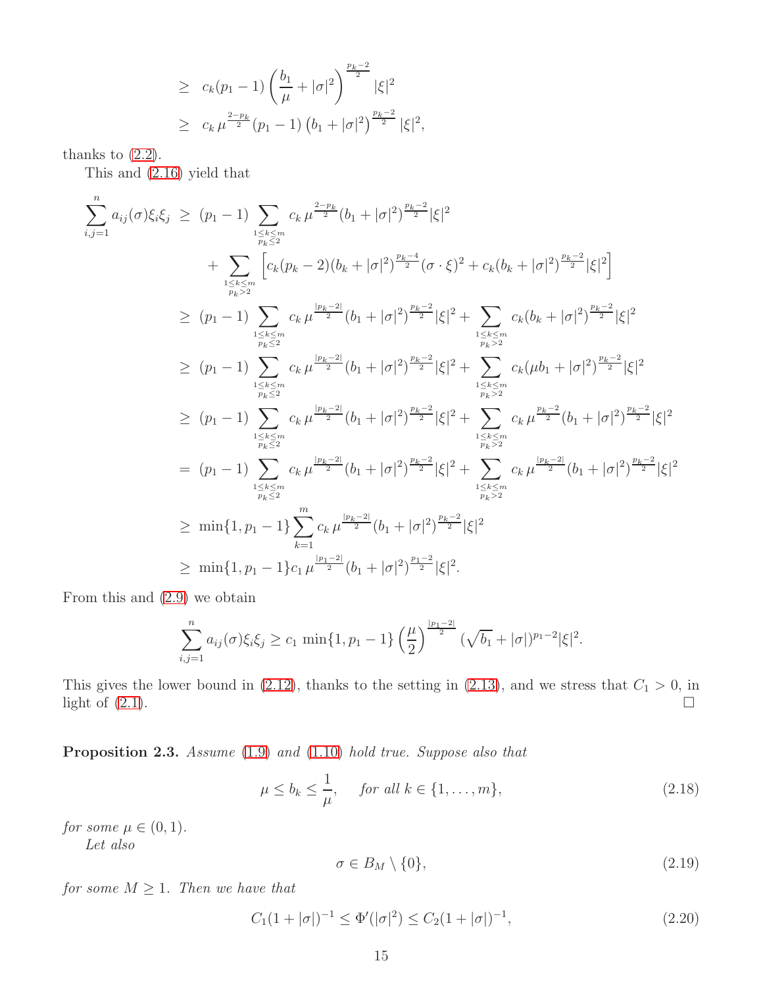$$
\geq c_k(p_1 - 1) \left(\frac{b_1}{\mu} + |\sigma|^2\right)^{\frac{p_k - 2}{2}} |\xi|^2
$$
  
 
$$
\geq c_k \mu^{\frac{2-p_k}{2}}(p_1 - 1) (b_1 + |\sigma|^2)^{\frac{p_k - 2}{2}} |\xi|^2,
$$

thanks to  $(2.2)$ .

This and [\(2.16\)](#page-13-1) yield that

$$
\sum_{i,j=1}^{n} a_{ij}(\sigma)\xi_{i}\xi_{j} \geq (p_{1}-1) \sum_{\substack{1 \leq k \leq m \\ p_{k} \leq 2}} c_{k} \mu^{\frac{2-p_{k}}{2}}(b_{1}+|\sigma|^{2})^{\frac{p_{k}-2}{2}}|\xi|^{2}
$$
\n
$$
+ \sum_{\substack{1 \leq k \leq m \\ p_{k} \leq 2}} \left[c_{k}(p_{k}-2)(b_{k}+|\sigma|^{2})^{\frac{p_{k}-4}{2}}(\sigma \cdot \xi)^{2} + c_{k}(b_{k}+|\sigma|^{2})^{\frac{p_{k}-2}{2}}|\xi|^{2}\right]
$$
\n
$$
\geq (p_{1}-1) \sum_{\substack{1 \leq k \leq m \\ p_{k} \leq 2}} c_{k} \mu^{\frac{|p_{k}-2|}{2}}(b_{1}+|\sigma|^{2})^{\frac{p_{k}-2}{2}}|\xi|^{2} + \sum_{\substack{1 \leq k \leq m \\ p_{k} \geq 2}} c_{k}(b_{k}+|\sigma|^{2})^{\frac{p_{k}-2}{2}}|\xi|^{2}
$$
\n
$$
\geq (p_{1}-1) \sum_{\substack{1 \leq k \leq m \\ p_{k} \leq 2}} c_{k} \mu^{\frac{|p_{k}-2|}{2}}(b_{1}+|\sigma|^{2})^{\frac{p_{k}-2}{2}}|\xi|^{2} + \sum_{\substack{1 \leq k \leq m \\ p_{k} \geq 2}} c_{k}(\mu b_{1}+|\sigma|^{2})^{\frac{p_{k}-2}{2}}|\xi|^{2}
$$
\n
$$
\geq (p_{1}-1) \sum_{\substack{1 \leq k \leq m \\ p_{k} \leq 2}} c_{k} \mu^{\frac{|p_{k}-2|}{2}}(b_{1}+|\sigma|^{2})^{\frac{p_{k}-2}{2}}|\xi|^{2} + \sum_{\substack{1 \leq k \leq m \\ p_{k} \geq 2}} c_{k} \mu^{\frac{p_{k}-2}{2}}(b_{1}+|\sigma|^{2})^{\frac{p_{k}-2}{2}}|\xi|^{2}
$$
\n
$$
= (p_{1}-1) \sum_{\substack{1 \leq k \leq m \\ p_{k} \geq 2}} c_{k} \
$$

From this and [\(2.9\)](#page-11-6) we obtain

$$
\sum_{i,j=1}^n a_{ij}(\sigma)\xi_i\xi_j \ge c_1 \min\{1,p_1-1\} \left(\frac{\mu}{2}\right)^{\frac{|p_1-2|}{2}} (\sqrt{b_1}+|\sigma|)^{p_1-2}|\xi|^2.
$$

This gives the lower bound in [\(2.12\)](#page-12-2), thanks to the setting in [\(2.13\)](#page-12-3), and we stress that  $C_1 > 0$ , in light of  $(2.1)$ .

<span id="page-14-0"></span>Proposition 2.3. *Assume* [\(1.9\)](#page-3-2) *and* [\(1.10\)](#page-3-3) *hold true. Suppose also that*

<span id="page-14-1"></span>
$$
\mu \le b_k \le \frac{1}{\mu}, \quad \text{for all } k \in \{1, \dots, m\},\tag{2.18}
$$

*for some*  $\mu \in (0, 1)$ *. Let also*

<span id="page-14-2"></span>
$$
\sigma \in B_M \setminus \{0\},\tag{2.19}
$$

*for some*  $M \geq 1$ *. Then we have that* 

<span id="page-14-3"></span>
$$
C_1(1+|\sigma|)^{-1} \le \Phi'(|\sigma|^2) \le C_2(1+|\sigma|)^{-1},\tag{2.20}
$$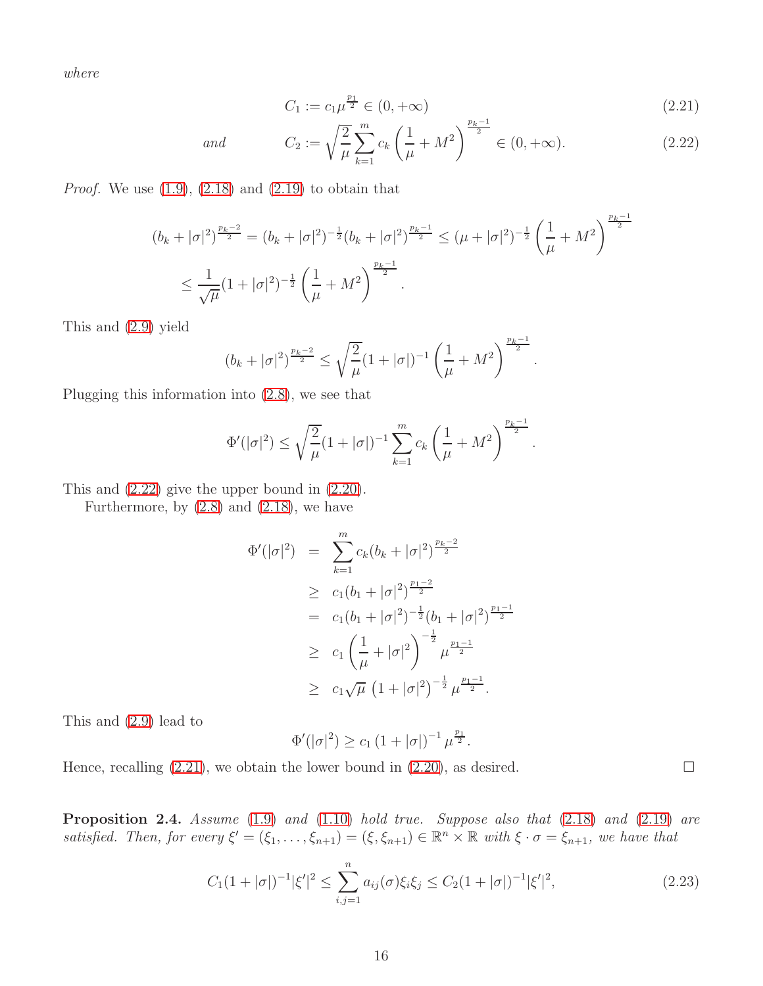*where*

<span id="page-15-1"></span>
$$
C_1 := c_1 \mu^{\frac{p_1}{2}} \in (0, +\infty)
$$
\n(2.21)

and 
$$
C_2 := \sqrt{\frac{2}{\mu}} \sum_{k=1}^{m} c_k \left(\frac{1}{\mu} + M^2\right)^{\frac{p_k - 1}{2}} \in (0, +\infty).
$$
 (2.22)

*Proof.* We use [\(1.9\)](#page-3-2), [\(2.18\)](#page-14-1) and [\(2.19\)](#page-14-2) to obtain that

$$
(b_k + |\sigma|^2)^{\frac{p_k - 2}{2}} = (b_k + |\sigma|^2)^{-\frac{1}{2}} (b_k + |\sigma|^2)^{\frac{p_k - 1}{2}} \le (\mu + |\sigma|^2)^{-\frac{1}{2}} \left(\frac{1}{\mu} + M^2\right)^{\frac{p_k - 1}{2}}
$$
  

$$
\le \frac{1}{\sqrt{\mu}} (1 + |\sigma|^2)^{-\frac{1}{2}} \left(\frac{1}{\mu} + M^2\right)^{\frac{p_k - 1}{2}}.
$$

This and [\(2.9\)](#page-11-6) yield

$$
(b_k + |\sigma|^2)^{\frac{p_k-2}{2}} \le \sqrt{\frac{2}{\mu}} (1 + |\sigma|)^{-1} \left(\frac{1}{\mu} + M^2\right)^{\frac{p_k-1}{2}}.
$$

Plugging this information into [\(2.8\)](#page-11-3), we see that

$$
\Phi'(|\sigma|^2) \le \sqrt{\frac{2}{\mu}} (1+|\sigma|)^{-1} \sum_{k=1}^m c_k \left(\frac{1}{\mu} + M^2\right)^{\frac{p_k-1}{2}}.
$$

This and [\(2.22\)](#page-15-1) give the upper bound in [\(2.20\)](#page-14-3).

Furthermore, by  $(2.8)$  and  $(2.18)$ , we have

$$
\Phi'(|\sigma|^2) = \sum_{k=1}^m c_k (b_k + |\sigma|^2)^{\frac{p_k - 2}{2}}
$$
  
\n
$$
\geq c_1 (b_1 + |\sigma|^2)^{\frac{p_1 - 2}{2}}
$$
  
\n
$$
= c_1 (b_1 + |\sigma|^2)^{-\frac{1}{2}} (b_1 + |\sigma|^2)^{\frac{p_1 - 1}{2}}
$$
  
\n
$$
\geq c_1 \left(\frac{1}{\mu} + |\sigma|^2\right)^{-\frac{1}{2}} \mu^{\frac{p_1 - 1}{2}}
$$
  
\n
$$
\geq c_1 \sqrt{\mu} (1 + |\sigma|^2)^{-\frac{1}{2}} \mu^{\frac{p_1 - 1}{2}}.
$$

This and [\(2.9\)](#page-11-6) lead to

$$
\Phi'(|\sigma|^2) \ge c_1 \left(1 + |\sigma|\right)^{-1} \mu^{\frac{p_1}{2}}.
$$

Hence, recalling  $(2.21)$ , we obtain the lower bound in  $(2.20)$ , as desired.

<span id="page-15-0"></span>Proposition 2.4. *Assume* [\(1.9\)](#page-3-2) *and* [\(1.10\)](#page-3-3) *hold true. Suppose also that* [\(2.18\)](#page-14-1) *and* [\(2.19\)](#page-14-2) *are satisfied. Then, for every*  $\xi' = (\xi_1, \ldots, \xi_{n+1}) = (\xi, \xi_{n+1}) \in \mathbb{R}^n \times \mathbb{R}$  *with*  $\xi \cdot \sigma = \xi_{n+1}$ *, we have that* 

<span id="page-15-2"></span>
$$
C_1(1+|\sigma|)^{-1}|\xi'|^2 \le \sum_{i,j=1}^n a_{ij}(\sigma)\xi_i\xi_j \le C_2(1+|\sigma|)^{-1}|\xi'|^2,
$$
\n(2.23)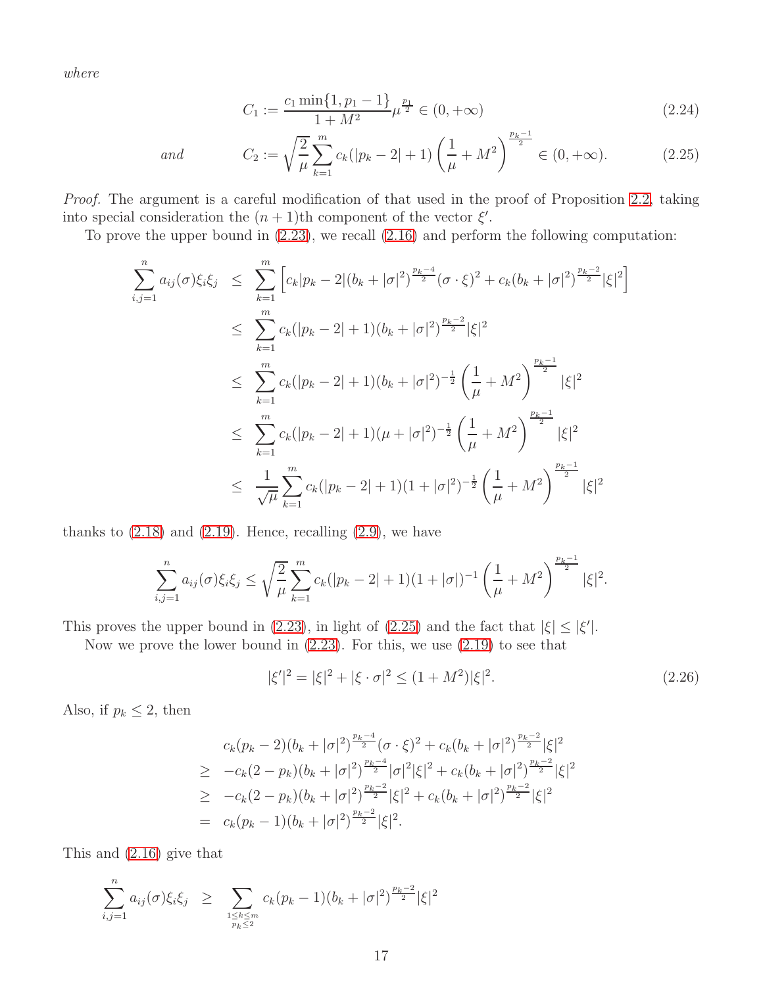*where*

<span id="page-16-0"></span>
$$
C_1 := \frac{c_1 \min\{1, p_1 - 1\}}{1 + M^2} \mu^{\frac{p_1}{2}} \in (0, +\infty)
$$
\n(2.24)

and 
$$
C_2 := \sqrt{\frac{2}{\mu}} \sum_{k=1}^{m} c_k (|p_k - 2| + 1) \left(\frac{1}{\mu} + M^2\right)^{\frac{p_k - 1}{2}} \in (0, +\infty).
$$
 (2.25)

*Proof.* The argument is a careful modification of that used in the proof of Proposition [2.2,](#page-12-0) taking into special consideration the  $(n+1)$ th component of the vector  $\xi'$ .

To prove the upper bound in [\(2.23\)](#page-15-2), we recall [\(2.16\)](#page-13-1) and perform the following computation:

$$
\sum_{i,j=1}^{n} a_{ij}(\sigma) \xi_i \xi_j \leq \sum_{k=1}^{m} \left[ c_k |p_k - 2| (b_k + |\sigma|^2)^{\frac{p_k - 4}{2}} (\sigma \cdot \xi)^2 + c_k (b_k + |\sigma|^2)^{\frac{p_k - 2}{2}} |\xi|^2 \right]
$$
  
\n
$$
\leq \sum_{k=1}^{m} c_k (|p_k - 2| + 1) (b_k + |\sigma|^2)^{\frac{p_k - 2}{2}} |\xi|^2
$$
  
\n
$$
\leq \sum_{k=1}^{m} c_k (|p_k - 2| + 1) (b_k + |\sigma|^2)^{-\frac{1}{2}} \left( \frac{1}{\mu} + M^2 \right)^{\frac{p_k - 1}{2}} |\xi|^2
$$
  
\n
$$
\leq \sum_{k=1}^{m} c_k (|p_k - 2| + 1) (\mu + |\sigma|^2)^{-\frac{1}{2}} \left( \frac{1}{\mu} + M^2 \right)^{\frac{p_k - 1}{2}} |\xi|^2
$$
  
\n
$$
\leq \frac{1}{\sqrt{\mu}} \sum_{k=1}^{m} c_k (|p_k - 2| + 1) (1 + |\sigma|^2)^{-\frac{1}{2}} \left( \frac{1}{\mu} + M^2 \right)^{\frac{p_k - 1}{2}} |\xi|^2
$$

thanks to  $(2.18)$  and  $(2.19)$ . Hence, recalling  $(2.9)$ , we have

$$
\sum_{i,j=1}^n a_{ij}(\sigma)\xi_i\xi_j \le \sqrt{\frac{2}{\mu}}\sum_{k=1}^m c_k(|p_k-2|+1)(1+|\sigma|)^{-1}\left(\frac{1}{\mu}+M^2\right)^{\frac{p_k-1}{2}}|\xi|^2.
$$

This proves the upper bound in [\(2.23\)](#page-15-2), in light of [\(2.25\)](#page-16-0) and the fact that  $|\xi| \leq |\xi'|$ .

Now we prove the lower bound in  $(2.23)$ . For this, we use  $(2.19)$  to see that

<span id="page-16-1"></span>
$$
|\xi'|^2 = |\xi|^2 + |\xi \cdot \sigma|^2 \le (1 + M^2)|\xi|^2. \tag{2.26}
$$

Also, if  $p_k \leq 2$ , then

$$
c_k(p_k - 2)(b_k + |\sigma|^2)^{\frac{p_k - 4}{2}} (\sigma \cdot \xi)^2 + c_k(b_k + |\sigma|^2)^{\frac{p_k - 2}{2}} |\xi|^2
$$
  
\n
$$
\geq -c_k(2 - p_k)(b_k + |\sigma|^2)^{\frac{p_k - 4}{2}} |\sigma|^2 |\xi|^2 + c_k(b_k + |\sigma|^2)^{\frac{p_k - 2}{2}} |\xi|^2
$$
  
\n
$$
\geq -c_k(2 - p_k)(b_k + |\sigma|^2)^{\frac{p_k - 2}{2}} |\xi|^2 + c_k(b_k + |\sigma|^2)^{\frac{p_k - 2}{2}} |\xi|^2
$$
  
\n
$$
= c_k(p_k - 1)(b_k + |\sigma|^2)^{\frac{p_k - 2}{2}} |\xi|^2.
$$

This and [\(2.16\)](#page-13-1) give that

$$
\sum_{i,j=1}^{n} a_{ij}(\sigma) \xi_i \xi_j \geq \sum_{\substack{1 \leq k \leq m \\ p_k \leq 2}} c_k (p_k - 1) (b_k + |\sigma|^2)^{\frac{p_k - 2}{2}} |\xi|^2
$$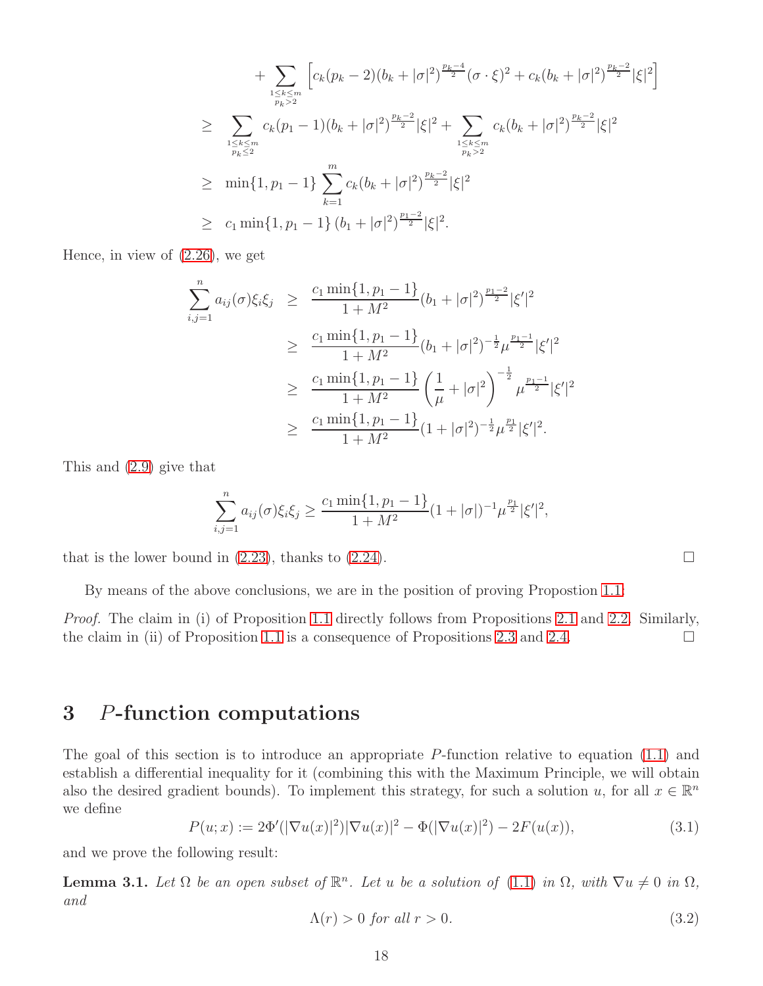+ 
$$
\sum_{\substack{1 \leq k \leq m \\ p_k > 2}} \left[ c_k (p_k - 2) (b_k + |\sigma|^2)^{\frac{p_k - 4}{2}} (\sigma \cdot \xi)^2 + c_k (b_k + |\sigma|^2)^{\frac{p_k - 2}{2}} |\xi|^2 \right]
$$
  
\n
$$
\geq \sum_{\substack{1 \leq k \leq m \\ p_k \leq 2}} c_k (p_1 - 1) (b_k + |\sigma|^2)^{\frac{p_k - 2}{2}} |\xi|^2 + \sum_{\substack{1 \leq k \leq m \\ p_k > 2}} c_k (b_k + |\sigma|^2)^{\frac{p_k - 2}{2}} |\xi|^2
$$
  
\n
$$
\geq \min\{1, p_1 - 1\} \sum_{k=1}^m c_k (b_k + |\sigma|^2)^{\frac{p_k - 2}{2}} |\xi|^2
$$
  
\n
$$
\geq c_1 \min\{1, p_1 - 1\} (b_1 + |\sigma|^2)^{\frac{p_1 - 2}{2}} |\xi|^2.
$$

Hence, in view of [\(2.26\)](#page-16-1), we get

$$
\sum_{i,j=1}^{n} a_{ij}(\sigma) \xi_i \xi_j \geq \frac{c_1 \min\{1, p_1 - 1\}}{1 + M^2} (b_1 + |\sigma|^2)^{\frac{p_1 - 2}{2}} |\xi'|^2
$$
  
\n
$$
\geq \frac{c_1 \min\{1, p_1 - 1\}}{1 + M^2} (b_1 + |\sigma|^2)^{-\frac{1}{2}} \mu^{\frac{p_1 - 1}{2}} |\xi'|^2
$$
  
\n
$$
\geq \frac{c_1 \min\{1, p_1 - 1\}}{1 + M^2} \left(\frac{1}{\mu} + |\sigma|^2\right)^{-\frac{1}{2}} \mu^{\frac{p_1 - 1}{2}} |\xi'|^2
$$
  
\n
$$
\geq \frac{c_1 \min\{1, p_1 - 1\}}{1 + M^2} (1 + |\sigma|^2)^{-\frac{1}{2}} \mu^{\frac{p_1}{2}} |\xi'|^2.
$$

This and [\(2.9\)](#page-11-6) give that

$$
\sum_{i,j=1}^n a_{ij}(\sigma)\xi_i\xi_j \ge \frac{c_1 \min\{1, p_1 - 1\}}{1 + M^2} (1 + |\sigma|)^{-1} \mu^{\frac{p_1}{2}} |\xi'|^2,
$$

that is the lower bound in  $(2.23)$ , thanks to  $(2.24)$ .

By means of the above conclusions, we are in the position of proving Propostion [1.1:](#page-3-0)

*Proof.* The claim in (i) of Proposition [1.1](#page-3-0) directly follows from Propositions [2.1](#page-11-1) and [2.2.](#page-12-0) Similarly, the claim in (ii) of Proposition [1.1](#page-3-0) is a consequence of Propositions [2.3](#page-14-0) and [2.4.](#page-15-0)  $\Box$ 

#### <span id="page-17-0"></span>3 P-function computations

The goal of this section is to introduce an appropriate P-function relative to equation [\(1.1\)](#page-1-0) and establish a differential inequality for it (combining this with the Maximum Principle, we will obtain also the desired gradient bounds). To implement this strategy, for such a solution u, for all  $x \in \mathbb{R}^n$ we define

<span id="page-17-2"></span>
$$
P(u; x) := 2\Phi'(|\nabla u(x)|^2)|\nabla u(x)|^2 - \Phi(|\nabla u(x)|^2) - 2F(u(x)),
$$
\n(3.1)

and we prove the following result:

<span id="page-17-3"></span>**Lemma 3.1.** Let  $\Omega$  be an open subset of  $\mathbb{R}^n$ . Let u be a solution of [\(1.1\)](#page-1-0) in  $\Omega$ , with  $\nabla u \neq 0$  in  $\Omega$ , *and*

<span id="page-17-1"></span>
$$
\Lambda(r) > 0 \text{ for all } r > 0. \tag{3.2}
$$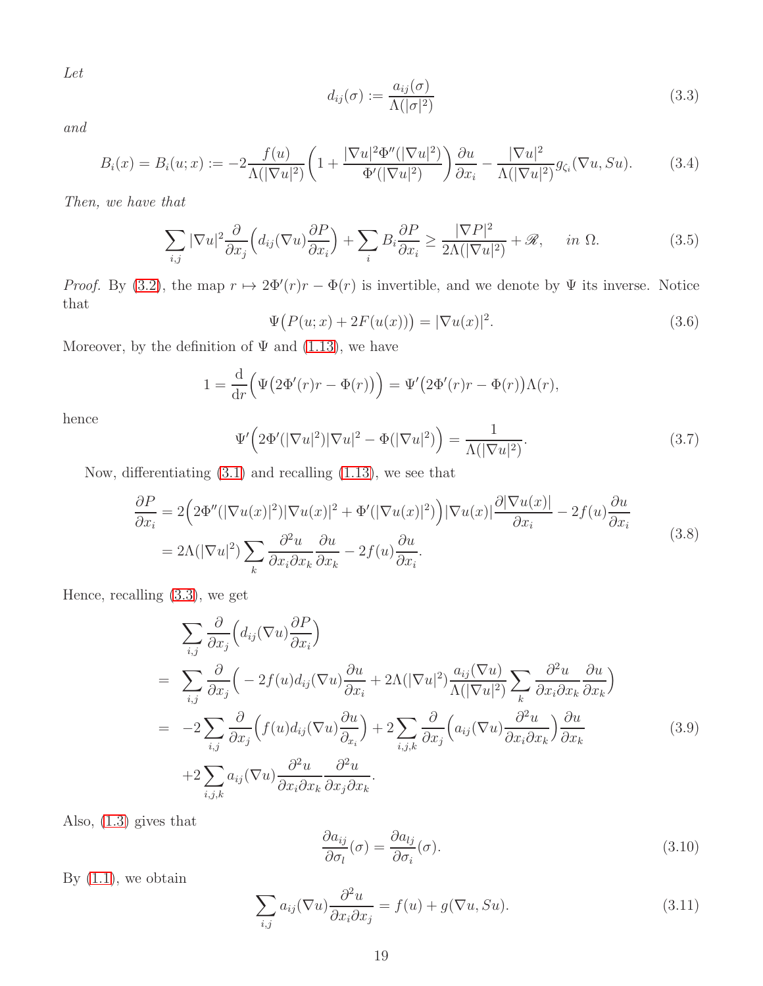*Let*

<span id="page-18-0"></span>
$$
d_{ij}(\sigma) := \frac{a_{ij}(\sigma)}{\Lambda(|\sigma|^2)}
$$
(3.3)

*and*

<span id="page-18-8"></span>
$$
B_i(x) = B_i(u; x) := -2 \frac{f(u)}{\Lambda(|\nabla u|^2)} \left( 1 + \frac{|\nabla u|^2 \Phi''(|\nabla u|^2)}{\Phi'(|\nabla u|^2)} \right) \frac{\partial u}{\partial x_i} - \frac{|\nabla u|^2}{\Lambda(|\nabla u|^2)} g_{\zeta_i}(\nabla u, Su). \tag{3.4}
$$

*Then, we have that*

<span id="page-18-7"></span>
$$
\sum_{i,j} |\nabla u|^2 \frac{\partial}{\partial x_j} \Big( d_{ij} (\nabla u) \frac{\partial P}{\partial x_i} \Big) + \sum_i B_i \frac{\partial P}{\partial x_i} \ge \frac{|\nabla P|^2}{2\Lambda (|\nabla u|^2)} + \mathcal{R}, \quad in \ \Omega. \tag{3.5}
$$

*Proof.* By [\(3.2\)](#page-17-1), the map  $r \mapsto 2\Phi'(r)r - \Phi(r)$  is invertible, and we denote by  $\Psi$  its inverse. Notice that

<span id="page-18-5"></span>
$$
\Psi\big(P(u;x) + 2F(u(x))\big) = |\nabla u(x)|^2. \tag{3.6}
$$

Moreover, by the definition of  $\Psi$  and [\(1.13\)](#page-3-4), we have

$$
1 = \frac{\mathrm{d}}{\mathrm{d}r} \Big( \Psi \big( 2\Phi'(r)r - \Phi(r) \big) \Big) = \Psi' \big( 2\Phi'(r)r - \Phi(r) \big) \Lambda(r),
$$

hence

<span id="page-18-6"></span>
$$
\Psi'\left(2\Phi'(|\nabla u|^2)|\nabla u|^2 - \Phi(|\nabla u|^2)\right) = \frac{1}{\Lambda(|\nabla u|^2)}.
$$
\n(3.7)

Now, differentiating [\(3.1\)](#page-17-2) and recalling [\(1.13\)](#page-3-4), we see that

<span id="page-18-4"></span>
$$
\frac{\partial P}{\partial x_i} = 2\left(2\Phi''(|\nabla u(x)|^2)|\nabla u(x)|^2 + \Phi'(|\nabla u(x)|^2)\right)|\nabla u(x)|\frac{\partial|\nabla u(x)|}{\partial x_i} - 2f(u)\frac{\partial u}{\partial x_i}
$$
\n
$$
= 2\Lambda(|\nabla u|^2)\sum_k \frac{\partial^2 u}{\partial x_i \partial x_k} \frac{\partial u}{\partial x_k} - 2f(u)\frac{\partial u}{\partial x_i}.
$$
\n(3.8)

Hence, recalling [\(3.3\)](#page-18-0), we get

<span id="page-18-3"></span>
$$
\sum_{i,j} \frac{\partial}{\partial x_j} \Big( d_{ij} (\nabla u) \frac{\partial P}{\partial x_i} \Big)
$$
\n
$$
= \sum_{i,j} \frac{\partial}{\partial x_j} \Big( -2f(u) d_{ij} (\nabla u) \frac{\partial u}{\partial x_i} + 2\Lambda (|\nabla u|^2) \frac{a_{ij} (\nabla u)}{\Lambda (|\nabla u|^2)} \sum_k \frac{\partial^2 u}{\partial x_i \partial x_k} \frac{\partial u}{\partial x_k} \Big)
$$
\n
$$
= -2 \sum_{i,j} \frac{\partial}{\partial x_j} \Big( f(u) d_{ij} (\nabla u) \frac{\partial u}{\partial x_i} \Big) + 2 \sum_{i,j,k} \frac{\partial}{\partial x_j} \Big( a_{ij} (\nabla u) \frac{\partial^2 u}{\partial x_i \partial x_k} \Big) \frac{\partial u}{\partial x_k} \Big)
$$
\n
$$
+ 2 \sum_{i,j,k} a_{ij} (\nabla u) \frac{\partial^2 u}{\partial x_i \partial x_k} \frac{\partial^2 u}{\partial x_j \partial x_k}.
$$
\n(3.9)

Also, [\(1.3\)](#page-2-2) gives that

<span id="page-18-1"></span>
$$
\frac{\partial a_{ij}}{\partial \sigma_l}(\sigma) = \frac{\partial a_{lj}}{\partial \sigma_i}(\sigma). \tag{3.10}
$$

By  $(1.1)$ , we obtain

<span id="page-18-2"></span>
$$
\sum_{i,j} a_{ij} (\nabla u) \frac{\partial^2 u}{\partial x_i \partial x_j} = f(u) + g(\nabla u, Su).
$$
 (3.11)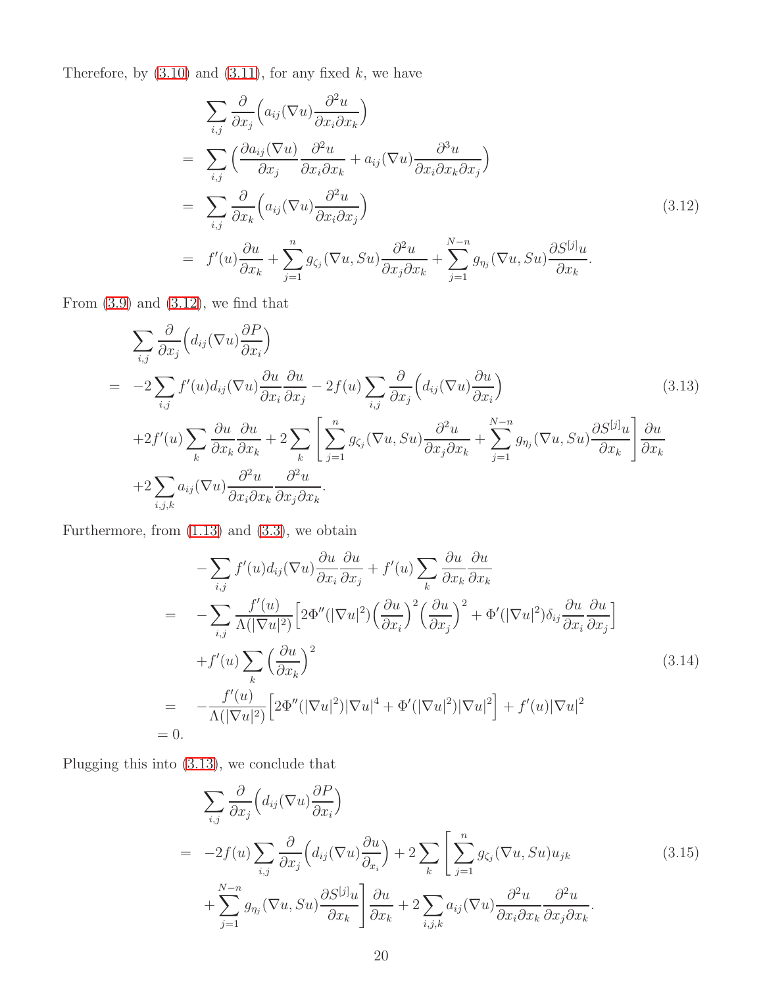Therefore, by  $(3.10)$  and  $(3.11)$ , for any fixed k, we have

<span id="page-19-0"></span>
$$
\sum_{i,j} \frac{\partial}{\partial x_j} \left( a_{ij} (\nabla u) \frac{\partial^2 u}{\partial x_i \partial x_k} \right)
$$
\n
$$
= \sum_{i,j} \left( \frac{\partial a_{ij} (\nabla u)}{\partial x_j} \frac{\partial^2 u}{\partial x_i \partial x_k} + a_{ij} (\nabla u) \frac{\partial^3 u}{\partial x_i \partial x_k \partial x_j} \right)
$$
\n
$$
= \sum_{i,j} \frac{\partial}{\partial x_k} \left( a_{ij} (\nabla u) \frac{\partial^2 u}{\partial x_i \partial x_j} \right)
$$
\n
$$
= f'(u) \frac{\partial u}{\partial x_k} + \sum_{j=1}^n g_{\zeta_j} (\nabla u, Su) \frac{\partial^2 u}{\partial x_j \partial x_k} + \sum_{j=1}^{N-n} g_{\eta_j} (\nabla u, Su) \frac{\partial S^{[j]} u}{\partial x_k}.
$$
\n(3.12)

From  $(3.9)$  and  $(3.12)$ , we find that

<span id="page-19-1"></span>
$$
\sum_{i,j} \frac{\partial}{\partial x_j} \Big( d_{ij} (\nabla u) \frac{\partial P}{\partial x_i} \Big)
$$
\n
$$
= -2 \sum_{i,j} f'(u) d_{ij} (\nabla u) \frac{\partial u}{\partial x_i} \frac{\partial u}{\partial x_j} - 2 f(u) \sum_{i,j} \frac{\partial}{\partial x_j} \Big( d_{ij} (\nabla u) \frac{\partial u}{\partial x_i} \Big)
$$
\n
$$
+ 2 f'(u) \sum_k \frac{\partial u}{\partial x_k} \frac{\partial u}{\partial x_k} + 2 \sum_k \Bigg[ \sum_{j=1}^n g_{\zeta_j} (\nabla u, Su) \frac{\partial^2 u}{\partial x_j \partial x_k} + \sum_{j=1}^{N-n} g_{\eta_j} (\nabla u, Su) \frac{\partial S^{[j]} u}{\partial x_k} \Bigg] \frac{\partial u}{\partial x_k}
$$
\n
$$
+ 2 \sum_{i,j,k} a_{ij} (\nabla u) \frac{\partial^2 u}{\partial x_i \partial x_k} \frac{\partial^2 u}{\partial x_j \partial x_k}.
$$
\n(3.13)

Furthermore, from [\(1.13\)](#page-3-4) and [\(3.3\)](#page-18-0), we obtain

$$
- \sum_{i,j} f'(u) d_{ij}(\nabla u) \frac{\partial u}{\partial x_i} \frac{\partial u}{\partial x_j} + f'(u) \sum_k \frac{\partial u}{\partial x_k} \frac{\partial u}{\partial x_k}
$$
  
\n
$$
= - \sum_{i,j} \frac{f'(u)}{\Lambda(|\nabla u|^2)} \Big[ 2\Phi''(|\nabla u|^2) \Big(\frac{\partial u}{\partial x_i}\Big)^2 \Big(\frac{\partial u}{\partial x_j}\Big)^2 + \Phi'(|\nabla u|^2) \delta_{ij} \frac{\partial u}{\partial x_i} \frac{\partial u}{\partial x_j} \Big]
$$
  
\n
$$
+ f'(u) \sum_k \Big(\frac{\partial u}{\partial x_k}\Big)^2
$$
  
\n
$$
= - \frac{f'(u)}{\Lambda(|\nabla u|^2)} \Big[ 2\Phi''(|\nabla u|^2) |\nabla u|^4 + \Phi'(|\nabla u|^2) |\nabla u|^2 \Big] + f'(u) |\nabla u|^2
$$
  
\n
$$
= 0.
$$
  
\n(3.14)

Plugging this into [\(3.13\)](#page-19-1), we conclude that

<span id="page-19-2"></span>
$$
\sum_{i,j} \frac{\partial}{\partial x_j} \Big( d_{ij} (\nabla u) \frac{\partial P}{\partial x_i} \Big)
$$
\n
$$
= -2f(u) \sum_{i,j} \frac{\partial}{\partial x_j} \Big( d_{ij} (\nabla u) \frac{\partial u}{\partial x_i} \Big) + 2 \sum_k \Bigg[ \sum_{j=1}^n g_{\zeta_j} (\nabla u, Su) u_{jk} \Bigg] + \sum_{j=1}^{N-n} g_{\eta_j} (\nabla u, Su) \frac{\partial S^{[j]} u}{\partial x_k} \Bigg] \frac{\partial u}{\partial x_k} + 2 \sum_{i,j,k} a_{ij} (\nabla u) \frac{\partial^2 u}{\partial x_i \partial x_k} \frac{\partial^2 u}{\partial x_j \partial x_k} .
$$
\n(3.15)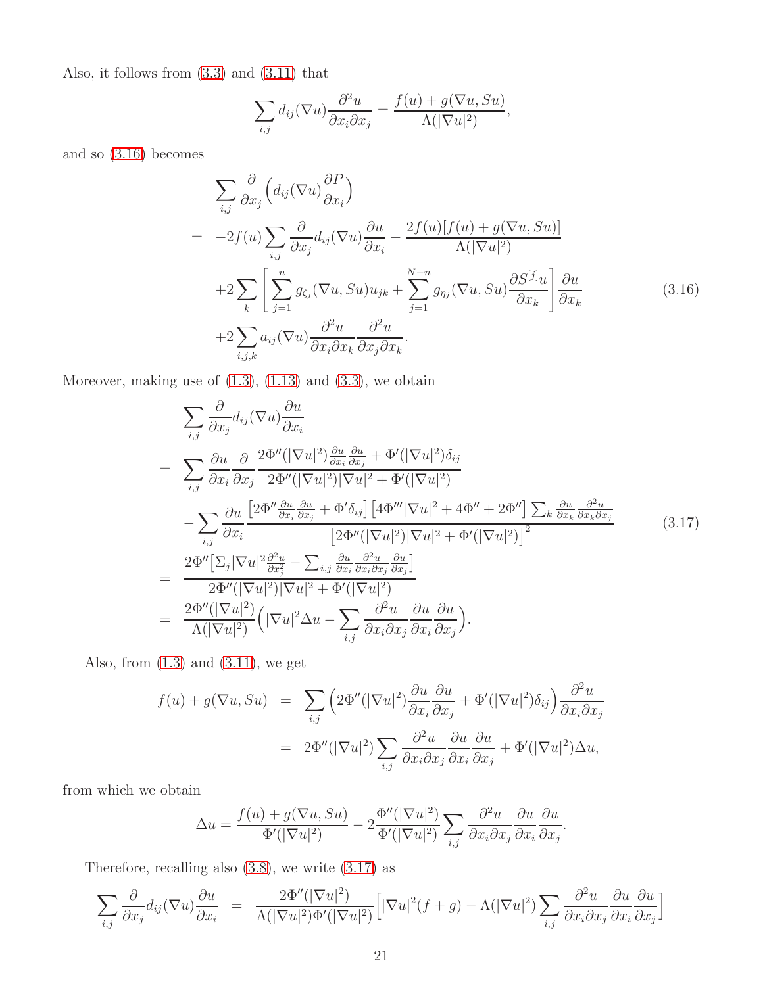Also, it follows from [\(3.3\)](#page-18-0) and [\(3.11\)](#page-18-2) that

$$
\sum_{i,j} d_{ij} (\nabla u) \frac{\partial^2 u}{\partial x_i \partial x_j} = \frac{f(u) + g(\nabla u, Su)}{\Lambda(|\nabla u|^2)},
$$

and so [\(3.16\)](#page-19-2) becomes

<span id="page-20-1"></span>
$$
\sum_{i,j} \frac{\partial}{\partial x_j} \Big( d_{ij} (\nabla u) \frac{\partial P}{\partial x_i} \Big)
$$
\n
$$
= -2f(u) \sum_{i,j} \frac{\partial}{\partial x_j} d_{ij} (\nabla u) \frac{\partial u}{\partial x_i} - \frac{2f(u)[f(u) + g(\nabla u, Su)]}{\Lambda(|\nabla u|^2)}
$$
\n
$$
+2 \sum_{k} \left[ \sum_{j=1}^n g_{\zeta_j} (\nabla u, Su) u_{jk} + \sum_{j=1}^{N-n} g_{\eta_j} (\nabla u, Su) \frac{\partial S^{[j]} u}{\partial x_k} \right] \frac{\partial u}{\partial x_k}
$$
\n
$$
+2 \sum_{i,j,k} a_{ij} (\nabla u) \frac{\partial^2 u}{\partial x_i \partial x_k} \frac{\partial^2 u}{\partial x_j \partial x_k}.
$$
\n(3.16)

Moreover, making use of  $(1.3)$ ,  $(1.13)$  and  $(3.3)$ , we obtain

<span id="page-20-0"></span>
$$
\sum_{i,j} \frac{\partial}{\partial x_j} d_{ij} (\nabla u) \frac{\partial u}{\partial x_i}
$$
\n
$$
= \sum_{i,j} \frac{\partial u}{\partial x_i} \frac{\partial}{\partial x_j} \frac{2 \Phi''(|\nabla u|^2) \frac{\partial u}{\partial x_i} \frac{\partial u}{\partial x_j} + \Phi'(|\nabla u|^2) \delta_{ij}}{2 \Phi''(|\nabla u|^2)|\nabla u|^2 + \Phi'(|\nabla u|^2)}
$$
\n
$$
- \sum_{i,j} \frac{\partial u}{\partial x_i} \frac{[2 \Phi'' \frac{\partial u}{\partial x_i} \frac{\partial u}{\partial x_j} + \Phi' \delta_{ij}] [4 \Phi''' |\nabla u|^2 + 4 \Phi'' + 2 \Phi''] \sum_{k} \frac{\partial u}{\partial x_k} \frac{\partial^2 u}{\partial x_k \partial x_j}}{[\nabla u|^2] [\nabla u|^2] [\nabla u|^2] + \Phi'(|\nabla u|^2)]^2}
$$
\n
$$
= \frac{2 \Phi''[\sum_{j} |\nabla u|^2 \frac{\partial^2 u}{\partial x_j^2} - \sum_{i,j} \frac{\partial u}{\partial x_i} \frac{\partial^2 u}{\partial x_i \partial x_j} \frac{\partial u}{\partial x_j}]}{2 \Phi''(|\nabla u|^2) |\nabla u|^2 + \Phi'(|\nabla u|^2)}
$$
\n
$$
= \frac{2 \Phi''(|\nabla u|^2)}{\Lambda(|\nabla u|^2)} (|\nabla u|^2 \Delta u - \sum_{i,j} \frac{\partial^2 u}{\partial x_i \partial x_j} \frac{\partial u}{\partial x_i} \frac{\partial u}{\partial x_j}).
$$
\n(3.17)

Also, from  $(1.3)$  and  $(3.11)$ , we get

$$
f(u) + g(\nabla u, Su) = \sum_{i,j} \left( 2\Phi''(|\nabla u|^2) \frac{\partial u}{\partial x_i} \frac{\partial u}{\partial x_j} + \Phi'(|\nabla u|^2) \delta_{ij} \right) \frac{\partial^2 u}{\partial x_i \partial x_j}
$$
  
= 
$$
2\Phi''(|\nabla u|^2) \sum_{i,j} \frac{\partial^2 u}{\partial x_i \partial x_j} \frac{\partial u}{\partial x_i} \frac{\partial u}{\partial x_j} + \Phi'(|\nabla u|^2) \Delta u,
$$

from which we obtain

$$
\Delta u = \frac{f(u) + g(\nabla u, Su)}{\Phi'(|\nabla u|^2)} - 2\frac{\Phi''(|\nabla u|^2)}{\Phi'(|\nabla u|^2)} \sum_{i,j} \frac{\partial^2 u}{\partial x_i \partial x_j} \frac{\partial u}{\partial x_i} \frac{\partial u}{\partial x_j}.
$$

Therefore, recalling also [\(3.8\)](#page-18-4), we write [\(3.17\)](#page-20-0) as

$$
\sum_{i,j} \frac{\partial}{\partial x_j} d_{ij} (\nabla u) \frac{\partial u}{\partial x_i} = \frac{2\Phi''(|\nabla u|^2)}{\Lambda(|\nabla u|^2)\Phi'(|\nabla u|^2)} \Big[ |\nabla u|^2 (f+g) - \Lambda(|\nabla u|^2) \sum_{i,j} \frac{\partial^2 u}{\partial x_i \partial x_j} \frac{\partial u}{\partial x_i} \frac{\partial u}{\partial x_j} \Big]
$$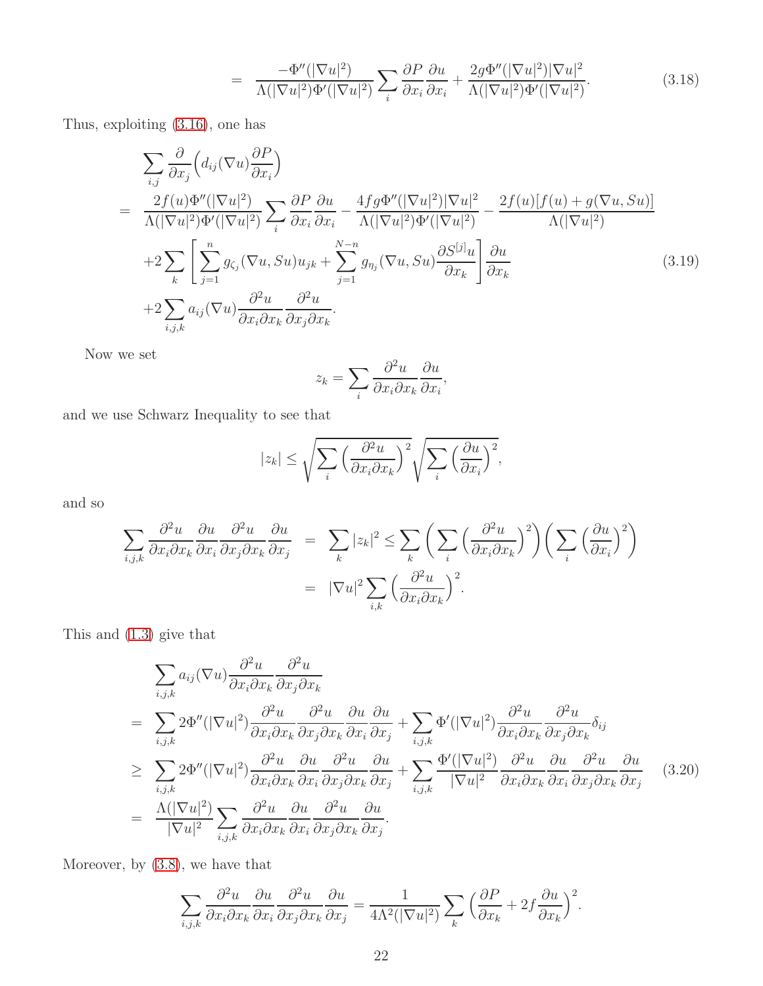$$
= \frac{-\Phi''(|\nabla u|^2)}{\Lambda(|\nabla u|^2)\Phi'(|\nabla u|^2)} \sum_{i} \frac{\partial P}{\partial x_i} \frac{\partial u}{\partial x_i} + \frac{2g\Phi''(|\nabla u|^2)|\nabla u|^2}{\Lambda(|\nabla u|^2)\Phi'(|\nabla u|^2)}.
$$
(3.18)

Thus, exploiting [\(3.16\)](#page-20-1), one has

<span id="page-21-1"></span>
$$
\sum_{i,j} \frac{\partial}{\partial x_j} \left( d_{ij} (\nabla u) \frac{\partial P}{\partial x_i} \right)
$$
\n
$$
= \frac{2f(u)\Phi''(|\nabla u|^2)}{\Lambda(|\nabla u|^2)\Phi'(|\nabla u|^2)} \sum_i \frac{\partial P}{\partial x_i} \frac{\partial u}{\partial x_i} - \frac{4fg\Phi''(|\nabla u|^2)|\nabla u|^2}{\Lambda(|\nabla u|^2)\Phi'(|\nabla u|^2)} - \frac{2f(u)[f(u) + g(\nabla u, Su)]}{\Lambda(|\nabla u|^2)}
$$
\n
$$
+ 2 \sum_k \left[ \sum_{j=1}^n g_{\zeta_j} (\nabla u, Su) u_{jk} + \sum_{j=1}^{N-n} g_{\eta_j} (\nabla u, Su) \frac{\partial S^{[j]} u}{\partial x_k} \right] \frac{\partial u}{\partial x_k}
$$
\n
$$
+ 2 \sum_{i,j,k} a_{ij} (\nabla u) \frac{\partial^2 u}{\partial x_i \partial x_k} \frac{\partial^2 u}{\partial x_j \partial x_k}.
$$
\n(3.19)

Now we set

$$
z_k = \sum_i \frac{\partial^2 u}{\partial x_i \partial x_k} \frac{\partial u}{\partial x_i},
$$

and we use Schwarz Inequality to see that

$$
|z_k| \leq \sqrt{\sum_i \left(\frac{\partial^2 u}{\partial x_i \partial x_k}\right)^2} \sqrt{\sum_i \left(\frac{\partial u}{\partial x_i}\right)^2},
$$

and so

$$
\sum_{i,j,k} \frac{\partial^2 u}{\partial x_i \partial x_k} \frac{\partial u}{\partial x_j} \frac{\partial^2 u}{\partial x_j \partial x_k} \frac{\partial u}{\partial x_j} = \sum_k |z_k|^2 \le \sum_k \left( \sum_i \left( \frac{\partial^2 u}{\partial x_i \partial x_k} \right)^2 \right) \left( \sum_i \left( \frac{\partial u}{\partial x_i} \right)^2 \right)
$$
  

$$
= |\nabla u|^2 \sum_{i,k} \left( \frac{\partial^2 u}{\partial x_i \partial x_k} \right)^2.
$$

This and [\(1.3\)](#page-2-2) give that

<span id="page-21-0"></span>
$$
\sum_{i,j,k} a_{ij} (\nabla u) \frac{\partial^2 u}{\partial x_i \partial x_k} \frac{\partial^2 u}{\partial x_j \partial x_k}
$$
\n
$$
= \sum_{i,j,k} 2 \Phi''(|\nabla u|^2) \frac{\partial^2 u}{\partial x_i \partial x_k} \frac{\partial^2 u}{\partial x_j \partial x_k} \frac{\partial u}{\partial x_i} \frac{\partial u}{\partial x_j} + \sum_{i,j,k} \Phi'(|\nabla u|^2) \frac{\partial^2 u}{\partial x_i \partial x_k} \frac{\partial^2 u}{\partial x_j \partial x_k} \delta_{ij}
$$
\n
$$
\geq \sum_{i,j,k} 2 \Phi''(|\nabla u|^2) \frac{\partial^2 u}{\partial x_i \partial x_k} \frac{\partial u}{\partial x_i} \frac{\partial^2 u}{\partial x_j \partial x_k} \frac{\partial u}{\partial x_j} + \sum_{i,j,k} \frac{\Phi'(|\nabla u|^2)}{|\nabla u|^2} \frac{\partial^2 u}{\partial x_i \partial x_k} \frac{\partial u}{\partial x_j} \frac{\partial^2 u}{\partial x_j}
$$
\n
$$
= \frac{\Lambda(|\nabla u|^2)}{|\nabla u|^2} \sum_{i,j,k} \frac{\partial^2 u}{\partial x_i \partial x_k} \frac{\partial u}{\partial x_i} \frac{\partial^2 u}{\partial x_j \partial x_k} \frac{\partial u}{\partial x_j}.
$$
\n(3.20)

Moreover, by [\(3.8\)](#page-18-4), we have that

$$
\sum_{i,j,k} \frac{\partial^2 u}{\partial x_i \partial x_k} \frac{\partial u}{\partial x_j} \frac{\partial^2 u}{\partial x_j \partial x_k} \frac{\partial u}{\partial x_j} = \frac{1}{4\Lambda^2 (|\nabla u|^2)} \sum_k \left( \frac{\partial P}{\partial x_k} + 2f \frac{\partial u}{\partial x_k} \right)^2.
$$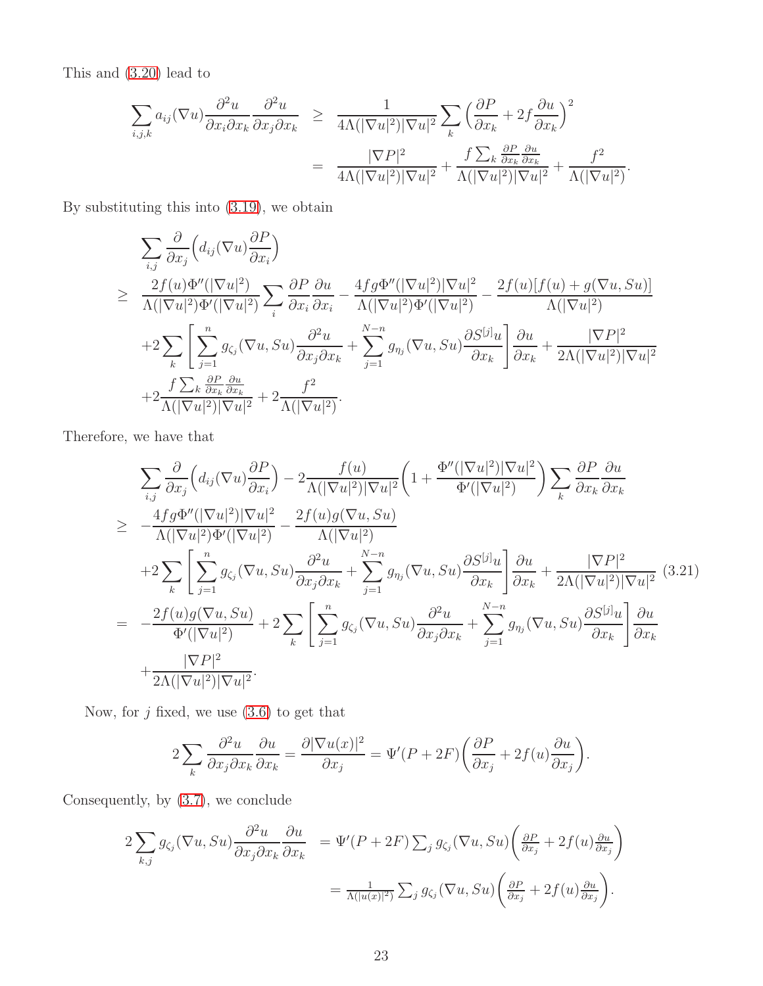This and [\(3.20\)](#page-21-0) lead to

$$
\sum_{i,j,k} a_{ij} (\nabla u) \frac{\partial^2 u}{\partial x_i \partial x_k} \frac{\partial^2 u}{\partial x_j \partial x_k} \geq \frac{1}{4\Lambda (|\nabla u|^2)|\nabla u|^2} \sum_k \left(\frac{\partial P}{\partial x_k} + 2f \frac{\partial u}{\partial x_k}\right)^2
$$

$$
= \frac{|\nabla P|^2}{4\Lambda (|\nabla u|^2)|\nabla u|^2} + \frac{f \sum_k \frac{\partial P}{\partial x_k} \frac{\partial u}{\partial x_k}}{\Lambda (|\nabla u|^2)|\nabla u|^2} + \frac{f^2}{\Lambda (|\nabla u|^2)}.
$$

By substituting this into [\(3.19\)](#page-21-1), we obtain

$$
\sum_{i,j} \frac{\partial}{\partial x_j} \Big( d_{ij} (\nabla u) \frac{\partial P}{\partial x_i} \Big)
$$
\n
$$
\geq \frac{2f(u)\Phi''(|\nabla u|^2)}{\Lambda(|\nabla u|^2)\Phi'(|\nabla u|^2)} \sum_i \frac{\partial P}{\partial x_i} \frac{\partial u}{\partial x_i} - \frac{4fg\Phi''(|\nabla u|^2)|\nabla u|^2}{\Lambda(|\nabla u|^2)\Phi'(|\nabla u|^2)} - \frac{2f(u)[f(u) + g(\nabla u, Su)]}{\Lambda(|\nabla u|^2)} \\
+ 2 \sum_k \Bigg[ \sum_{j=1}^n g_{\zeta_j} (\nabla u, Su) \frac{\partial^2 u}{\partial x_j \partial x_k} + \sum_{j=1}^{N-n} g_{\eta_j} (\nabla u, Su) \frac{\partial S^{[j]} u}{\partial x_k} \Bigg] \frac{\partial u}{\partial x_k} + \frac{|\nabla P|^2}{2\Lambda(|\nabla u|^2)|\nabla u|^2} \\
+ 2 \frac{f \sum_k \frac{\partial P}{\partial x_k} \frac{\partial u}{\partial x_k}}{\delta x_k} + 2 \frac{f^2}{\Lambda(|\nabla u|^2)|\nabla u|^2}.
$$

Therefore, we have that

<span id="page-22-0"></span>
$$
\sum_{i,j} \frac{\partial}{\partial x_j} \left( d_{ij}(\nabla u) \frac{\partial P}{\partial x_i} \right) - 2 \frac{f(u)}{\Lambda(|\nabla u|^2)|\nabla u|^2} \left( 1 + \frac{\Phi''(|\nabla u|^2)|\nabla u|^2}{\Phi'(|\nabla u|^2)} \right) \sum_k \frac{\partial P}{\partial x_k} \frac{\partial u}{\partial x_k}
$$
\n
$$
\geq -\frac{4fg\Phi''(|\nabla u|^2)|\nabla u|^2}{\Lambda(|\nabla u|^2)|\Phi'(|\nabla u|^2)} - \frac{2f(u)g(\nabla u, Su)}{\Lambda(|\nabla u|^2)} \frac{\partial^2 u}{\partial x_k} + \sum_{j=1}^{N-n} g_{\eta_j}(\nabla u, Su) \frac{\partial S^{[j]}u}{\partial x_k} \frac{\partial u}{\partial x_k} + \frac{|\nabla P|^2}{2\Lambda(|\nabla u|^2)|\nabla u|^2} (3.21)
$$
\n
$$
= -\frac{2f(u)g(\nabla u, Su)}{\Phi'(|\nabla u|^2)} + 2 \sum_k \left[ \sum_{j=1}^n g_{\zeta_j}(\nabla u, Su) \frac{\partial^2 u}{\partial x_j \partial x_k} + \sum_{j=1}^{N-n} g_{\eta_j}(\nabla u, Su) \frac{\partial S^{[j]}u}{\partial x_k} \right] \frac{\partial u}{\partial x_k}
$$
\n
$$
+ \frac{|\nabla P|^2}{2\Lambda(|\nabla u|^2)|\nabla u|^2}.
$$

Now, for  $j$  fixed, we use  $(3.6)$  to get that

$$
2\sum_{k} \frac{\partial^2 u}{\partial x_j \partial x_k} \frac{\partial u}{\partial x_k} = \frac{\partial |\nabla u(x)|^2}{\partial x_j} = \Psi'(P + 2F) \left( \frac{\partial P}{\partial x_j} + 2f(u) \frac{\partial u}{\partial x_j} \right).
$$

Consequently, by [\(3.7\)](#page-18-6), we conclude

$$
2\sum_{k,j} g_{\zeta_j}(\nabla u, Su) \frac{\partial^2 u}{\partial x_j \partial x_k} \frac{\partial u}{\partial x_k} = \Psi'(P + 2F) \sum_j g_{\zeta_j}(\nabla u, Su) \left( \frac{\partial P}{\partial x_j} + 2f(u) \frac{\partial u}{\partial x_j} \right)
$$
  

$$
= \frac{1}{\Lambda(|u(x)|^2)} \sum_j g_{\zeta_j}(\nabla u, Su) \left( \frac{\partial P}{\partial x_j} + 2f(u) \frac{\partial u}{\partial x_j} \right).
$$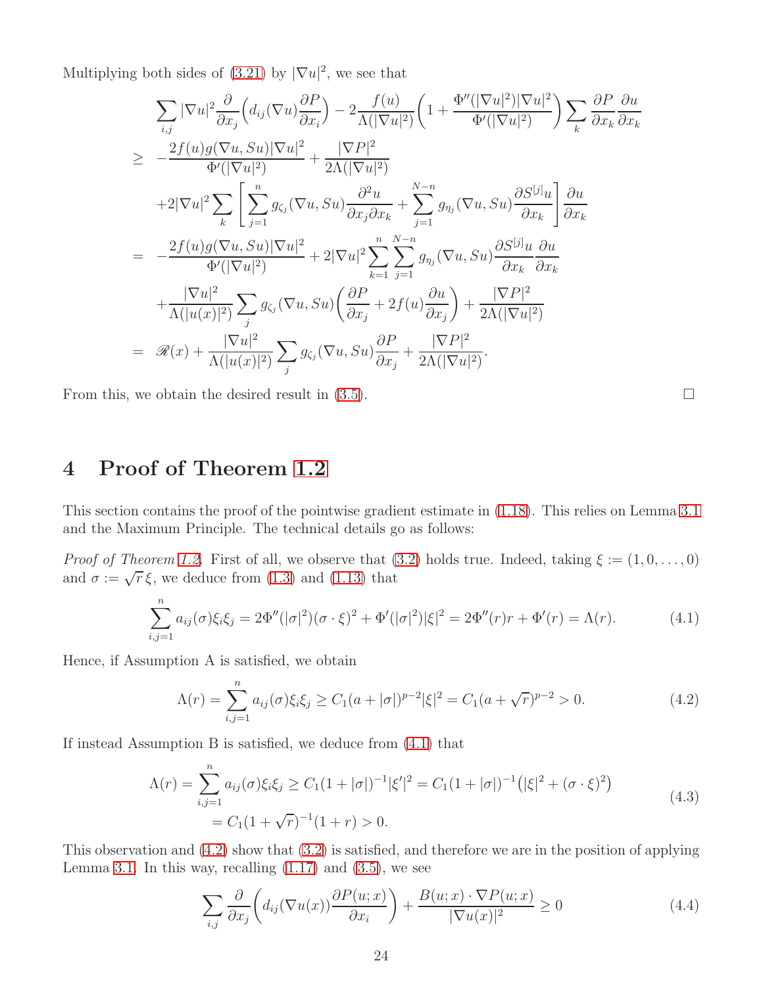Multiplying both sides of  $(3.21)$  by  $|\nabla u|^2$ , we see that

$$
\sum_{i,j} |\nabla u|^2 \frac{\partial}{\partial x_j} \Big( d_{ij} (\nabla u) \frac{\partial P}{\partial x_i} \Big) - 2 \frac{f(u)}{\Lambda (|\nabla u|^2)} \Big( 1 + \frac{\Phi''(|\nabla u|^2)|\nabla u|^2}{\Phi'(|\nabla u|^2)} \Big) \sum_k \frac{\partial P}{\partial x_k} \frac{\partial u}{\partial x_k}
$$
  
\n
$$
\geq -\frac{2f(u)g(\nabla u, Su)|\nabla u|^2}{\Phi'(|\nabla u|^2)} + \frac{|\nabla P|^2}{2\Lambda (|\nabla u|^2)}
$$
  
\n
$$
+ 2|\nabla u|^2 \sum_k \Bigg[ \sum_{j=1}^n g_{\zeta_j} (\nabla u, Su) \frac{\partial^2 u}{\partial x_j \partial x_k} + \sum_{j=1}^{N-n} g_{\eta_j} (\nabla u, Su) \frac{\partial S^{[j]} u}{\partial x_k} \Bigg] \frac{\partial u}{\partial x_k}
$$
  
\n
$$
= -\frac{2f(u)g(\nabla u, Su)|\nabla u|^2}{\Phi'(|\nabla u|^2)} + 2|\nabla u|^2 \sum_{k=1}^n \sum_{j=1}^{N-n} g_{\eta_j} (\nabla u, Su) \frac{\partial S^{[j]} u}{\partial x_k} \frac{\partial u}{\partial x_k}
$$
  
\n
$$
+ \frac{|\nabla u|^2}{\Lambda (|u(x)|^2)} \sum_j g_{\zeta_j} (\nabla u, Su) \Big( \frac{\partial P}{\partial x_j} + 2f(u) \frac{\partial u}{\partial x_j} \Big) + \frac{|\nabla P|^2}{2\Lambda (|\nabla u|^2)}
$$
  
\n
$$
= \mathcal{R}(x) + \frac{|\nabla u|^2}{\Lambda (|u(x)|^2)} \sum_j g_{\zeta_j} (\nabla u, Su) \frac{\partial P}{\partial x_j} + \frac{|\nabla P|^2}{2\Lambda (|\nabla u|^2)}.
$$

From this, we obtain the desired result in  $(3.5)$ .

# <span id="page-23-0"></span>4 Proof of Theorem [1.2](#page-4-4)

This section contains the proof of the pointwise gradient estimate in [\(1.18\)](#page-4-6). This relies on Lemma [3.1](#page-17-3) and the Maximum Principle. The technical details go as follows:

*Proof of Theorem [1.2.](#page-4-4)* First of all, we observe that [\(3.2\)](#page-17-1) holds true. Indeed, taking  $\xi := (1, 0, \ldots, 0)$ and  $\sigma := \sqrt{r} \xi$ , we deduce from [\(1.3\)](#page-2-2) and [\(1.13\)](#page-3-4) that

<span id="page-23-1"></span>
$$
\sum_{i,j=1}^{n} a_{ij}(\sigma) \xi_i \xi_j = 2\Phi''(|\sigma|^2)(\sigma \cdot \xi)^2 + \Phi'(|\sigma|^2)|\xi|^2 = 2\Phi''(r)r + \Phi'(r) = \Lambda(r). \tag{4.1}
$$

Hence, if Assumption A is satisfied, we obtain

<span id="page-23-2"></span>
$$
\Lambda(r) = \sum_{i,j=1}^{n} a_{ij}(\sigma) \xi_i \xi_j \ge C_1 (a+|\sigma|)^{p-2} |\xi|^2 = C_1 (a+\sqrt{r})^{p-2} > 0.
$$
 (4.2)

<span id="page-23-4"></span>If instead Assumption B is satisfied, we deduce from [\(4.1\)](#page-23-1) that

$$
\Lambda(r) = \sum_{i,j=1}^{n} a_{ij}(\sigma) \xi_i \xi_j \ge C_1 (1+|\sigma|)^{-1} |\xi'|^2 = C_1 (1+|\sigma|)^{-1} (|\xi|^2 + (\sigma \cdot \xi)^2)
$$
  
=  $C_1 (1+\sqrt{r})^{-1} (1+r) > 0.$  (4.3)

This observation and [\(4.2\)](#page-23-2) show that [\(3.2\)](#page-17-1) is satisfied, and therefore we are in the position of applying Lemma [3.1.](#page-17-3) In this way, recalling  $(1.17)$  and  $(3.5)$ , we see

<span id="page-23-3"></span>
$$
\sum_{i,j} \frac{\partial}{\partial x_j} \left( d_{ij} (\nabla u(x)) \frac{\partial P(u; x)}{\partial x_i} \right) + \frac{B(u; x) \cdot \nabla P(u; x)}{|\nabla u(x)|^2} \ge 0 \tag{4.4}
$$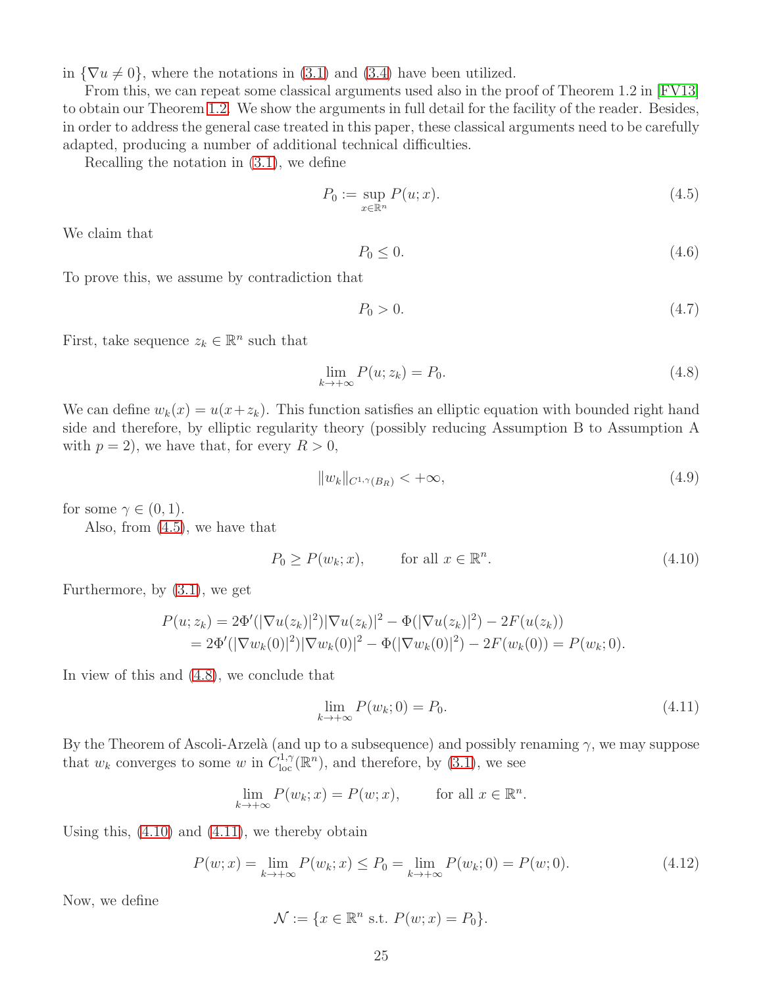in  $\{\nabla u \neq 0\}$ , where the notations in [\(3.1\)](#page-17-2) and [\(3.4\)](#page-18-8) have been utilized.

From this, we can repeat some classical arguments used also in the proof of Theorem 1.2 in [\[FV13\]](#page-33-16) to obtain our Theorem [1.2.](#page-4-4) We show the arguments in full detail for the facility of the reader. Besides, in order to address the general case treated in this paper, these classical arguments need to be carefully adapted, producing a number of additional technical difficulties.

Recalling the notation in [\(3.1\)](#page-17-2), we define

<span id="page-24-0"></span>
$$
P_0 := \sup_{x \in \mathbb{R}^n} P(u; x). \tag{4.5}
$$

We claim that

<span id="page-24-7"></span>
$$
P_0 \le 0. \tag{4.6}
$$

To prove this, we assume by contradiction that

<span id="page-24-5"></span>
$$
P_0 > 0. \tag{4.7}
$$

First, take sequence  $z_k \in \mathbb{R}^n$  such that

<span id="page-24-1"></span>
$$
\lim_{k \to +\infty} P(u; z_k) = P_0. \tag{4.8}
$$

We can define  $w_k(x) = u(x + z_k)$ . This function satisfies an elliptic equation with bounded right hand side and therefore, by elliptic regularity theory (possibly reducing Assumption B to Assumption A with  $p = 2$ , we have that, for every  $R > 0$ ,

<span id="page-24-6"></span>
$$
||w_k||_{C^{1,\gamma}(B_R)} < +\infty,
$$
\n(4.9)

for some  $\gamma \in (0,1)$ .

Also, from [\(4.5\)](#page-24-0), we have that

<span id="page-24-2"></span>
$$
P_0 \ge P(w_k; x), \qquad \text{for all } x \in \mathbb{R}^n. \tag{4.10}
$$

Furthermore, by [\(3.1\)](#page-17-2), we get

$$
P(u; z_k) = 2\Phi'(|\nabla u(z_k)|^2)|\nabla u(z_k)|^2 - \Phi(|\nabla u(z_k)|^2) - 2F(u(z_k))
$$
  
= 2\Phi'(|\nabla w\_k(0)|^2)|\nabla w\_k(0)|^2 - \Phi(|\nabla w\_k(0)|^2) - 2F(w\_k(0)) = P(w\_k; 0).

In view of this and [\(4.8\)](#page-24-1), we conclude that

<span id="page-24-3"></span>
$$
\lim_{k \to +\infty} P(w_k; 0) = P_0. \tag{4.11}
$$

By the Theorem of Ascoli-Arzelà (and up to a subsequence) and possibly renaming  $\gamma$ , we may suppose that  $w_k$  converges to some w in  $C^{1,\gamma}_{loc}(\mathbb{R}^n)$ , and therefore, by [\(3.1\)](#page-17-2), we see

$$
\lim_{k \to +\infty} P(w_k; x) = P(w; x), \quad \text{for all } x \in \mathbb{R}^n.
$$

Using this,  $(4.10)$  and  $(4.11)$ , we thereby obtain

<span id="page-24-4"></span>
$$
P(w; x) = \lim_{k \to +\infty} P(w_k; x) \le P_0 = \lim_{k \to +\infty} P(w_k; 0) = P(w; 0). \tag{4.12}
$$

Now, we define

$$
\mathcal{N} := \{ x \in \mathbb{R}^n \text{ s.t. } P(w; x) = P_0 \}.
$$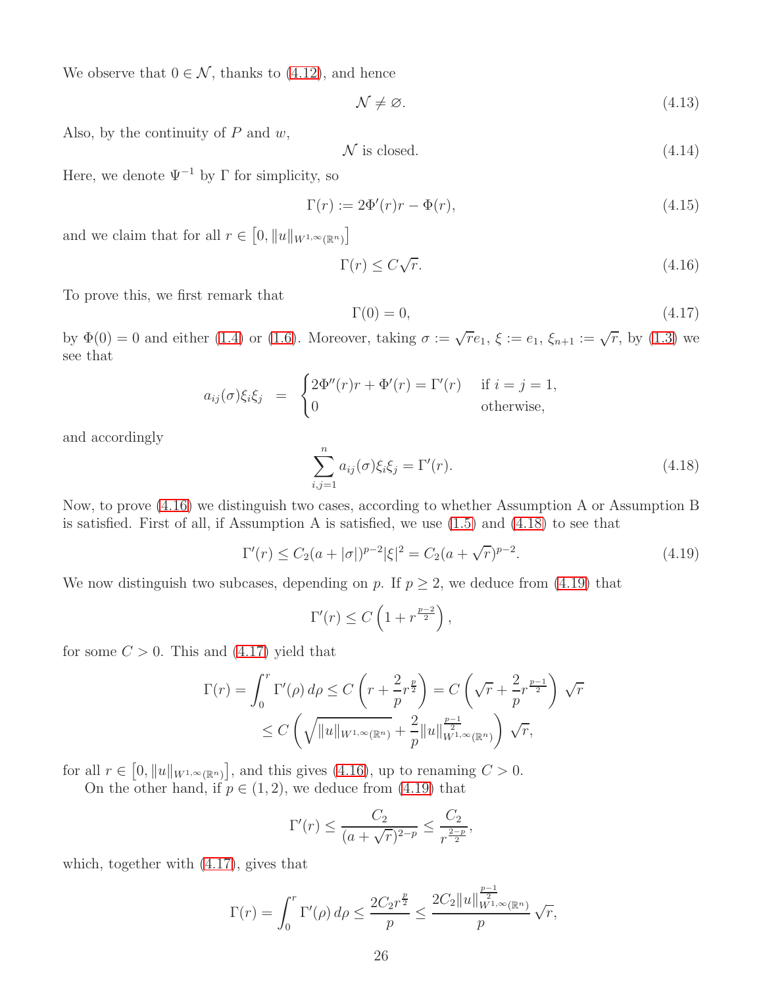We observe that  $0 \in \mathcal{N}$ , thanks to [\(4.12\)](#page-24-4), and hence

<span id="page-25-5"></span>
$$
\mathcal{N} \neq \varnothing. \tag{4.13}
$$

Also, by the continuity of  $P$  and  $w$ ,

$$
\mathcal{N} \text{ is closed.} \tag{4.14}
$$

Here, we denote  $\Psi^{-1}$  by  $\Gamma$  for simplicity, so

<span id="page-25-4"></span>
$$
\Gamma(r) := 2\Phi'(r)r - \Phi(r),\tag{4.15}
$$

and we claim that for all  $r \in [0, ||u||_{W^{1,\infty}(\mathbb{R}^n)}]$ 

<span id="page-25-0"></span>
$$
\Gamma(r) \le C\sqrt{r}.\tag{4.16}
$$

To prove this, we first remark that

<span id="page-25-3"></span>
$$
\Gamma(0) = 0,\tag{4.17}
$$

by  $\Phi(0) = 0$  and either [\(1.4\)](#page-2-3) or [\(1.6\)](#page-2-4). Moreover, taking  $\sigma := \sqrt{r}e_1$ ,  $\xi := e_1$ ,  $\xi_{n+1} := \sqrt{r}$ , by [\(1.3\)](#page-2-2) we see that

$$
a_{ij}(\sigma)\xi_i\xi_j = \begin{cases} 2\Phi''(r)r + \Phi'(r) = \Gamma'(r) & \text{if } i = j = 1, \\ 0 & \text{otherwise,} \end{cases}
$$

and accordingly

<span id="page-25-1"></span>
$$
\sum_{i,j=1}^{n} a_{ij}(\sigma) \xi_i \xi_j = \Gamma'(r). \qquad (4.18)
$$

Now, to prove [\(4.16\)](#page-25-0) we distinguish two cases, according to whether Assumption A or Assumption B is satisfied. First of all, if Assumption A is satisfied, we use  $(1.5)$  and  $(4.18)$  to see that

<span id="page-25-2"></span>
$$
\Gamma'(r) \le C_2(a+|\sigma|)^{p-2} |\xi|^2 = C_2(a+\sqrt{r})^{p-2}.
$$
\n(4.19)

We now distinguish two subcases, depending on p. If  $p \geq 2$ , we deduce from [\(4.19\)](#page-25-2) that

$$
\Gamma'(r) \le C \left( 1 + r^{\frac{p-2}{2}} \right),
$$

for some  $C > 0$ . This and  $(4.17)$  yield that

$$
\Gamma(r) = \int_0^r \Gamma'(\rho) d\rho \le C \left( r + \frac{2}{p} r^{\frac{p}{2}} \right) = C \left( \sqrt{r} + \frac{2}{p} r^{\frac{p-1}{2}} \right) \sqrt{r}
$$
  

$$
\le C \left( \sqrt{\|u\|_{W^{1,\infty}(\mathbb{R}^n)}} + \frac{2}{p} \|u\|_{W^{1,\infty}(\mathbb{R}^n)}^{\frac{p-1}{2}} \right) \sqrt{r},
$$

for all  $r \in [0, ||u||_{W^{1,\infty}(\mathbb{R}^n)}]$ , and this gives [\(4.16\)](#page-25-0), up to renaming  $C > 0$ .

On the other hand, if  $p \in (1, 2)$ , we deduce from [\(4.19\)](#page-25-2) that

$$
\Gamma'(r) \le \frac{C_2}{(a + \sqrt{r})^{2-p}} \le \frac{C_2}{r^{\frac{2-p}{2}}},
$$

which, together with [\(4.17\)](#page-25-3), gives that

$$
\Gamma(r) = \int_0^r \Gamma'(\rho) d\rho \le \frac{2C_2 r^{\frac{p}{2}}}{p} \le \frac{2C_2 ||u||_{W^{1,\infty}(\mathbb{R}^n)}^{\frac{p-1}{2}}}{p} \sqrt{r},
$$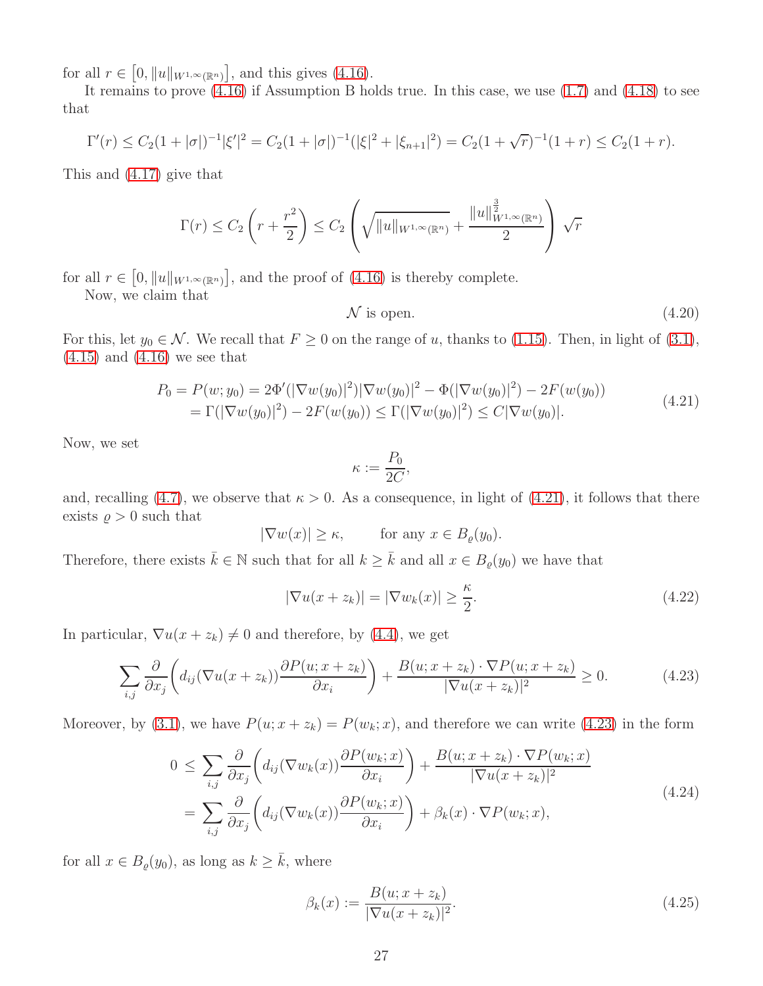for all  $r \in [0, ||u||_{W^{1,\infty}(\mathbb{R}^n)}]$ , and this gives [\(4.16\)](#page-25-0).

It remains to prove [\(4.16\)](#page-25-0) if Assumption B holds true. In this case, we use [\(1.7\)](#page-2-6) and [\(4.18\)](#page-25-1) to see that

$$
\Gamma'(r) \leq C_2(1+|\sigma|)^{-1}|\xi'|^2 = C_2(1+|\sigma|)^{-1}(|\xi|^2 + |\xi_{n+1}|^2) = C_2(1+\sqrt{r})^{-1}(1+r) \leq C_2(1+r).
$$

This and [\(4.17\)](#page-25-3) give that

$$
\Gamma(r) \le C_2 \left(r + \frac{r^2}{2}\right) \le C_2 \left(\sqrt{\|u\|_{W^{1,\infty}(\mathbb{R}^n)}} + \frac{\|u\|_{W^{1,\infty}(\mathbb{R}^n)}^{\frac{3}{2}}}{2}\right) \sqrt{r}
$$

for all  $r \in [0, ||u||_{W^{1,\infty}(\mathbb{R}^n)}]$ , and the proof of  $(4.16)$  is thereby complete.

Now, we claim that

<span id="page-26-5"></span>
$$
N \text{ is open.} \tag{4.20}
$$

For this, let  $y_0 \in \mathcal{N}$ . We recall that  $F \ge 0$  on the range of u, thanks to [\(1.15\)](#page-4-2). Then, in light of [\(3.1\)](#page-17-2),  $(4.15)$  and  $(4.16)$  we see that

$$
P_0 = P(w; y_0) = 2\Phi'(|\nabla w(y_0)|^2)|\nabla w(y_0)|^2 - \Phi(|\nabla w(y_0)|^2) - 2F(w(y_0))
$$
  
=  $\Gamma(|\nabla w(y_0)|^2) - 2F(w(y_0)) \le \Gamma(|\nabla w(y_0)|^2) \le C|\nabla w(y_0)|.$  (4.21)

<span id="page-26-0"></span>Now, we set

$$
\kappa := \frac{P_0}{2C},
$$

and, recalling [\(4.7\)](#page-24-5), we observe that  $\kappa > 0$ . As a consequence, in light of [\(4.21\)](#page-26-0), it follows that there exists  $\rho > 0$  such that

 $|\nabla w(x)| \geq \kappa$ , for any  $x \in B_{\rho}(y_0)$ .

Therefore, there exists  $\bar{k} \in \mathbb{N}$  such that for all  $k \geq \bar{k}$  and all  $x \in B_{\varrho}(y_0)$  we have that

<span id="page-26-2"></span>
$$
|\nabla u(x+z_k)| = |\nabla w_k(x)| \ge \frac{\kappa}{2}.
$$
\n(4.22)

In particular,  $\nabla u(x + z_k) \neq 0$  and therefore, by [\(4.4\)](#page-23-3), we get

<span id="page-26-1"></span>
$$
\sum_{i,j} \frac{\partial}{\partial x_j} \left( d_{ij} (\nabla u(x+z_k)) \frac{\partial P(u; x+z_k)}{\partial x_i} \right) + \frac{B(u; x+z_k) \cdot \nabla P(u; x+z_k)}{|\nabla u(x+z_k)|^2} \ge 0.
$$
 (4.23)

Moreover, by [\(3.1\)](#page-17-2), we have  $P(u; x + z_k) = P(w_k; x)$ , and therefore we can write [\(4.23\)](#page-26-1) in the form

$$
0 \leq \sum_{i,j} \frac{\partial}{\partial x_j} \left( d_{ij} (\nabla w_k(x)) \frac{\partial P(w_k; x)}{\partial x_i} \right) + \frac{B(u; x + z_k) \cdot \nabla P(w_k; x)}{|\nabla u(x + z_k)|^2}
$$
  
= 
$$
\sum_{i,j} \frac{\partial}{\partial x_j} \left( d_{ij} (\nabla w_k(x)) \frac{\partial P(w_k; x)}{\partial x_i} \right) + \beta_k(x) \cdot \nabla P(w_k; x),
$$
 (4.24)

<span id="page-26-4"></span>for all  $x \in B_{\varrho}(y_0)$ , as long as  $k \geq \overline{k}$ , where

<span id="page-26-3"></span>
$$
\beta_k(x) := \frac{B(u; x + z_k)}{|\nabla u(x + z_k)|^2}.
$$
\n(4.25)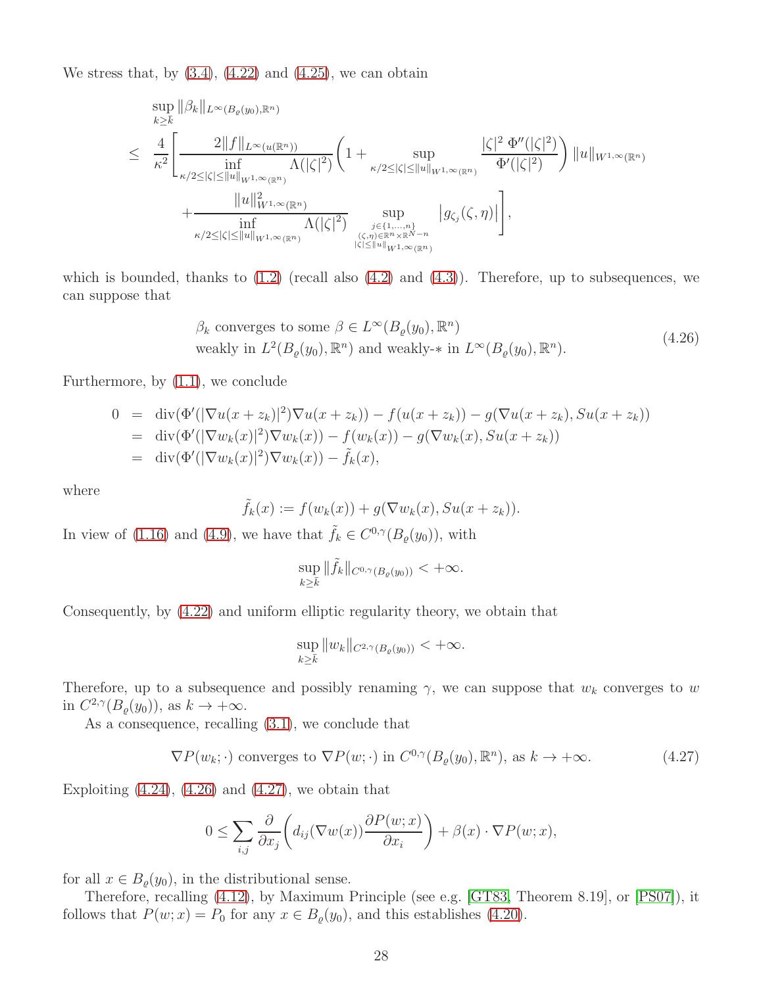We stress that, by  $(3.4)$ ,  $(4.22)$  and  $(4.25)$ , we can obtain

$$
\sup_{k\geq \overline{k}} \|\beta_k\|_{L^{\infty}(B_{\varrho}(y_0),\mathbb{R}^n)} \n\leq \frac{4}{\kappa^2} \Biggl[ \frac{2\|f\|_{L^{\infty}(u(\mathbb{R}^n))}}{\inf_{\kappa/2 \leq |\zeta| \leq \|u\|_{W^{1,\infty}(\mathbb{R}^n)}} \Lambda(|\zeta|^2)} \Biggl(1 + \sup_{\kappa/2 \leq |\zeta| \leq \|u\|_{W^{1,\infty}(\mathbb{R}^n)}} \frac{|\zeta|^2 \Phi''(|\zeta|^2)}{\Phi'(|\zeta|^2)} \Biggr) \|u\|_{W^{1,\infty}(\mathbb{R}^n)} \n+ \frac{\|u\|_{W^{1,\infty}(\mathbb{R}^n)}^2}{\inf_{\kappa/2 \leq |\zeta| \leq \|u\|_{W^{1,\infty}(\mathbb{R}^n)}} \Lambda(|\zeta|^2)} \sup_{\substack{j\in \{1,\ldots,n\} \\ |\zeta| \leq \|u\|_{W^{1,\infty}(\mathbb{R}^n)}}} |g_{\zeta_j}(\zeta,\eta)| \Biggr],
$$

which is bounded, thanks to  $(1.2)$  (recall also  $(4.2)$  and  $(4.3)$ ). Therefore, up to subsequences, we can suppose that

$$
\beta_k
$$
 converges to some  $\beta \in L^{\infty}(B_{\varrho}(y_0), \mathbb{R}^n)$   
weakly in  $L^2(B_{\varrho}(y_0), \mathbb{R}^n)$  and weakly-\* in  $L^{\infty}(B_{\varrho}(y_0), \mathbb{R}^n)$ . (4.26)

<span id="page-27-0"></span>Furthermore, by [\(1.1\)](#page-1-0), we conclude

$$
0 = \text{div}(\Phi'(|\nabla u(x+z_k)|^2)\nabla u(x+z_k)) - f(u(x+z_k)) - g(\nabla u(x+z_k), Su(x+z_k))
$$
  
=  $\text{div}(\Phi'(|\nabla w_k(x)|^2)\nabla w_k(x)) - f(w_k(x)) - g(\nabla w_k(x), Su(x+z_k))$   
=  $\text{div}(\Phi'(|\nabla w_k(x)|^2)\nabla w_k(x)) - \tilde{f}_k(x),$ 

where

$$
\tilde{f}_k(x) := f(w_k(x)) + g(\nabla w_k(x), Su(x+z_k)).
$$

In view of [\(1.16\)](#page-4-3) and [\(4.9\)](#page-24-6), we have that  $\tilde{f}_k \in C^{0,\gamma}(B_{\varrho}(y_0))$ , with

$$
\sup_{k\geq \bar k} \|\tilde f_k\|_{C^{0,\gamma}(B_\varrho(y_0))} < +\infty.
$$

Consequently, by [\(4.22\)](#page-26-2) and uniform elliptic regularity theory, we obtain that

$$
\sup_{k\geq \bar k} \|w_k\|_{C^{2,\gamma}(B_\varrho(y_0))} < +\infty.
$$

Therefore, up to a subsequence and possibly renaming  $\gamma$ , we can suppose that  $w_k$  converges to w in  $C^{2,\gamma}(B_{\varrho}(y_0))$ , as  $k \to +\infty$ .

As a consequence, recalling [\(3.1\)](#page-17-2), we conclude that

<span id="page-27-1"></span>
$$
\nabla P(w_k; \cdot) \text{ converges to } \nabla P(w; \cdot) \text{ in } C^{0,\gamma}(B_{\varrho}(y_0), \mathbb{R}^n), \text{ as } k \to +\infty.
$$
 (4.27)

Exploiting  $(4.24)$ ,  $(4.26)$  and  $(4.27)$ , we obtain that

$$
0 \leq \sum_{i,j} \frac{\partial}{\partial x_j} \bigg( d_{ij} (\nabla w(x)) \frac{\partial P(w;x)}{\partial x_i} \bigg) + \beta(x) \cdot \nabla P(w;x),
$$

for all  $x \in B_{\varrho}(y_0)$ , in the distributional sense.

Therefore, recalling [\(4.12\)](#page-24-4), by Maximum Principle (see e.g. [\[GT83,](#page-33-18) Theorem 8.19], or [\[PS07\]](#page-33-19)), it follows that  $P(w; x) = P_0$  for any  $x \in B_{\varrho}(y_0)$ , and this establishes [\(4.20\)](#page-26-5).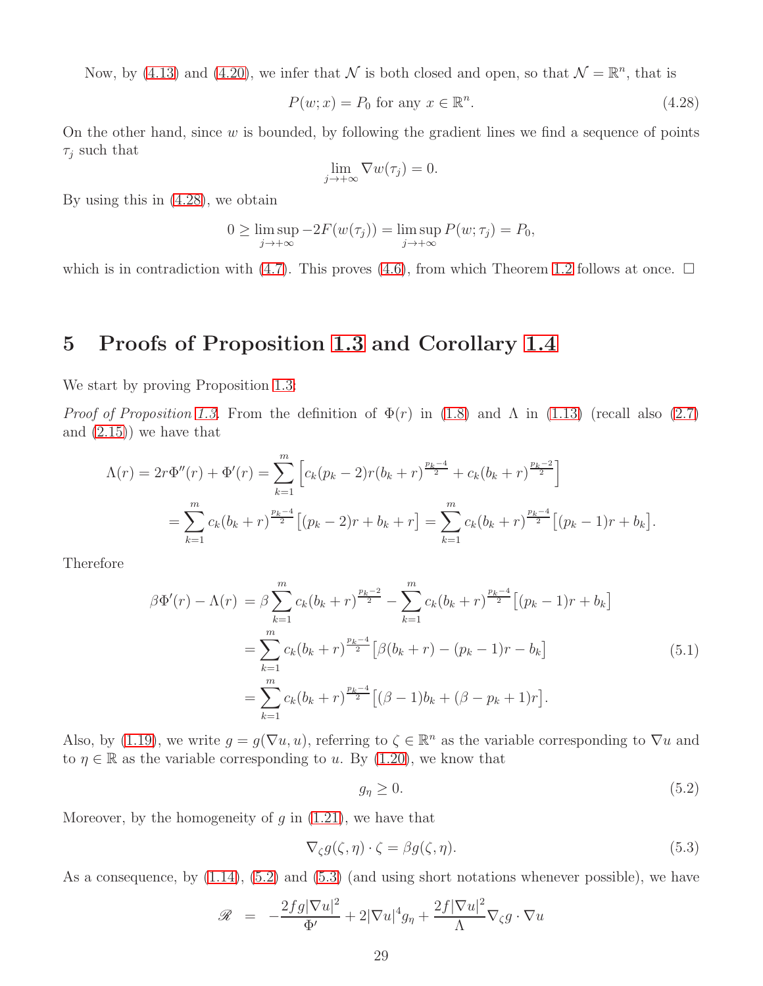Now, by [\(4.13\)](#page-25-5) and [\(4.20\)](#page-26-5), we infer that  $\mathcal N$  is both closed and open, so that  $\mathcal N = \mathbb R^n$ , that is

<span id="page-28-1"></span>
$$
P(w; x) = P_0 \text{ for any } x \in \mathbb{R}^n. \tag{4.28}
$$

On the other hand, since  $w$  is bounded, by following the gradient lines we find a sequence of points  $\tau_i$  such that

$$
\lim_{j \to +\infty} \nabla w(\tau_j) = 0.
$$

By using this in [\(4.28\)](#page-28-1), we obtain

$$
0 \ge \limsup_{j \to +\infty} -2F(w(\tau_j)) = \limsup_{j \to +\infty} P(w; \tau_j) = P_0,
$$

which is in contradiction with [\(4.7\)](#page-24-5). This proves [\(4.6\)](#page-24-7), from which Theorem [1.2](#page-4-4) follows at once.  $\Box$ 

#### <span id="page-28-0"></span>5 Proofs of Proposition [1.3](#page-5-1) and Corollary [1.4](#page-6-0)

We start by proving Proposition [1.3:](#page-5-1)

*Proof of Proposition [1.3.](#page-5-1)* From the definition of  $\Phi(r)$  in [\(1.8\)](#page-3-1) and  $\Lambda$  in [\(1.13\)](#page-3-4) (recall also [\(2.7\)](#page-11-10) and [\(2.15\)](#page-12-4)) we have that

$$
\Lambda(r) = 2r\Phi''(r) + \Phi'(r) = \sum_{k=1}^{m} \left[ c_k(p_k - 2)r(b_k + r)^{\frac{p_k - 4}{2}} + c_k(b_k + r)^{\frac{p_k - 2}{2}} \right]
$$
  
= 
$$
\sum_{k=1}^{m} c_k(b_k + r)^{\frac{p_k - 4}{2}} \left[ (p_k - 2)r + b_k + r \right] = \sum_{k=1}^{m} c_k(b_k + r)^{\frac{p_k - 4}{2}} \left[ (p_k - 1)r + b_k \right].
$$

<span id="page-28-4"></span>Therefore

$$
\beta\Phi'(r) - \Lambda(r) = \beta \sum_{k=1}^{m} c_k (b_k + r)^{\frac{p_k - 2}{2}} - \sum_{k=1}^{m} c_k (b_k + r)^{\frac{p_k - 4}{2}} [(p_k - 1)r + b_k]
$$
  

$$
= \sum_{k=1}^{m} c_k (b_k + r)^{\frac{p_k - 4}{2}} [\beta(b_k + r) - (p_k - 1)r - b_k]
$$
  

$$
= \sum_{k=1}^{m} c_k (b_k + r)^{\frac{p_k - 4}{2}} [(\beta - 1)b_k + (\beta - p_k + 1)r].
$$
 (5.1)

Also, by [\(1.19\)](#page-5-2), we write  $g = g(\nabla u, u)$ , referring to  $\zeta \in \mathbb{R}^n$  as the variable corresponding to  $\nabla u$  and to  $\eta \in \mathbb{R}$  as the variable corresponding to u. By [\(1.20\)](#page-5-0), we know that

<span id="page-28-2"></span>
$$
g_{\eta} \ge 0. \tag{5.2}
$$

Moreover, by the homogeneity of  $q$  in  $(1.21)$ , we have that

<span id="page-28-3"></span>
$$
\nabla_{\zeta} g(\zeta, \eta) \cdot \zeta = \beta g(\zeta, \eta). \tag{5.3}
$$

As a consequence, by [\(1.14\)](#page-4-1), [\(5.2\)](#page-28-2) and [\(5.3\)](#page-28-3) (and using short notations whenever possible), we have

$$
\mathcal{R} = -\frac{2fg|\nabla u|^2}{\Phi'} + 2|\nabla u|^4 g_{\eta} + \frac{2f|\nabla u|^2}{\Lambda} \nabla_{\zeta} g \cdot \nabla u
$$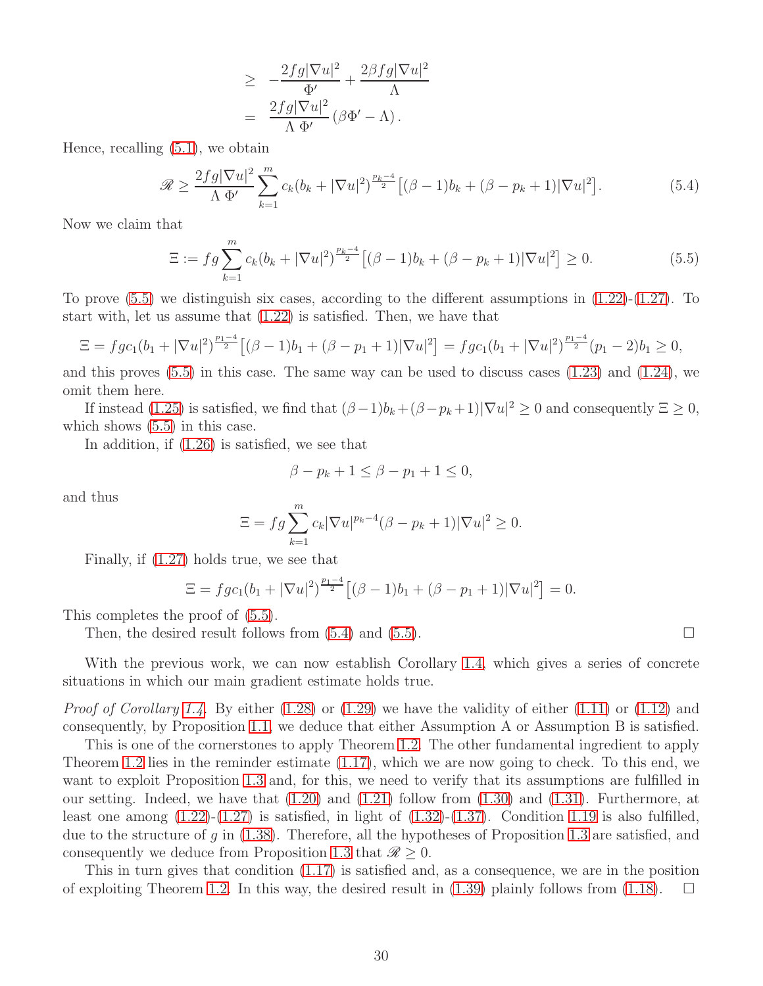$$
\geq -\frac{2fg|\nabla u|^2}{\Phi'} + \frac{2\beta fg|\nabla u|^2}{\Lambda} \n= \frac{2fg|\nabla u|^2}{\Lambda \Phi'} (\beta \Phi' - \Lambda).
$$

Hence, recalling [\(5.1\)](#page-28-4), we obtain

<span id="page-29-1"></span>
$$
\mathcal{R} \ge \frac{2fg|\nabla u|^2}{\Lambda \Phi'} \sum_{k=1}^m c_k (b_k + |\nabla u|^2)^{\frac{p_k - 4}{2}} \left[ (\beta - 1)b_k + (\beta - p_k + 1)|\nabla u|^2 \right].
$$
 (5.4)

Now we claim that

<span id="page-29-0"></span>
$$
\Xi := fg \sum_{k=1}^{m} c_k (b_k + |\nabla u|^2)^{\frac{p_k - 4}{2}} \left[ (\beta - 1)b_k + (\beta - p_k + 1)|\nabla u|^2 \right] \ge 0.
$$
 (5.5)

To prove [\(5.5\)](#page-29-0) we distinguish six cases, according to the different assumptions in [\(1.22\)](#page-5-3)-[\(1.27\)](#page-5-4). To start with, let us assume that [\(1.22\)](#page-5-3) is satisfied. Then, we have that

$$
\Xi = f g c_1 (b_1 + |\nabla u|^2)^{\frac{p_1-4}{2}} \left[ (\beta - 1) b_1 + (\beta - p_1 + 1) |\nabla u|^2 \right] = f g c_1 (b_1 + |\nabla u|^2)^{\frac{p_1-4}{2}} (p_1 - 2) b_1 \ge 0,
$$

and this proves  $(5.5)$  in this case. The same way can be used to discuss cases  $(1.23)$  and  $(1.24)$ , we omit them here.

If instead [\(1.25\)](#page-5-7) is satisfied, we find that  $(\beta - 1)b_k + (\beta - p_k + 1)|\nabla u|^2 \ge 0$  and consequently  $\Xi \ge 0$ , which shows  $(5.5)$  in this case.

In addition, if [\(1.26\)](#page-5-8) is satisfied, we see that

$$
\beta - p_k + 1 \le \beta - p_1 + 1 \le 0,
$$

and thus

$$
\Xi = fg \sum_{k=1}^{m} c_k |\nabla u|^{p_k - 4} (\beta - p_k + 1) |\nabla u|^2 \ge 0.
$$

Finally, if [\(1.27\)](#page-5-4) holds true, we see that

$$
\Xi = f g c_1 (b_1 + |\nabla u|^2)^{\frac{p_1 - 4}{2}} [(\beta - 1)b_1 + (\beta - p_1 + 1)|\nabla u|^2] = 0.
$$

This completes the proof of [\(5.5\)](#page-29-0).

Then, the desired result follows from  $(5.4)$  and  $(5.5)$ .

With the previous work, we can now establish Corollary [1.4,](#page-6-0) which gives a series of concrete situations in which our main gradient estimate holds true.

*Proof of Corollary [1.4.](#page-6-0)* By either [\(1.28\)](#page-6-1) or [\(1.29\)](#page-6-2) we have the validity of either [\(1.11\)](#page-3-5) or [\(1.12\)](#page-3-6) and consequently, by Proposition [1.1,](#page-3-0) we deduce that either Assumption A or Assumption B is satisfied.

This is one of the cornerstones to apply Theorem [1.2.](#page-4-4) The other fundamental ingredient to apply Theorem [1.2](#page-4-4) lies in the reminder estimate [\(1.17\)](#page-4-5), which we are now going to check. To this end, we want to exploit Proposition [1.3](#page-5-1) and, for this, we need to verify that its assumptions are fulfilled in our setting. Indeed, we have that  $(1.20)$  and  $(1.21)$  follow from  $(1.30)$  and  $(1.31)$ . Furthermore, at least one among  $(1.22)-(1.27)$  $(1.22)-(1.27)$  is satisfied, in light of  $(1.32)-(1.37)$  $(1.32)-(1.37)$ . Condition [1.19](#page-5-2) is also fulfilled, due to the structure of g in [\(1.38\)](#page-6-6). Therefore, all the hypotheses of Proposition [1.3](#page-5-1) are satisfied, and consequently we deduce from Proposition [1.3](#page-5-1) that  $\mathcal{R} \geq 0$ .

This in turn gives that condition [\(1.17\)](#page-4-5) is satisfied and, as a consequence, we are in the position of exploiting Theorem [1.2.](#page-4-4) In this way, the desired result in  $(1.39)$  plainly follows from  $(1.18)$ .  $\Box$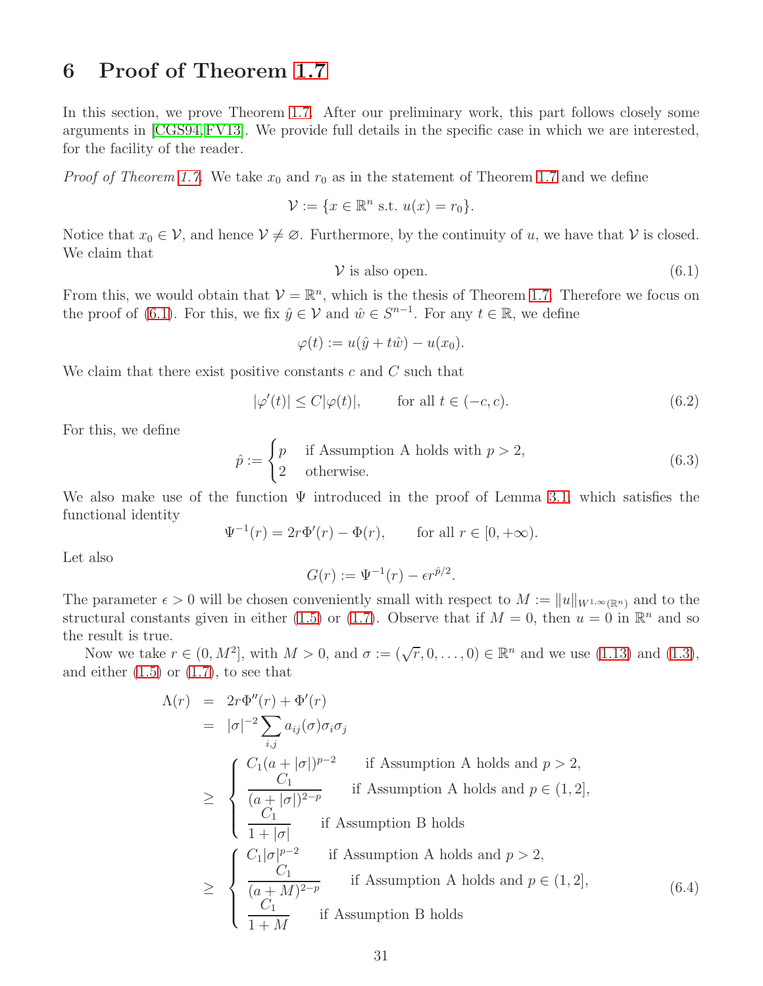### <span id="page-30-0"></span>6 Proof of Theorem [1.7](#page-10-1)

In this section, we prove Theorem [1.7.](#page-10-1) After our preliminary work, this part follows closely some arguments in [\[CGS94,](#page-32-0) [FV13\]](#page-33-16). We provide full details in the specific case in which we are interested, for the facility of the reader.

*Proof of Theorem [1.7.](#page-10-1)* We take  $x_0$  and  $r_0$  as in the statement of Theorem [1.7](#page-10-1) and we define

$$
\mathcal{V} := \{ x \in \mathbb{R}^n \text{ s.t. } u(x) = r_0 \}.
$$

Notice that  $x_0 \in V$ , and hence  $V \neq \emptyset$ . Furthermore, by the continuity of u, we have that V is closed. We claim that

<span id="page-30-1"></span>
$$
\mathcal{V} \text{ is also open.} \tag{6.1}
$$

From this, we would obtain that  $V = \mathbb{R}^n$ , which is the thesis of Theorem [1.7.](#page-10-1) Therefore we focus on the proof of [\(6.1\)](#page-30-1). For this, we fix  $\hat{y} \in V$  and  $\hat{w} \in S^{n-1}$ . For any  $t \in \mathbb{R}$ , we define

$$
\varphi(t) := u(\hat{y} + t\hat{w}) - u(x_0).
$$

We claim that there exist positive constants  $c$  and  $C$  such that

<span id="page-30-4"></span>
$$
|\varphi'(t)| \le C|\varphi(t)|, \qquad \text{for all } t \in (-c, c). \tag{6.2}
$$

For this, we define

<span id="page-30-3"></span>
$$
\hat{p} := \begin{cases} p & \text{if Assumption A holds with } p > 2, \\ 2 & \text{otherwise.} \end{cases}
$$
\n(6.3)

We also make use of the function  $\Psi$  introduced in the proof of Lemma [3.1,](#page-17-3) which satisfies the functional identity

$$
\Psi^{-1}(r) = 2r\Phi'(r) - \Phi(r)
$$
, for all  $r \in [0, +\infty)$ .

Let also

$$
G(r) := \Psi^{-1}(r) - \epsilon r^{\hat{p}/2}.
$$

The parameter  $\epsilon > 0$  will be chosen conveniently small with respect to  $M := ||u||_{W^{1,\infty}(\mathbb{R}^n)}$  and to the structural constants given in either [\(1.5\)](#page-2-5) or [\(1.7\)](#page-2-6). Observe that if  $M = 0$ , then  $u = 0$  in  $\mathbb{R}^n$  and so the result is true.

Now we take  $r \in (0, M^2]$ , with  $M > 0$ , and  $\sigma := (\sqrt{r}, 0, \ldots, 0) \in \mathbb{R}^n$  and we use [\(1.13\)](#page-3-4) and [\(1.3\)](#page-2-2), and either  $(1.5)$  or  $(1.7)$ , to see that

<span id="page-30-2"></span>
$$
\Lambda(r) = 2r\Phi''(r) + \Phi'(r)
$$
\n
$$
= |\sigma|^{-2} \sum_{i,j} a_{ij}(\sigma) \sigma_i \sigma_j
$$
\n
$$
\geq \begin{cases}\nC_1(a+|\sigma|)^{p-2} & \text{if Assumption A holds and } p > 2, \\
\frac{C_1}{(a+|\sigma|)^{2-p}} & \text{if Assumption A holds and } p \in (1,2], \\
\frac{C_1}{1+|\sigma|} & \text{if Assumption B holds} \\
\frac{C_1|\sigma|^{p-2}}{1+|\sigma'|} & \text{if Assumption A holds and } p > 2, \\
\frac{C_1}{(a+M)^{2-p}} & \text{if Assumption A holds and } p \in (1,2], \\
\frac{C_1}{1+M} & \text{if Assumption B holds}\n\end{cases}
$$
\n(6.4)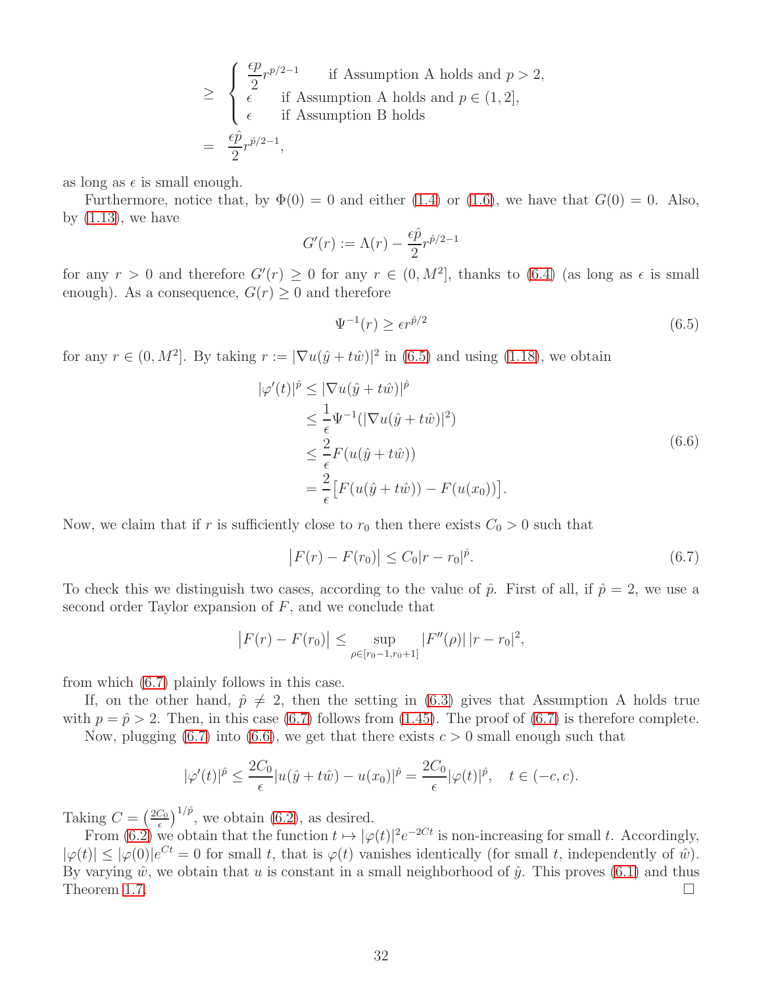$$
\geq \begin{cases} \frac{\epsilon p}{2} r^{p/2-1} & \text{if Assumption A holds and } p > 2, \\ \epsilon & \text{if Assumption A holds and } p \in (1, 2], \\ \epsilon & \text{if Assumption B holds} \end{cases}
$$
  
=  $\frac{\epsilon \hat{p}}{2} r^{\hat{p}/2-1}$ ,

as long as  $\epsilon$  is small enough.

Furthermore, notice that, by  $\Phi(0) = 0$  and either [\(1.4\)](#page-2-3) or [\(1.6\)](#page-2-4), we have that  $G(0) = 0$ . Also, by  $(1.13)$ , we have

$$
G'(r) := \Lambda(r) - \frac{\epsilon \hat{p}}{2} r^{\hat{p}/2 - 1}
$$

for any  $r > 0$  and therefore  $G'(r) \ge 0$  for any  $r \in (0, M^2]$ , thanks to  $(6.4)$  (as long as  $\epsilon$  is small enough). As a consequence,  $G(r) \geq 0$  and therefore

<span id="page-31-0"></span>
$$
\Psi^{-1}(r) \ge \epsilon r^{\hat{p}/2} \tag{6.5}
$$

for any  $r \in (0, M^2]$ . By taking  $r := |\nabla u(\hat{y} + t\hat{w})|^2$  in [\(6.5\)](#page-31-0) and using [\(1.18\)](#page-4-6), we obtain

<span id="page-31-2"></span>
$$
\begin{split} |\varphi'(t)|^{\hat{p}} &\leq |\nabla u(\hat{y} + t\hat{w})|^{\hat{p}} \\ &\leq \frac{1}{\epsilon} \Psi^{-1} (|\nabla u(\hat{y} + t\hat{w})|^2) \\ &\leq \frac{2}{\epsilon} F(u(\hat{y} + t\hat{w})) \\ &= \frac{2}{\epsilon} \big[ F(u(\hat{y} + t\hat{w})) - F(u(x_0)) \big]. \end{split} \tag{6.6}
$$

Now, we claim that if r is sufficiently close to  $r_0$  then there exists  $C_0 > 0$  such that

<span id="page-31-1"></span>
$$
\left| F(r) - F(r_0) \right| \le C_0 |r - r_0|^{\hat{p}}.
$$
\n(6.7)

To check this we distinguish two cases, according to the value of  $\hat{p}$ . First of all, if  $\hat{p} = 2$ , we use a second order Taylor expansion of  $F$ , and we conclude that

$$
|F(r) - F(r_0)| \le \sup_{\rho \in [r_0 - 1, r_0 + 1]} |F''(\rho)| |r - r_0|^2,
$$

from which [\(6.7\)](#page-31-1) plainly follows in this case.

If, on the other hand,  $\hat{p} \neq 2$ , then the setting in [\(6.3\)](#page-30-3) gives that Assumption A holds true with  $p = \hat{p} > 2$ . Then, in this case [\(6.7\)](#page-31-1) follows from [\(1.45\)](#page-10-0). The proof of (6.7) is therefore complete.

Now, plugging (6.7) into (6.6), we get that there exists 
$$
c > 0
$$
 small enough such that

$$
|\varphi'(t)|^{\hat{p}} \le \frac{2C_0}{\epsilon} |u(\hat{y} + t\hat{w}) - u(x_0)|^{\hat{p}} = \frac{2C_0}{\epsilon} |\varphi(t)|^{\hat{p}}, \quad t \in (-c, c).
$$

Taking  $C = \left(\frac{2C_0}{\epsilon}\right)$  $\frac{C_0}{\epsilon}$ <sup>1/ $\hat{p}$ </sup>, we obtain [\(6.2\)](#page-30-4), as desired.

From [\(6.2\)](#page-30-4) we obtain that the function  $t \mapsto |\varphi(t)|^2 e^{-2Ct}$  is non-increasing for small t. Accordingly,  $|\varphi(t)| \leq |\varphi(0)|e^{Ct} = 0$  for small t, that is  $\varphi(t)$  vanishes identically (for small t, independently of  $\hat{w}$ ). By varying  $\hat{w}$ , we obtain that u is constant in a small neighborhood of  $\hat{y}$ . This proves [\(6.1\)](#page-30-1) and thus Theorem [1.7.](#page-10-1)  $\Box$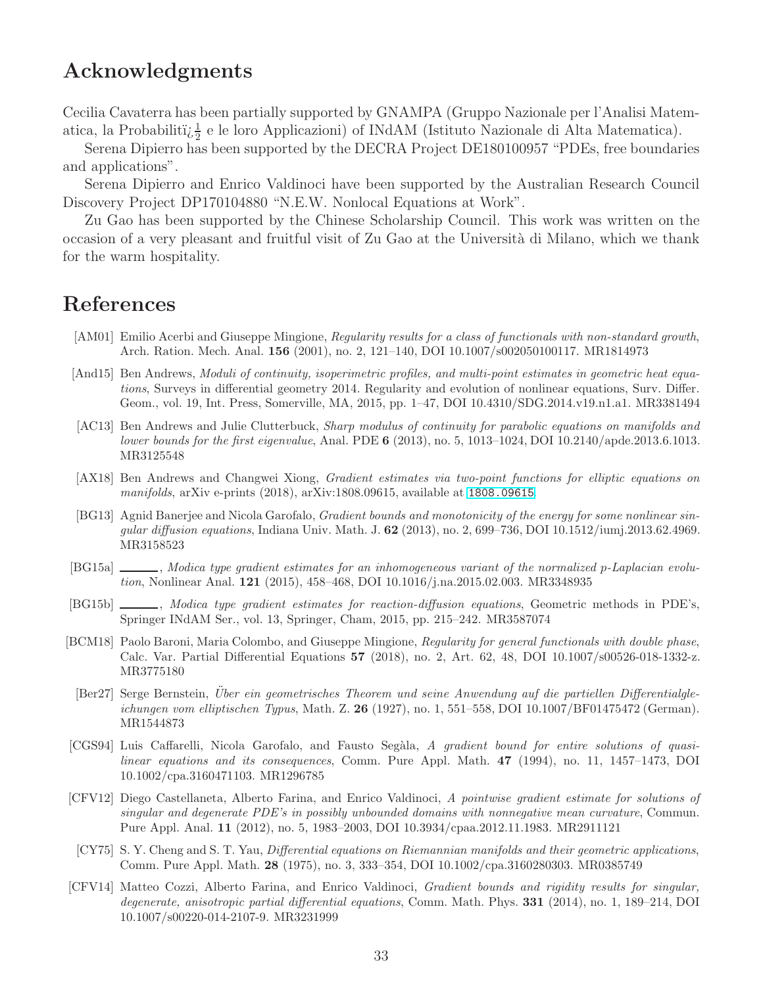### Acknowledgments

Cecilia Cavaterra has been partially supported by GNAMPA (Gruppo Nazionale per l'Analisi Matematica, la Probabiliti $\zeta^{\frac{1}{2}}$ e le loro Applicazioni) of INdAM (Istituto Nazionale di Alta Matematica).

Serena Dipierro has been supported by the DECRA Project DE180100957 "PDEs, free boundaries and applications".

Serena Dipierro and Enrico Valdinoci have been supported by the Australian Research Council Discovery Project DP170104880 "N.E.W. Nonlocal Equations at Work".

Zu Gao has been supported by the Chinese Scholarship Council. This work was written on the occasion of a very pleasant and fruitful visit of Zu Gao at the Università di Milano, which we thank for the warm hospitality.

# References

- <span id="page-32-11"></span>[AM01] Emilio Acerbi and Giuseppe Mingione, Regularity results for a class of functionals with non-standard growth, Arch. Ration. Mech. Anal. 156 (2001), no. 2, 121–140, DOI 10.1007/s002050100117. MR1814973
- <span id="page-32-9"></span>[And15] Ben Andrews, Moduli of continuity, isoperimetric profiles, and multi-point estimates in geometric heat equations, Surveys in differential geometry 2014. Regularity and evolution of nonlinear equations, Surv. Differ. Geom., vol. 19, Int. Press, Somerville, MA, 2015, pp. 1–47, DOI 10.4310/SDG.2014.v19.n1.a1. MR3381494
- <span id="page-32-8"></span>[AC13] Ben Andrews and Julie Clutterbuck, Sharp modulus of continuity for parabolic equations on manifolds and lower bounds for the first eigenvalue, Anal. PDE 6 (2013), no. 5, 1013–1024, DOI 10.2140/apde.2013.6.1013. MR3125548
- <span id="page-32-10"></span>[AX18] Ben Andrews and Changwei Xiong, Gradient estimates via two-point functions for elliptic equations on manifolds, arXiv e-prints (2018), arXiv:1808.09615, available at <1808.09615>.
- <span id="page-32-3"></span>[BG13] Agnid Banerjee and Nicola Garofalo, Gradient bounds and monotonicity of the energy for some nonlinear singular diffusion equations, Indiana Univ. Math. J. 62 (2013), no. 2, 699–736, DOI 10.1512/iumj.2013.62.4969. MR3158523
- <span id="page-32-5"></span>[BG15a] , Modica type gradient estimates for an inhomogeneous variant of the normalized p-Laplacian evolution, Nonlinear Anal. 121 (2015), 458–468, DOI 10.1016/j.na.2015.02.003. MR3348935
- <span id="page-32-6"></span>[BG15b] , Modica type gradient estimates for reaction-diffusion equations, Geometric methods in PDE's, Springer INdAM Ser., vol. 13, Springer, Cham, 2015, pp. 215–242. MR3587074
- <span id="page-32-12"></span>[BCM18] Paolo Baroni, Maria Colombo, and Giuseppe Mingione, Regularity for general functionals with double phase, Calc. Var. Partial Differential Equations 57 (2018), no. 2, Art. 62, 48, DOI 10.1007/s00526-018-1332-z. MR3775180
- <span id="page-32-1"></span>[Ber27] Serge Bernstein, Über ein geometrisches Theorem und seine Anwendung auf die partiellen Differentialgleichungen vom elliptischen Typus, Math. Z. 26 (1927), no. 1, 551–558, DOI 10.1007/BF01475472 (German). MR1544873
- <span id="page-32-0"></span>[CGS94] Luis Caffarelli, Nicola Garofalo, and Fausto Segàla, A gradient bound for entire solutions of quasilinear equations and its consequences, Comm. Pure Appl. Math. 47 (1994), no. 11, 1457–1473, DOI 10.1002/cpa.3160471103. MR1296785
- <span id="page-32-7"></span>[CFV12] Diego Castellaneta, Alberto Farina, and Enrico Valdinoci, A pointwise gradient estimate for solutions of singular and degenerate PDE's in possibly unbounded domains with nonnegative mean curvature, Commun. Pure Appl. Anal. 11 (2012), no. 5, 1983–2003, DOI 10.3934/cpaa.2012.11.1983. MR2911121
- <span id="page-32-2"></span>[CY75] S. Y. Cheng and S. T. Yau, Differential equations on Riemannian manifolds and their geometric applications, Comm. Pure Appl. Math. 28 (1975), no. 3, 333–354, DOI 10.1002/cpa.3160280303. MR0385749
- <span id="page-32-4"></span>[CFV14] Matteo Cozzi, Alberto Farina, and Enrico Valdinoci, Gradient bounds and rigidity results for singular, degenerate, anisotropic partial differential equations, Comm. Math. Phys. 331 (2014), no. 1, 189–214, DOI 10.1007/s00220-014-2107-9. MR3231999